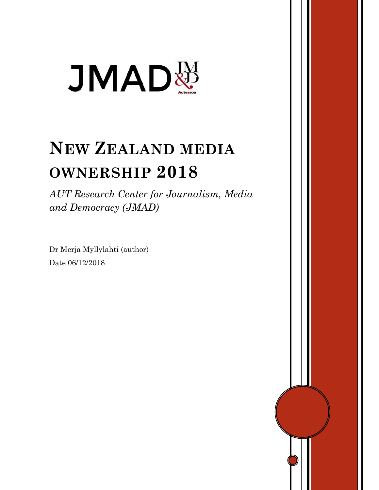

# **NEW ZEALAND MEDIA OWNERSHIP 2018**

*AUT Research Center for Journalism, Media and Democracy (JMAD)*

Dr Merja Myllylahti (author) Date 06/12/2018

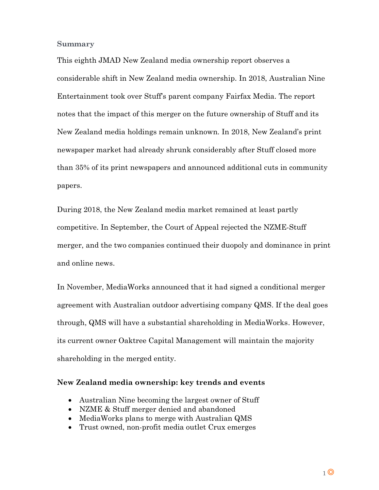**Summary**

This eighth JMAD New Zealand media ownership report observes a considerable shift in New Zealand media ownership. In 2018, Australian Nine Entertainment took over Stuff's parent company Fairfax Media. The report notes that the impact of this merger on the future ownership of Stuff and its New Zealand media holdings remain unknown. In 2018, New Zealand's print newspaper market had already shrunk considerably after Stuff closed more than 35% of its print newspapers and announced additional cuts in community papers.

During 2018, the New Zealand media market remained at least partly competitive. In September, the Court of Appeal rejected the NZME-Stuff merger, and the two companies continued their duopoly and dominance in print and online news.

In November, MediaWorks announced that it had signed a conditional merger agreement with Australian outdoor advertising company QMS. If the deal goes through, QMS will have a substantial shareholding in MediaWorks. However, its current owner Oaktree Capital Management will maintain the majority shareholding in the merged entity.

# **New Zealand media ownership: key trends and events**

- Australian Nine becoming the largest owner of Stuff
- NZME & Stuff merger denied and abandoned
- MediaWorks plans to merge with Australian QMS
- Trust owned, non-profit media outlet Crux emerges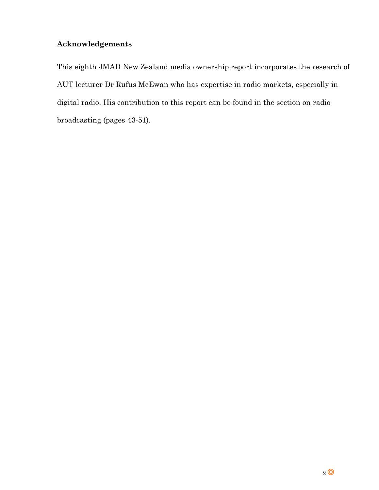# **Acknowledgements**

This eighth JMAD New Zealand media ownership report incorporates the research of AUT lecturer Dr Rufus McEwan who has expertise in radio markets, especially in digital radio. His contribution to this report can be found in the section on radio broadcasting (pages 43-51).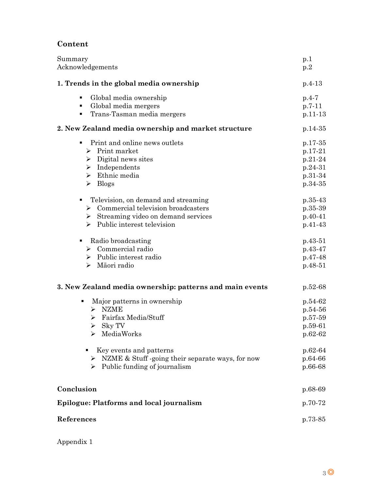# **Content**

| Summary<br>Acknowledgements                                                                                                                                                                                                                                   | p.1<br>p.2                                                                                 |
|---------------------------------------------------------------------------------------------------------------------------------------------------------------------------------------------------------------------------------------------------------------|--------------------------------------------------------------------------------------------|
| 1. Trends in the global media ownership                                                                                                                                                                                                                       | $p.4-13$                                                                                   |
| Global media ownership<br>٠<br>Global media mergers<br>٠<br>Trans-Tasman media mergers<br>٠                                                                                                                                                                   | $p.4 - 7$<br>$p.7-11$<br>$p.11-13$                                                         |
| 2. New Zealand media ownership and market structure                                                                                                                                                                                                           | $p.14-35$                                                                                  |
| Print and online news outlets<br>$\triangleright$ Print market<br>$\triangleright$ Digital news sites<br>$\triangleright$ Independents<br>$\triangleright$ Ethnic media<br>$\triangleright$ Blogs                                                             | $p.17-35$<br>p.17-21<br>$p.21-24$<br>p.24-31<br>p.31-34<br>p.34-35                         |
| Television, on demand and streaming<br>٠<br>$\triangleright$ Commercial television broadcasters<br>$\triangleright$ Streaming video on demand services<br>$\triangleright$ Public interest television                                                         | $p.35-43$<br>$p.35-39$<br>$p.40-41$<br>$p.41-43$                                           |
| Radio broadcasting<br>$\triangleright$ Commercial radio<br>$\triangleright$ Public interest radio<br>$\triangleright$ Māori radio                                                                                                                             | p.43-51<br>$p.43-47$<br>p.47-48<br>$p.48-51$                                               |
| 3. New Zealand media ownership: patterns and main events                                                                                                                                                                                                      | p.52-68                                                                                    |
| Major patterns in ownership<br>$>$ NZME<br>Fairfax Media/Stuff<br>➤<br>$\triangleright$ Sky TV<br>MediaWorks<br>Key events and patterns<br>$\triangleright$ NZME & Stuff -going their separate ways, for now<br>$\triangleright$ Public funding of journalism | p.54-62<br>$p.54-56$<br>$p.57-59$<br>p.59-61<br>p.62-62<br>$p.62-64$<br>p.64-66<br>p.66-68 |
|                                                                                                                                                                                                                                                               |                                                                                            |
| Conclusion<br><b>Epilogue: Platforms and local journalism</b>                                                                                                                                                                                                 | p.68-69<br>p.70-72                                                                         |
| References                                                                                                                                                                                                                                                    |                                                                                            |
|                                                                                                                                                                                                                                                               | p.73-85                                                                                    |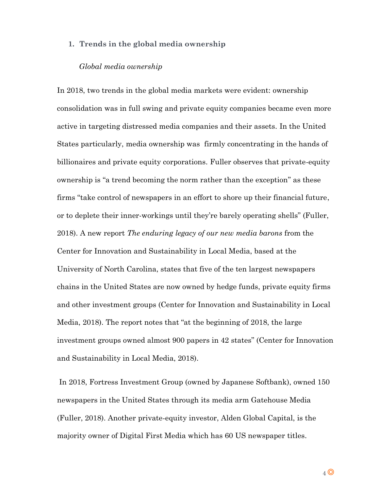# **1. Trends in the global media ownership**

#### *Global media ownership*

In 2018, two trends in the global media markets were evident: ownership consolidation was in full swing and private equity companies became even more active in targeting distressed media companies and their assets. In the United States particularly, media ownership was firmly concentrating in the hands of billionaires and private equity corporations. Fuller observes that private-equity ownership is "a trend becoming the norm rather than the exception" as these firms "take control of newspapers in an effort to shore up their financial future, or to deplete their inner-workings until they're barely operating shells" (Fuller, 2018). A new report *The enduring legacy of our new media barons* from the Center for Innovation and Sustainability in Local Media, based at the University of North Carolina, states that five of the ten largest newspapers chains in the United States are now owned by hedge funds, private equity firms and other investment groups (Center for Innovation and Sustainability in Local Media, 2018). The report notes that "at the beginning of 2018, the large investment groups owned almost 900 papers in 42 states" (Center for Innovation and Sustainability in Local Media, 2018).

In 2018, Fortress Investment Group (owned by Japanese Softbank), owned 150 newspapers in the United States through its media arm Gatehouse Media (Fuller, 2018). Another private-equity investor, Alden Global Capital, is the majority owner of Digital First Media which has 60 US newspaper titles.

4 **O**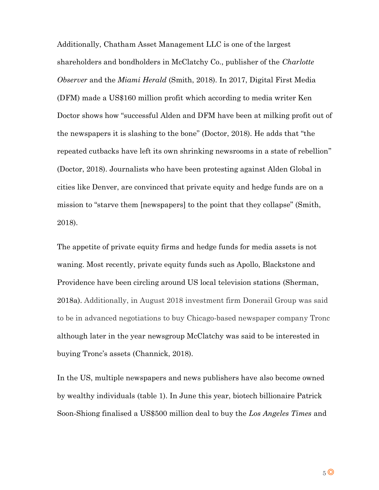Additionally, Chatham Asset Management LLC is one of the largest shareholders and bondholders in McClatchy Co., publisher of the *Charlotte Observer* and the *Miami Herald* (Smith, 2018). In 2017, Digital First Media (DFM) made a US\$160 million profit which according to media writer Ken Doctor shows how "successful Alden and DFM have been at milking profit out of the newspapers it is slashing to the bone" (Doctor, 2018). He adds that "the repeated cutbacks have left its own shrinking newsrooms in a state of rebellion" (Doctor, 2018). Journalists who have been protesting against Alden Global in cities like Denver, are convinced that private equity and hedge funds are on a mission to "starve them [newspapers] to the point that they collapse" (Smith, 2018).

The appetite of private equity firms and hedge funds for media assets is not waning. Most recently, private equity funds such as Apollo, Blackstone and Providence have been circling around US local television stations (Sherman, 2018a). Additionally, in August 2018 investment firm Donerail Group was said to be in advanced negotiations to buy Chicago-based newspaper company Tronc although later in the year newsgroup McClatchy was said to be interested in buying Tronc's assets (Channick, 2018).

In the US, multiple newspapers and news publishers have also become owned by wealthy individuals (table 1). In June this year, biotech billionaire Patrick Soon-Shiong finalised a US\$500 million deal to buy the *Los Angeles Times* and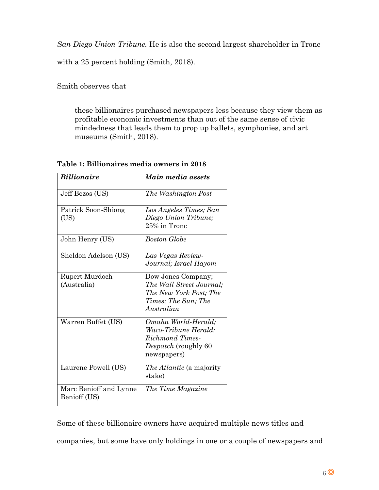*San Diego Union Tribune.* He is also the second largest shareholder in Tronc

with a 25 percent holding (Smith, 2018).

Smith observes that

these billionaires purchased newspapers less because they view them as profitable economic investments than out of the same sense of civic mindedness that leads them to prop up ballets, symphonies, and art museums (Smith, 2018).

| <b>Billionaire</b>          | Main media assets                              |
|-----------------------------|------------------------------------------------|
| Jeff Bezos (US)             | The Washington Post                            |
| Patrick Soon-Shiong<br>(US) | Los Angeles Times; San<br>Diego Union Tribune; |
|                             | 25% in Tronc                                   |
| John Henry (US)             | Boston Globe                                   |
| Sheldon Adelson (US)        | Las Vegas Review-<br>Journal; Israel Hayom     |
|                             |                                                |
| Rupert Murdoch              | Dow Jones Company;                             |
| (Australia)                 | The Wall Street Journal:                       |
|                             | The New York Post; The                         |
|                             | Times; The Sun; The<br>Australian              |
|                             |                                                |
| Warren Buffet (US)          | Omaha World-Herald;                            |
|                             | Waco-Tribune Herald;<br>Richmond Times-        |
|                             | Despatch (roughly 60                           |
|                             | newspapers)                                    |
| Laurene Powell (US)         | <i>The Atlantic</i> (a majority                |
|                             | stake)                                         |
| Marc Benioff and Lynne      | The Time Magazine                              |
| Benioff (US)                |                                                |

# **Table 1: Billionaires media owners in 2018**

Some of these billionaire owners have acquired multiple news titles and companies, but some have only holdings in one or a couple of newspapers and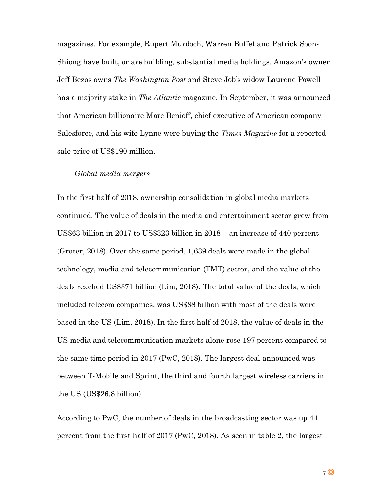magazines. For example, Rupert Murdoch, Warren Buffet and Patrick Soon-Shiong have built, or are building, substantial media holdings. Amazon's owner Jeff Bezos owns *The Washington Post* and Steve Job's widow Laurene Powell has a majority stake in *The Atlantic* magazine. In September, it was announced that American billionaire Marc Benioff, chief executive of American company Salesforce, and his wife Lynne were buying the *Times Magazine* for a reported sale price of US\$190 million.

# *Global media mergers*

In the first half of 2018, ownership consolidation in global media markets continued. The value of deals in the media and entertainment sector grew from US\$63 billion in 2017 to US\$323 billion in 2018 – an increase of 440 percent (Grocer, 2018). Over the same period, 1,639 deals were made in the global technology, media and telecommunication (TMT) sector, and the value of the deals reached US\$371 billion (Lim, 2018). The total value of the deals, which included telecom companies, was US\$88 billion with most of the deals were based in the US (Lim, 2018). In the first half of 2018, the value of deals in the US media and telecommunication markets alone rose 197 percent compared to the same time period in 2017 (PwC, 2018). The largest deal announced was between T-Mobile and Sprint, the third and fourth largest wireless carriers in the US (US\$26.8 billion).

According to PwC, the number of deals in the broadcasting sector was up 44 percent from the first half of 2017 (PwC, 2018). As seen in table 2, the largest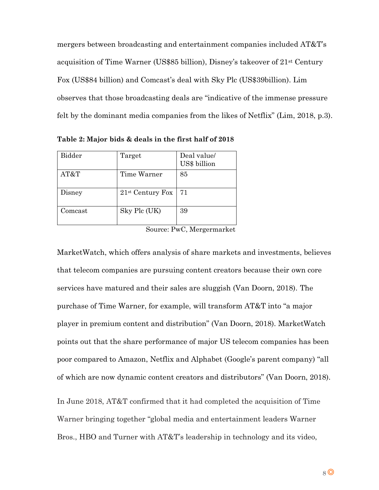mergers between broadcasting and entertainment companies included AT&T's acquisition of Time Warner (US\$85 billion), Disney's takeover of 21st Century Fox (US\$84 billion) and Comcast's deal with Sky Plc (US\$39billion). Lim observes that those broadcasting deals are "indicative of the immense pressure felt by the dominant media companies from the likes of Netflix" (Lim, 2018, p.3).

Bidder | Target | Deal value US\$ billion AT&T Time Warner 85 Disney  $21^{st}$  Century Fox 71 Comcast  $\qquad$  Sky Plc (UK) 39

**Table 2: Major bids & deals in the first half of 2018**

Source: PwC, Mergermarket

MarketWatch, which offers analysis of share markets and investments, believes that telecom companies are pursuing content creators because their own core services have matured and their sales are sluggish (Van Doorn, 2018). The purchase of Time Warner, for example, will transform AT&T into "a major player in premium content and distribution" (Van Doorn, 2018). MarketWatch points out that the share performance of major US telecom companies has been poor compared to Amazon, Netflix and Alphabet (Google's parent company) "all of which are now dynamic content creators and distributors" (Van Doorn, 2018).

In June 2018, AT&T confirmed that it had completed the acquisition of Time Warner bringing together "global media and entertainment leaders Warner Bros., HBO and Turner with AT&T's leadership in technology and its video,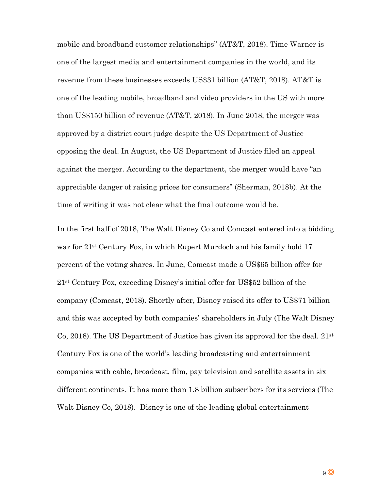mobile and broadband customer relationships" (AT&T, 2018). Time Warner is one of the largest media and entertainment companies in the world, and its revenue from these businesses exceeds US\$31 billion (AT&T, 2018). AT&T is one of the leading mobile, broadband and video providers in the US with more than US\$150 billion of revenue (AT&T, 2018). In June 2018, the merger was approved by a district court judge despite the US Department of Justice opposing the deal. In August, the US Department of Justice filed an appeal against the merger. According to the department, the merger would have "an appreciable danger of raising prices for consumers" (Sherman, 2018b). At the time of writing it was not clear what the final outcome would be.

In the first half of 2018, The Walt Disney Co and Comcast entered into a bidding war for 21st Century Fox, in which Rupert Murdoch and his family hold 17 percent of the voting shares. In June, Comcast made a US\$65 billion offer for 21st Century Fox, exceeding Disney's initial offer for US\$52 billion of the company (Comcast, 2018). Shortly after, Disney raised its offer to US\$71 billion and this was accepted by both companies' shareholders in July (The Walt Disney Co, 2018). The US Department of Justice has given its approval for the deal.  $21<sup>st</sup>$ Century Fox is one of the world's leading broadcasting and entertainment companies with cable, broadcast, film, pay television and satellite assets in six different continents. It has more than 1.8 billion subscribers for its services (The Walt Disney Co, 2018). Disney is one of the leading global entertainment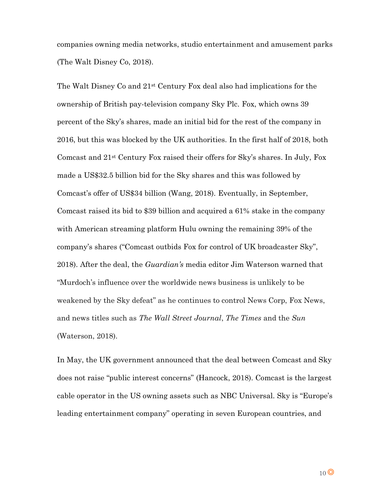companies owning media networks, studio entertainment and amusement parks (The Walt Disney Co, 2018).

The Walt Disney Co and 21st Century Fox deal also had implications for the ownership of British pay-television company Sky Plc. Fox, which owns 39 percent of the Sky's shares, made an initial bid for the rest of the company in 2016, but this was blocked by the UK authorities. In the first half of 2018, both Comcast and 21st Century Fox raised their offers for Sky's shares. In July, Fox made a US\$32.5 billion bid for the Sky shares and this was followed by Comcast's offer of US\$34 billion (Wang, 2018). Eventually, in September, Comcast raised its bid to \$39 billion and acquired a 61% stake in the company with American streaming platform Hulu owning the remaining 39% of the company's shares ("Comcast outbids Fox for control of UK broadcaster Sky", 2018). After the deal, the *Guardian's* media editor Jim Waterson warned that "Murdoch's influence over the worldwide news business is unlikely to be weakened by the Sky defeat" as he continues to control News Corp, Fox News, and news titles such as *The Wall Street Journal*, *The Times* and the *Sun*  (Waterson, 2018).

In May, the UK government announced that the deal between Comcast and Sky does not raise "public interest concerns" (Hancock, 2018). Comcast is the largest cable operator in the US owning assets such as NBC Universal. Sky is "Europe's leading entertainment company" operating in seven European countries, and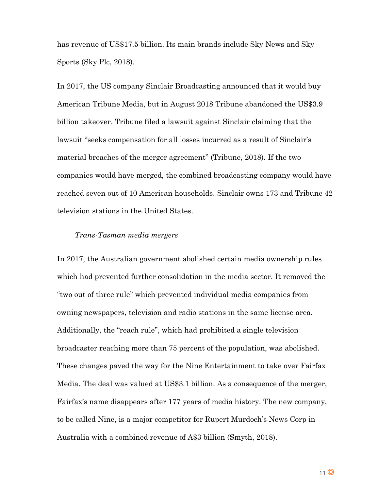has revenue of US\$17.5 billion. Its main brands include Sky News and Sky Sports (Sky Plc, 2018).

In 2017, the US company Sinclair Broadcasting announced that it would buy American Tribune Media, but in August 2018 Tribune abandoned the US\$3.9 billion takeover. Tribune filed a lawsuit against Sinclair claiming that the lawsuit "seeks compensation for all losses incurred as a result of Sinclair's material breaches of the merger agreement" (Tribune, 2018). If the two companies would have merged, the combined broadcasting company would have reached seven out of 10 American households. Sinclair owns 173 and Tribune 42 television stations in the United States.

# *Trans-Tasman media mergers*

In 2017, the Australian government abolished certain media ownership rules which had prevented further consolidation in the media sector. It removed the "two out of three rule" which prevented individual media companies from owning newspapers, television and radio stations in the same license area. Additionally, the "reach rule", which had prohibited a single television broadcaster reaching more than 75 percent of the population, was abolished. These changes paved the way for the Nine Entertainment to take over Fairfax Media. The deal was valued at US\$3.1 billion. As a consequence of the merger, Fairfax's name disappears after 177 years of media history. The new company, to be called Nine, is a major competitor for Rupert Murdoch's News Corp in Australia with a combined revenue of A\$3 billion (Smyth, 2018).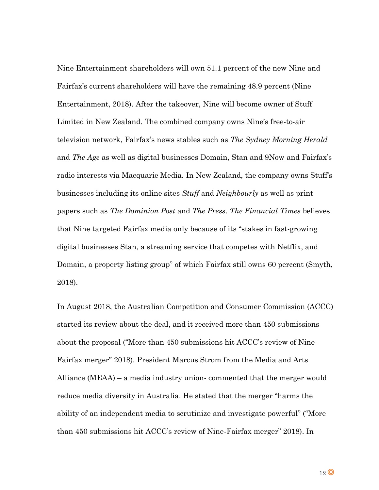Nine Entertainment shareholders will own 51.1 percent of the new Nine and Fairfax's current shareholders will have the remaining 48.9 percent (Nine Entertainment, 2018). After the takeover, Nine will become owner of Stuff Limited in New Zealand. The combined company owns Nine's free-to-air television network, Fairfax's news stables such as *The Sydney Morning Herald* and *The Age* as well as digital businesses Domain, Stan and 9Now and Fairfax's radio interests via Macquarie Media. In New Zealand, the company owns Stuff's businesses including its online sites *Stuff* and *Neighbourly* as well as print papers such as *The Dominion Post* and *The Press*. *The Financial Times* believes that Nine targeted Fairfax media only because of its "stakes in fast-growing digital businesses Stan, a streaming service that competes with Netflix, and Domain, a property listing group" of which Fairfax still owns 60 percent (Smyth, 2018).

In August 2018, the Australian Competition and Consumer Commission (ACCC) started its review about the deal, and it received more than 450 submissions about the proposal ("More than 450 submissions hit ACCC's review of Nine-Fairfax merger" 2018). President Marcus Strom from the Media and Arts Alliance (MEAA) – a media industry union- commented that the merger would reduce media diversity in Australia. He stated that the merger "harms the ability of an independent media to scrutinize and investigate powerful" ("More than 450 submissions hit ACCC's review of Nine-Fairfax merger" 2018). In

 $12$   $\odot$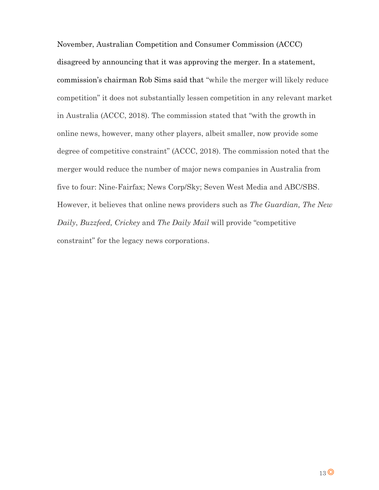November, Australian Competition and Consumer Commission (ACCC) disagreed by announcing that it was approving the merger. In a statement, commission's chairman Rob Sims said that "while the merger will likely reduce competition" it does not substantially lessen competition in any relevant market in Australia (ACCC, 2018). The commission stated that "with the growth in online news, however, many other players, albeit smaller, now provide some degree of competitive constraint" (ACCC, 2018). The commission noted that the merger would reduce the number of major news companies in Australia from five to four: Nine-Fairfax; News Corp/Sky; Seven West Media and ABC/SBS. However, it believes that online news providers such as *The Guardian, The New Daily*, *Buzzfeed, Crickey* and *The Daily Mail* will provide "competitive constraint" for the legacy news corporations.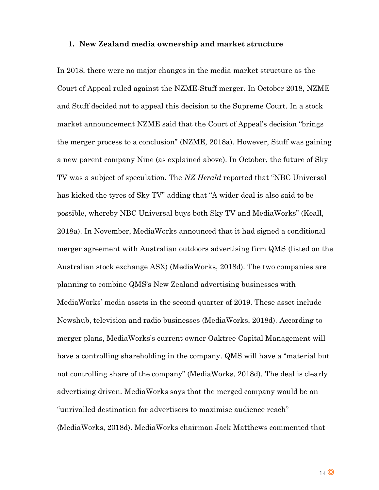#### **1. New Zealand media ownership and market structure**

In 2018, there were no major changes in the media market structure as the Court of Appeal ruled against the NZME-Stuff merger. In October 2018, NZME and Stuff decided not to appeal this decision to the Supreme Court. In a stock market announcement NZME said that the Court of Appeal's decision "brings the merger process to a conclusion" (NZME, 2018a). However, Stuff was gaining a new parent company Nine (as explained above). In October, the future of Sky TV was a subject of speculation. The *NZ Herald* reported that "NBC Universal has kicked the tyres of Sky TV" adding that "A wider deal is also said to be possible, whereby NBC Universal buys both Sky TV and MediaWorks" (Keall, 2018a). In November, MediaWorks announced that it had signed a conditional merger agreement with Australian outdoors advertising firm QMS (listed on the Australian stock exchange ASX) (MediaWorks, 2018d). The two companies are planning to combine QMS's New Zealand advertising businesses with MediaWorks' media assets in the second quarter of 2019. These asset include Newshub, television and radio businesses (MediaWorks, 2018d). According to merger plans, MediaWorks's current owner Oaktree Capital Management will have a controlling shareholding in the company. QMS will have a "material but not controlling share of the company" (MediaWorks, 2018d). The deal is clearly advertising driven. MediaWorks says that the merged company would be an "unrivalled destination for advertisers to maximise audience reach" (MediaWorks, 2018d). MediaWorks chairman Jack Matthews commented that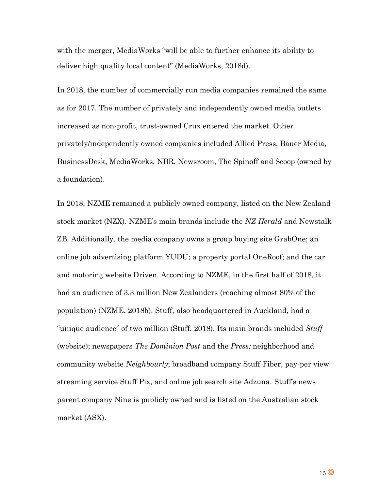with the merger, MediaWorks "will be able to further enhance its ability to deliver high quality local content" (MediaWorks, 2018d).

In 2018, the number of commercially run media companies remained the same as for 2017. The number of privately and independently owned media outlets increased as non-profit, trust-owned Crux entered the market. Other privately/independently owned companies included Allied Press, Bauer Media, BusinessDesk, MediaWorks, NBR, Newsroom, The Spinoff and Scoop (owned by a foundation).

In 2018, NZME remained a publicly owned company, listed on the New Zealand stock market (NZX). NZME's main brands include the *NZ Herald* and Newstalk ZB. Additionally, the media company owns a group buying site GrabOne; an online job advertising platform YUDU; a property portal OneRoof; and the car and motoring website Driven. According to NZME, in the first half of 2018, it had an audience of 3.3 million New Zealanders (reaching almost 80% of the population) (NZME, 2018b). Stuff, also headquartered in Auckland, had a "unique audience" of two million (Stuff, 2018). Its main brands included *Stuff*  (website); newspapers *The Dominion Post* and the *Press;* neighborhood and community website *Neighbourly*; broadband company Stuff Fiber, pay-per view streaming service Stuff Pix, and online job search site Adzuna. Stuff's news parent company Nine is publicly owned and is listed on the Australian stock market (ASX).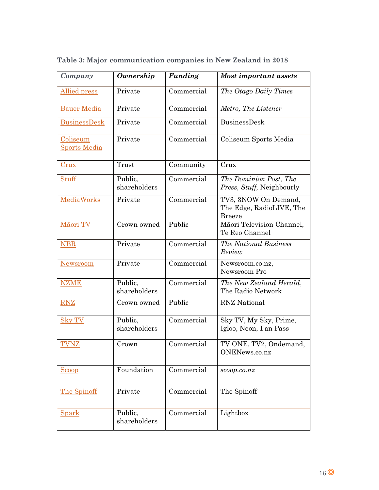| Company                         | <b>Ownership</b>        | <b>Funding</b> | Most important assets                                             |  |
|---------------------------------|-------------------------|----------------|-------------------------------------------------------------------|--|
| Allied press                    | Private                 | Commercial     | The Otago Daily Times                                             |  |
| <b>Bauer Media</b>              | Private                 | Commercial     | Metro, The Listener                                               |  |
| <b>BusinessDesk</b>             | Private                 | Commercial     | BusinessDesk                                                      |  |
| Coliseum<br><b>Sports Media</b> | Private                 | Commercial     | Coliseum Sports Media                                             |  |
| C <sub>rux</sub>                | Trust                   | Community      | Crux                                                              |  |
| <b>Stuff</b>                    | Public,<br>shareholders | Commercial     | The Dominion Post, The<br>Press, Stuff, Neighbourly               |  |
| MediaWorks                      | Private                 | Commercial     | TV3, 3NOW On Demand,<br>The Edge, RadioLIVE, The<br><b>Breeze</b> |  |
| Māori TV                        | Crown owned             | Public         | Māori Television Channel,<br>Te Reo Channel                       |  |
| <b>NBR</b>                      | Private                 | Commercial     | <b>The National Business</b><br>Review                            |  |
| <b>Newsroom</b>                 | Private                 | Commercial     | Newsroom.co.nz,<br>Newsroom Pro                                   |  |
| <b>NZME</b>                     | Public,<br>shareholders | Commercial     | The New Zealand Herald,<br>The Radio Network                      |  |
| <b>RNZ</b>                      | Crown owned             | Public         | <b>RNZ</b> National                                               |  |
| <b>Sky TV</b>                   | Public,<br>shareholders | Commercial     | Sky TV, My Sky, Prime,<br>Igloo, Neon, Fan Pass                   |  |
| TVNZ                            | Crown                   | Commercial     | TV ONE, TV2, Ondemand,<br>ONENews.co.nz                           |  |
| <b>Scoop</b>                    | Foundation              | Commercial     | scoop.co.nz                                                       |  |
| The Spinoff                     | Private                 | Commercial     | The Spinoff                                                       |  |
| <b>Spark</b>                    | Public,<br>shareholders | Commercial     | Lightbox                                                          |  |

**Table 3: Major communication companies in New Zealand in 2018**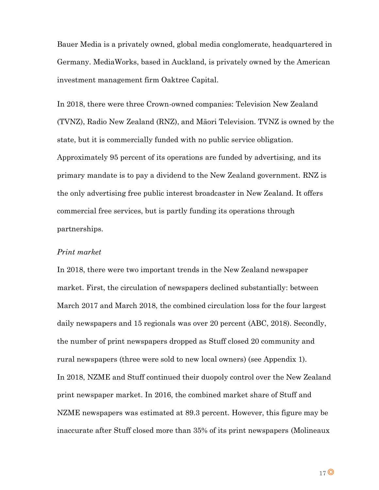Bauer Media is a privately owned, global media conglomerate, headquartered in Germany. MediaWorks, based in Auckland, is privately owned by the American investment management firm Oaktree Capital.

In 2018, there were three Crown-owned companies: Television New Zealand (TVNZ), Radio New Zealand (RNZ), and Māori Television. TVNZ is owned by the state, but it is commercially funded with no public service obligation. Approximately 95 percent of its operations are funded by advertising, and its primary mandate is to pay a dividend to the New Zealand government. RNZ is the only advertising free public interest broadcaster in New Zealand. It offers commercial free services, but is partly funding its operations through partnerships.

## *Print market*

In 2018, there were two important trends in the New Zealand newspaper market. First, the circulation of newspapers declined substantially: between March 2017 and March 2018, the combined circulation loss for the four largest daily newspapers and 15 regionals was over 20 percent (ABC, 2018). Secondly, the number of print newspapers dropped as Stuff closed 20 community and rural newspapers (three were sold to new local owners) (see Appendix 1). In 2018, NZME and Stuff continued their duopoly control over the New Zealand print newspaper market. In 2016, the combined market share of Stuff and NZME newspapers was estimated at 89.3 percent. However, this figure may be inaccurate after Stuff closed more than 35% of its print newspapers (Molineaux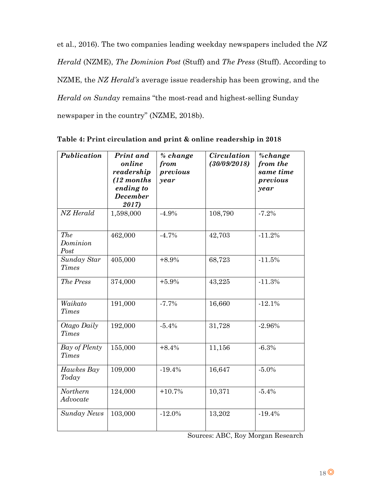et al., 2016). The two companies leading weekday newspapers included the *NZ Herald* (NZME), *The Dominion Post* (Stuff) and *The Press* (Stuff). According to NZME, the *NZ Herald's* average issue readership has been growing, and the *Herald on Sunday* remains "the most-read and highest-selling Sunday newspaper in the country" (NZME, 2018b).

| Publication                   | Print and<br>online<br>readership<br>$(12$ months<br>ending to<br><b>December</b><br>2017) | % change<br>from<br>previous<br>year | <b>Circulation</b><br>(30/09/2018) | %change<br>from the<br>same time<br>previous<br>year |
|-------------------------------|--------------------------------------------------------------------------------------------|--------------------------------------|------------------------------------|------------------------------------------------------|
| NZ Herald                     | 1,598,000                                                                                  | $-4.9%$                              | 108,790                            | $-7.2%$                                              |
| The<br>Dominion<br>Post       | 462,000                                                                                    | $-4.7%$                              | 42,703                             | $-11.2%$                                             |
| Sunday Star<br>Times          | 405,000                                                                                    | $+8.9%$                              | 68,723                             | $-11.5%$                                             |
| The Press                     | 374,000                                                                                    | $+5.9%$                              | 43,225                             | $-11.3%$                                             |
| Waikato<br><b>Times</b>       | 191,000                                                                                    | $-7.7%$                              | 16,660                             | $-12.1%$                                             |
| Otago Daily<br><b>Times</b>   | 192,000                                                                                    | $-5.4%$                              | 31,728                             | $-2.96%$                                             |
| Bay of Plenty<br><b>Times</b> | 155,000                                                                                    | $+8.4%$                              | 11,156                             | $-6.3%$                                              |
| Hawkes Bay<br>Today           | 109,000                                                                                    | $-19.4%$                             | 16,647                             | $-5.0%$                                              |
| <b>Northern</b><br>Advocate   | 124,000                                                                                    | $+10.7%$                             | 10,371                             | $-5.4%$                                              |
| <b>Sunday News</b>            | 103,000                                                                                    | $-12.0%$                             | 13,202                             | $-19.4%$                                             |

| Table 4: Print circulation and print & online readership in 2018 |  |  |  |
|------------------------------------------------------------------|--|--|--|
|                                                                  |  |  |  |

Sources: ABC, Roy Morgan Research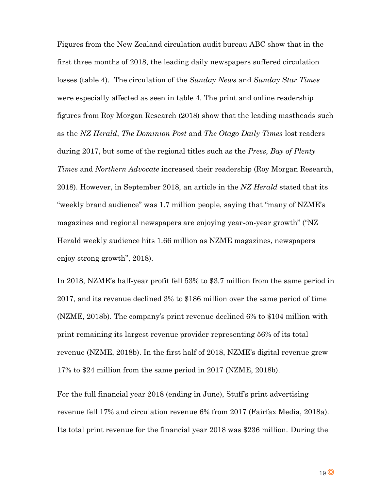Figures from the New Zealand circulation audit bureau ABC show that in the first three months of 2018, the leading daily newspapers suffered circulation losses (table 4). The circulation of the *Sunday News* and *Sunday Star Times*  were especially affected as seen in table 4. The print and online readership figures from Roy Morgan Research (2018) show that the leading mastheads such as the *NZ Herald*, *The Dominion Post* and *The Otago Daily Times* lost readers during 2017, but some of the regional titles such as the *Press, Bay of Plenty Times* and *Northern Advocate* increased their readership (Roy Morgan Research, 2018). However, in September 2018, an article in the *NZ Herald* stated that its "weekly brand audience" was 1.7 million people, saying that "many of NZME's magazines and regional newspapers are enjoying year-on-year growth" ("NZ Herald weekly audience hits 1.66 million as NZME magazines, newspapers enjoy strong growth", 2018).

In 2018, NZME's half-year profit fell 53% to \$3.7 million from the same period in 2017, and its revenue declined 3% to \$186 million over the same period of time (NZME, 2018b). The company's print revenue declined 6% to \$104 million with print remaining its largest revenue provider representing 56% of its total revenue (NZME, 2018b). In the first half of 2018, NZME's digital revenue grew 17% to \$24 million from the same period in 2017 (NZME, 2018b).

For the full financial year 2018 (ending in June), Stuff's print advertising revenue fell 17% and circulation revenue 6% from 2017 (Fairfax Media, 2018a). Its total print revenue for the financial year 2018 was \$236 million. During the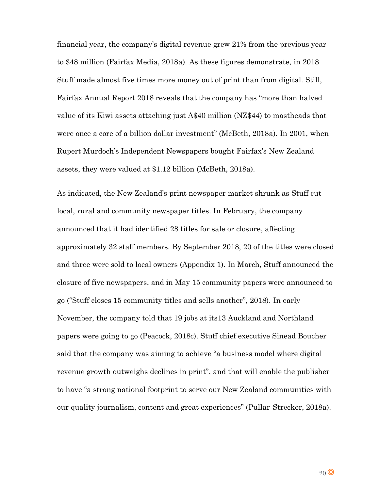financial year, the company's digital revenue grew 21% from the previous year to \$48 million (Fairfax Media, 2018a). As these figures demonstrate, in 2018 Stuff made almost five times more money out of print than from digital. Still, Fairfax Annual Report 2018 reveals that the company has "more than halved value of its Kiwi assets attaching just A\$40 million (NZ\$44) to mastheads that were once a core of a billion dollar investment" (McBeth, 2018a). In 2001, when Rupert Murdoch's Independent Newspapers bought Fairfax's New Zealand assets, they were valued at \$1.12 billion (McBeth, 2018a).

As indicated, the New Zealand's print newspaper market shrunk as Stuff cut local, rural and community newspaper titles. In February, the company announced that it had identified 28 titles for sale or closure, affecting approximately 32 staff members. By September 2018, 20 of the titles were closed and three were sold to local owners (Appendix 1). In March, Stuff announced the closure of five newspapers, and in May 15 community papers were announced to go ("Stuff closes 15 community titles and sells another", 2018). In early November, the company told that 19 jobs at its13 Auckland and Northland papers were going to go (Peacock, 2018c). Stuff chief executive Sinead Boucher said that the company was aiming to achieve "a business model where digital revenue growth outweighs declines in print", and that will enable the publisher to have "a strong national footprint to serve our New Zealand communities with our quality journalism, content and great experiences" (Pullar-Strecker, 2018a).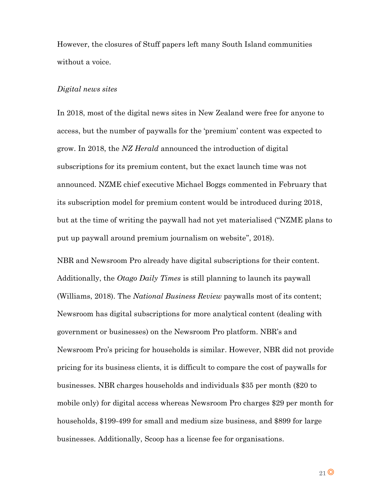However, the closures of Stuff papers left many South Island communities without a voice.

## *Digital news sites*

In 2018, most of the digital news sites in New Zealand were free for anyone to access, but the number of paywalls for the 'premium' content was expected to grow. In 2018, the *NZ Herald* announced the introduction of digital subscriptions for its premium content, but the exact launch time was not announced. NZME chief executive Michael Boggs commented in February that its subscription model for premium content would be introduced during 2018, but at the time of writing the paywall had not yet materialised ("NZME plans to put up paywall around premium journalism on website", 2018).

NBR and Newsroom Pro already have digital subscriptions for their content. Additionally, the *Otago Daily Times* is still planning to launch its paywall (Williams, 2018). The *National Business Review* paywalls most of its content; Newsroom has digital subscriptions for more analytical content (dealing with government or businesses) on the Newsroom Pro platform. NBR's and Newsroom Pro's pricing for households is similar. However, NBR did not provide pricing for its business clients, it is difficult to compare the cost of paywalls for businesses. NBR charges households and individuals \$35 per month (\$20 to mobile only) for digital access whereas Newsroom Pro charges \$29 per month for households, \$199-499 for small and medium size business, and \$899 for large businesses. Additionally, Scoop has a license fee for organisations.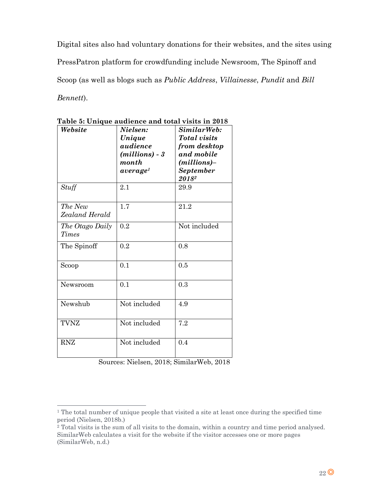Digital sites also had voluntary donations for their websites, and the sites using PressPatron platform for crowdfunding include Newsroom, The Spinoff and Scoop (as well as blogs such as *Public Address*, *Villainesse*, *Pundit* and *Bill Bennett*).

| Website                   | Nielsen:<br>Unique<br>audience<br>$(millions) - 3$<br>month<br>average <sup>1</sup> | SimilarWeb:<br><b>Total</b> visits<br>from desktop<br>and mobile<br>(millions)-<br><b>September</b><br>20182 |
|---------------------------|-------------------------------------------------------------------------------------|--------------------------------------------------------------------------------------------------------------|
| Stuff                     | 2.1                                                                                 | 29.9                                                                                                         |
| The New<br>Zealand Herald | 1.7                                                                                 | 21.2                                                                                                         |
| The Otago Daily<br>Times  | 0.2                                                                                 | Not included                                                                                                 |
| The Spinoff               | 0.2                                                                                 | 0.8                                                                                                          |
| Scoop                     | 0.1                                                                                 | 0.5                                                                                                          |
| Newsroom                  | 0.1                                                                                 | 0.3                                                                                                          |
| Newshub                   | Not included                                                                        | 4.9                                                                                                          |
| <b>TVNZ</b>               | Not included                                                                        | 7.2                                                                                                          |
| <b>RNZ</b>                | Not included                                                                        | 0.4                                                                                                          |

**Table 5: Unique audience and total visits in 2018**

Sources: Nielsen, 2018; SimilarWeb, 2018

 $\overline{a}$ 

<sup>&</sup>lt;sup>1</sup> The total number of unique people that visited a site at least once during the specified time period (Nielsen, 2018b.)

<sup>2</sup> Total visits is the sum of all visits to the domain, within a country and time period analysed. SimilarWeb calculates a visit for the website if the visitor accesses one or more pages (SimilarWeb, n.d.)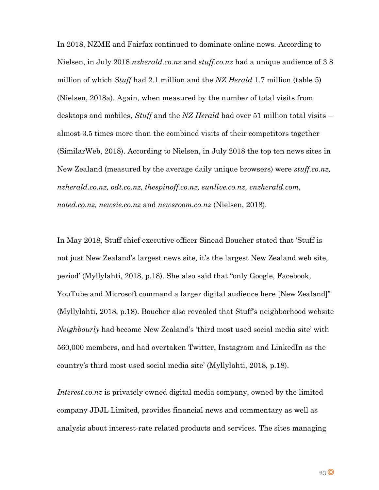In 2018, NZME and Fairfax continued to dominate online news. According to Nielsen, in July 2018 *nzherald.co.nz* and *stuff.co.nz* had a unique audience of 3.8 million of which *Stuff* had 2.1 million and the *NZ Herald* 1.7 million (table 5) (Nielsen, 2018a). Again, when measured by the number of total visits from desktops and mobiles, *Stuff* and the *NZ Herald* had over 51 million total visits – almost 3.5 times more than the combined visits of their competitors together (SimilarWeb, 2018). According to Nielsen, in July 2018 the top ten news sites in New Zealand (measured by the average daily unique browsers) were *stuff.co.nz, nzherald.co.nz, odt.co.nz, thespinoff.co.nz, sunlive.co.nz, cnzherald.com, noted.co.nz, newsie.co.nz* and *newsroom.co.nz* (Nielsen, 2018).

In May 2018, Stuff chief executive officer Sinead Boucher stated that 'Stuff is not just New Zealand's largest news site, it's the largest New Zealand web site, period' (Myllylahti, 2018, p.18). She also said that "only Google, Facebook, YouTube and Microsoft command a larger digital audience here [New Zealand]" (Myllylahti, 2018, p.18). Boucher also revealed that Stuff's neighborhood website *Neighbourly* had become New Zealand's 'third most used social media site' with 560,000 members, and had overtaken Twitter, Instagram and LinkedIn as the country's third most used social media site' (Myllylahti, 2018, p.18).

*Interest.co.nz* is privately owned digital media company, owned by the limited company JDJL Limited, provides financial news and commentary as well as analysis about interest-rate related products and services. The sites managing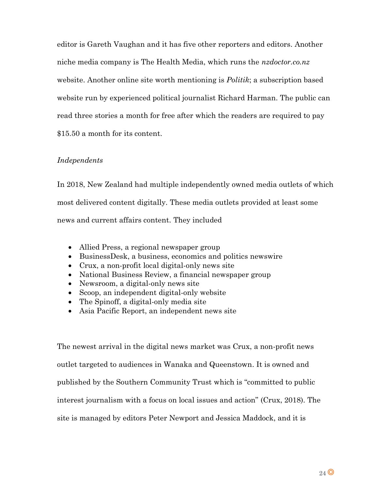editor is Gareth Vaughan and it has five other reporters and editors. Another niche media company is The Health Media, which runs the *nzdoctor.co.nz* website. Another online site worth mentioning is *Politik*; a subscription based website run by experienced political journalist Richard Harman. The public can read three stories a month for free after which the readers are required to pay \$15.50 a month for its content.

# *Independents*

In 2018, New Zealand had multiple independently owned media outlets of which most delivered content digitally. These media outlets provided at least some news and current affairs content. They included

- Allied Press, a regional newspaper group
- BusinessDesk, a business, economics and politics newswire
- Crux, a non-profit local digital-only news site
- National Business Review, a financial newspaper group
- Newsroom, a digital-only news site
- Scoop, an independent digital-only website
- The Spinoff, a digital-only media site
- Asia Pacific Report, an independent news site

The newest arrival in the digital news market was Crux, a non-profit news outlet targeted to audiences in Wanaka and Queenstown. It is owned and published by the Southern Community Trust which is "committed to public interest journalism with a focus on local issues and action" (Crux, 2018). The site is managed by editors Peter Newport and Jessica Maddock, and it is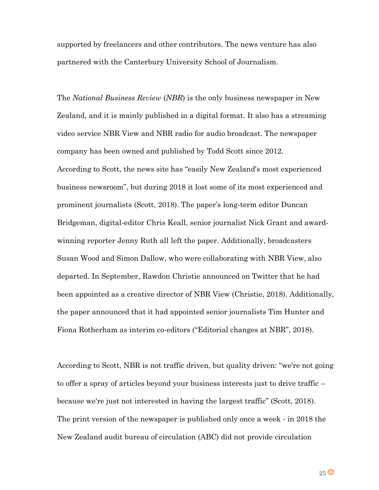supported by freelancers and other contributors. The news venture has also partnered with the Canterbury University School of Journalism.

The *National Business Review* (*NBR*) is the only business newspaper in New Zealand, and it is mainly published in a digital format. It also has a streaming video service NBR View and NBR radio for audio broadcast. The newspaper company has been owned and published by Todd Scott since 2012. According to Scott, the news site has "easily New Zealand's most experienced business newsroom", but during 2018 it lost some of its most experienced and prominent journalists (Scott, 2018). The paper's long-term editor Duncan Bridgeman, digital-editor Chris Keall, senior journalist Nick Grant and awardwinning reporter Jenny Ruth all left the paper. Additionally, broadcasters Susan Wood and Simon Dallow, who were collaborating with NBR View, also departed. In September, Rawdon Christie announced on Twitter that he had been appointed as a creative director of NBR View (Christie, 2018). Additionally, the paper announced that it had appointed senior journalists Tim Hunter and Fiona Rotherham as interim co-editors ("Editorial changes at NBR", 2018).

According to Scott, NBR is not traffic driven, but quality driven: "we're not going to offer a spray of articles beyond your business interests just to drive traffic – because we're just not interested in having the largest traffic" (Scott, 2018). The print version of the newspaper is published only once a week - in 2018 the New Zealand audit bureau of circulation (ABC) did not provide circulation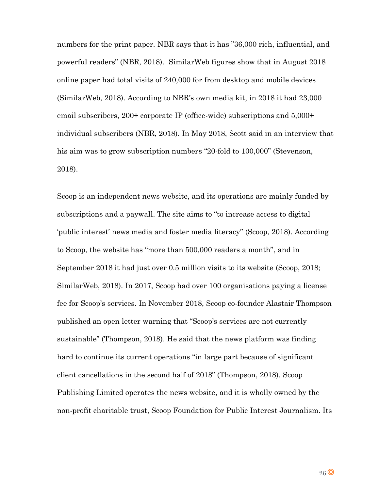numbers for the print paper. NBR says that it has "36,000 rich, influential, and powerful readers" (NBR, 2018). SimilarWeb figures show that in August 2018 online paper had total visits of 240,000 for from desktop and mobile devices (SimilarWeb, 2018). According to NBR's own media kit, in 2018 it had 23,000 email subscribers, 200+ corporate IP (office-wide) subscriptions and 5,000+ individual subscribers (NBR, 2018). In May 2018, Scott said in an interview that his aim was to grow subscription numbers "20-fold to 100,000" (Stevenson, 2018).

Scoop is an independent news website, and its operations are mainly funded by subscriptions and a paywall. The site aims to "to increase access to digital 'public interest' news media and foster media literacy" (Scoop, 2018). According to Scoop, the website has "more than 500,000 readers a month", and in September 2018 it had just over 0.5 million visits to its website (Scoop, 2018; SimilarWeb, 2018). In 2017, Scoop had over 100 organisations paying a license fee for Scoop's services. In November 2018, Scoop co-founder Alastair Thompson published an open letter warning that "Scoop's services are not currently sustainable" (Thompson, 2018). He said that the news platform was finding hard to continue its current operations "in large part because of significant client cancellations in the second half of 2018" (Thompson, 2018). Scoop Publishing Limited operates the news website, and it is wholly owned by the non-profit charitable trust, Scoop Foundation for Public Interest Journalism. Its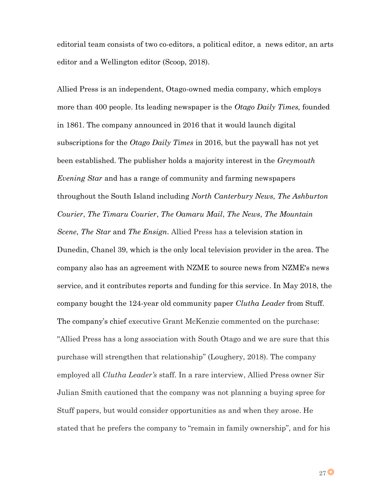editorial team consists of two co-editors, a political editor, a news editor, an arts editor and a Wellington editor (Scoop, 2018).

Allied Press is an independent, Otago-owned media company, which employs more than 400 people. Its leading newspaper is the *Otago Daily Times,* founded in 1861. The company announced in 2016 that it would launch digital subscriptions for the *Otago Daily Times* in 2016, but the paywall has not yet been established. The publisher holds a majority interest in the *Greymouth Evening Star* and has a range of community and farming newspapers throughout the South Island including *North Canterbury News, The Ashburton Courier*, *The Timaru Courier*, *The Oamaru Mail*, *The News*, *The Mountain Scene*, *The Star* and *The Ensign*. Allied Press has a television station in Dunedin, Chanel 39, which is the only local television provider in the area. The company also has an agreement with NZME to source news from NZME's news service, and it contributes reports and funding for this service. In May 2018, the company bought the 124-year old community paper *Clutha Leader* from Stuff. The company's chief executive Grant McKenzie commented on the purchase: ''Allied Press has a long association with South Otago and we are sure that this purchase will strengthen that relationship" (Loughery, 2018). The company employed all *Clutha Leader's* staff. In a rare interview, Allied Press owner Sir Julian Smith cautioned that the company was not planning a buying spree for Stuff papers, but would consider opportunities as and when they arose. He stated that he prefers the company to "remain in family ownership", and for his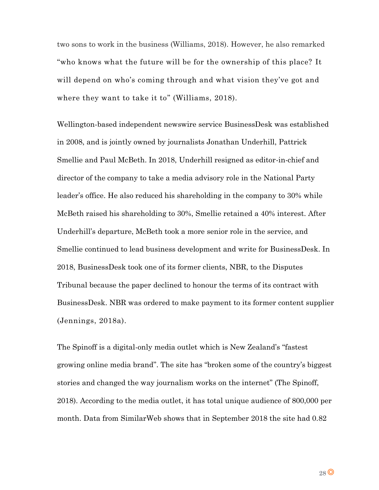two sons to work in the business (Williams, 2018). However, he also remarked "who knows what the future will be for the ownership of this place? It will depend on who's coming through and what vision they've got and where they want to take it to" (Williams, 2018).

Wellington-based independent newswire service BusinessDesk was established in 2008, and is jointly owned by journalists Jonathan Underhill, Pattrick Smellie and Paul McBeth. In 2018, Underhill resigned as editor-in-chief and director of the company to take a media advisory role in the National Party leader's office. He also reduced his shareholding in the company to 30% while McBeth raised his shareholding to 30%, Smellie retained a 40% interest. After Underhill's departure, McBeth took a more senior role in the service, and Smellie continued to lead business development and write for BusinessDesk. In 2018, BusinessDesk took one of its former clients, NBR, to the Disputes Tribunal because the paper declined to honour the terms of its contract with BusinessDesk. NBR was ordered to make payment to its former content supplier (Jennings, 2018a).

The Spinoff is a digital-only media outlet which is New Zealand's "fastest growing online media brand". The site has "broken some of the country's biggest stories and changed the way journalism works on the internet" (The Spinoff, 2018). According to the media outlet, it has total unique audience of 800,000 per month. Data from SimilarWeb shows that in September 2018 the site had 0.82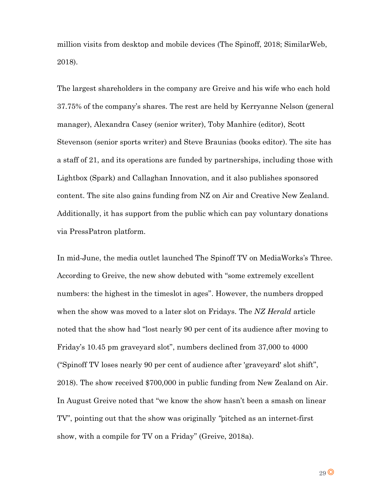million visits from desktop and mobile devices (The Spinoff, 2018; SimilarWeb, 2018).

The largest shareholders in the company are Greive and his wife who each hold 37.75% of the company's shares. The rest are held by Kerryanne Nelson (general manager), Alexandra Casey (senior writer), Toby Manhire (editor), Scott Stevenson (senior sports writer) and Steve Braunias (books editor). The site has a staff of 21, and its operations are funded by partnerships, including those with Lightbox (Spark) and Callaghan Innovation, and it also publishes sponsored content. The site also gains funding from NZ on Air and Creative New Zealand. Additionally, it has support from the public which can pay voluntary donations via PressPatron platform.

In mid-June, the media outlet launched The Spinoff TV on MediaWorks's Three. According to Greive, the new show debuted with "some extremely excellent numbers: the highest in the timeslot in ages". However, the numbers dropped when the show was moved to a later slot on Fridays. The *NZ Herald* article noted that the show had "lost nearly 90 per cent of its audience after moving to Friday's 10.45 pm graveyard slot", numbers declined from 37,000 to 4000 ("Spinoff TV loses nearly 90 per cent of audience after 'graveyard' slot shift", 2018). The show received \$700,000 in public funding from New Zealand on Air. In August Greive noted that "we know the show hasn't been a smash on linear TV", pointing out that the show was originally *"*pitched as an internet-first show, with a compile for TV on a Friday" (Greive, 2018a).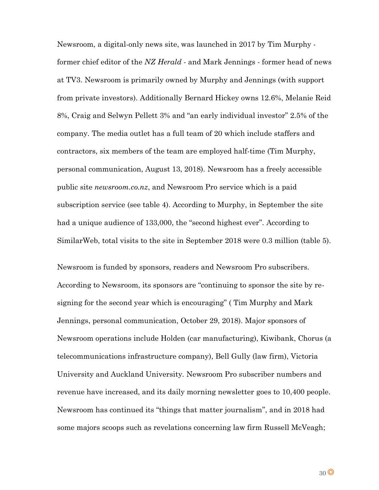Newsroom, a digital-only news site, was launched in 2017 by Tim Murphy former chief editor of the *NZ Herald -* and Mark Jennings - former head of news at TV3. Newsroom is primarily owned by Murphy and Jennings (with support from private investors). Additionally Bernard Hickey owns 12.6%, Melanie Reid 8%, Craig and Selwyn Pellett 3% and "an early individual investor" 2.5% of the company. The media outlet has a full team of 20 which include staffers and contractors, six members of the team are employed half-time (Tim Murphy, personal communication, August 13, 2018). Newsroom has a freely accessible public site *newsroom.co.nz*, and Newsroom Pro service which is a paid subscription service (see table 4). According to Murphy, in September the site had a unique audience of 133,000, the "second highest ever". According to SimilarWeb, total visits to the site in September 2018 were 0.3 million (table 5).

Newsroom is funded by sponsors, readers and Newsroom Pro subscribers. According to Newsroom, its sponsors are "continuing to sponsor the site by resigning for the second year which is encouraging" ( Tim Murphy and Mark Jennings, personal communication, October 29, 2018). Major sponsors of Newsroom operations include Holden (car manufacturing), Kiwibank, Chorus (a telecommunications infrastructure company), Bell Gully (law firm), Victoria University and Auckland University. Newsroom Pro subscriber numbers and revenue have increased, and its daily morning newsletter goes to 10,400 people. Newsroom has continued its "things that matter journalism", and in 2018 had some majors scoops such as revelations concerning law firm Russell McVeagh;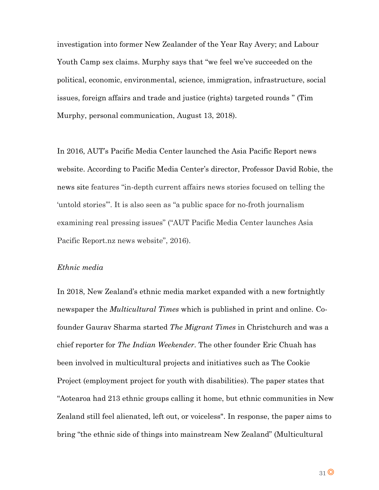investigation into former New Zealander of the Year Ray Avery; and Labour Youth Camp sex claims. Murphy says that "we feel we've succeeded on the political, economic, environmental, science, immigration, infrastructure, social issues, foreign affairs and trade and justice (rights) targeted rounds " (Tim Murphy, personal communication, August 13, 2018).

In 2016, AUT's Pacific Media Center launched the Asia Pacific Report news website. According to Pacific Media Center's director, Professor David Robie, the news site features "in-depth current affairs news stories focused on telling the 'untold stories'". It is also seen as "a public space for no-froth journalism examining real pressing issues" ("AUT Pacific Media Center launches Asia Pacific Report.nz news website", 2016).

#### *Ethnic media*

In 2018, New Zealand's ethnic media market expanded with a new fortnightly newspaper the *Multicultural Times* which is published in print and online. Cofounder Gaurav Sharma started *The Migrant Times* in Christchurch and was a chief reporter for *The Indian Weekender.* The other founder Eric Chuah has been involved in multicultural projects and initiatives such as The Cookie Project (employment project for youth with disabilities). The paper states that "Aotearoa had 213 ethnic groups calling it home, but ethnic communities in New Zealand still feel alienated, left out, or voiceless". In response, the paper aims to bring "the ethnic side of things into mainstream New Zealand" (Multicultural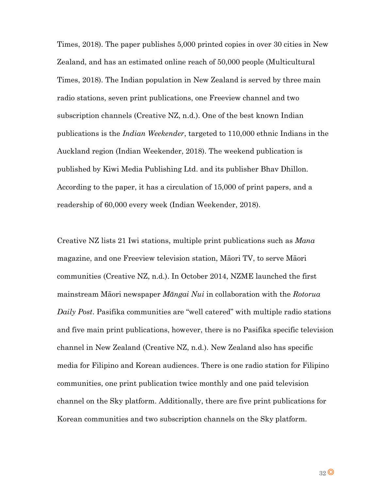Times, 2018). The paper publishes 5,000 printed copies in over 30 cities in New Zealand, and has an estimated online reach of 50,000 people (Multicultural Times, 2018). The Indian population in New Zealand is served by three main radio stations, seven print publications, one Freeview channel and two subscription channels (Creative NZ, n.d.). One of the best known Indian publications is the *Indian Weekender*, targeted to 110,000 ethnic Indians in the Auckland region (Indian Weekender, 2018). The weekend publication is published by Kiwi Media Publishing Ltd. and its publisher Bhav Dhillon. According to the paper, it has a circulation of 15,000 of print papers, and a readership of 60,000 every week (Indian Weekender, 2018).

Creative NZ lists 21 Iwi stations, multiple print publications such as *Mana* magazine, and one Freeview television station, Māori TV, to serve Māori communities (Creative NZ, n.d.). In October 2014, NZME launched the first mainstream Māori newspaper *Māngai Nui* in collaboration with the *Rotorua Daily Post*. Pasifika communities are "well catered" with multiple radio stations and five main print publications, however, there is no Pasifika specific television channel in New Zealand (Creative NZ, n.d.). New Zealand also has specific media for Filipino and Korean audiences. There is one radio station for Filipino communities, one print publication twice monthly and one paid television channel on the Sky platform. Additionally, there are five print publications for Korean communities and two subscription channels on the Sky platform.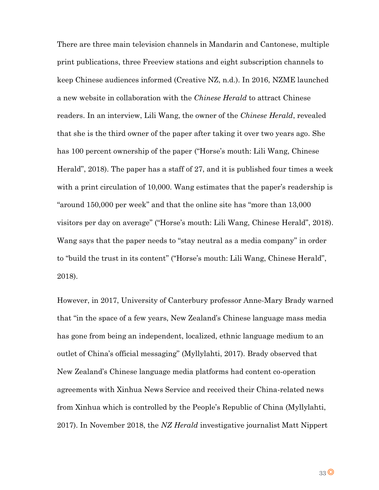There are three main television channels in Mandarin and Cantonese, multiple print publications, three Freeview stations and eight subscription channels to keep Chinese audiences informed (Creative NZ, n.d.). In 2016, NZME launched a new website in collaboration with the *Chinese Herald* to attract Chinese readers. In an interview, Lili Wang, the owner of the *Chinese Herald*, revealed that she is the third owner of the paper after taking it over two years ago. She has 100 percent ownership of the paper ("Horse's mouth: Lili Wang, Chinese Herald", 2018). The paper has a staff of 27, and it is published four times a week with a print circulation of 10,000. Wang estimates that the paper's readership is "around 150,000 per week" and that the online site has "more than 13,000 visitors per day on average" ("Horse's mouth: Lili Wang, Chinese Herald", 2018). Wang says that the paper needs to "stay neutral as a media company" in order to "build the trust in its content" ("Horse's mouth: Lili Wang, Chinese Herald", 2018).

However, in 2017, University of Canterbury professor Anne-Mary Brady warned that "in the space of a few years, New Zealand's Chinese language mass media has gone from being an independent, localized, ethnic language medium to an outlet of China's official messaging" (Myllylahti, 2017). Brady observed that New Zealand's Chinese language media platforms had content co-operation agreements with Xinhua News Service and received their China-related news from Xinhua which is controlled by the People's Republic of China (Myllylahti, 2017). In November 2018, the *NZ Herald* investigative journalist Matt Nippert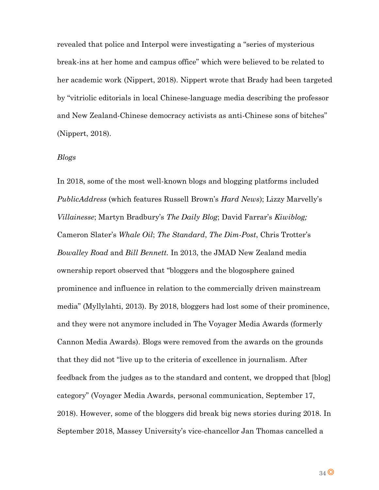revealed that police and Interpol were investigating a "series of mysterious break-ins at her home and campus office" which were believed to be related to her academic work (Nippert, 2018). Nippert wrote that Brady had been targeted by "vitriolic editorials in local Chinese-language media describing the professor and New Zealand-Chinese democracy activists as anti-Chinese sons of bitches" (Nippert, 2018).

#### *Blogs*

In 2018, some of the most well-known blogs and blogging platforms included *PublicAddress* (which features Russell Brown's *Hard News*); Lizzy Marvelly's *Villainesse*; Martyn Bradbury's *The Daily Blog*; David Farrar's *Kiwiblog;* Cameron Slater's *Whale Oil*; *The Standard*, *The Dim-Post*, Chris Trotter's *Bowalley Road* and *Bill Bennett.* In 2013, the JMAD New Zealand media ownership report observed that "bloggers and the blogosphere gained prominence and influence in relation to the commercially driven mainstream media" (Myllylahti, 2013). By 2018, bloggers had lost some of their prominence, and they were not anymore included in The Voyager Media Awards (formerly Cannon Media Awards). Blogs were removed from the awards on the grounds that they did not "live up to the criteria of excellence in journalism. After feedback from the judges as to the standard and content, we dropped that [blog] category" (Voyager Media Awards, personal communication, September 17, 2018). However, some of the bloggers did break big news stories during 2018. In September 2018, Massey University's vice-chancellor Jan Thomas cancelled a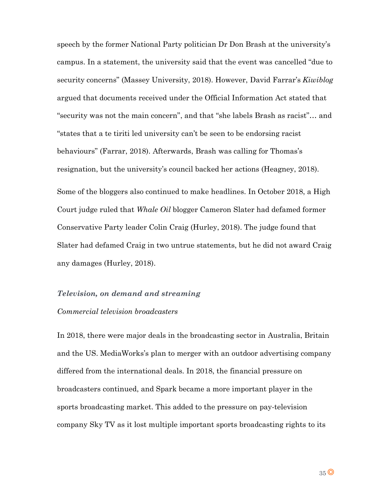speech by the former National Party politician Dr Don Brash at the university's campus. In a statement, the university said that the event was cancelled "due to security concerns" (Massey University, 2018). However, David Farrar's *Kiwiblog* argued that documents received under the Official Information Act stated that "security was not the main concern", and that "she labels Brash as racist"… and "states that a te tiriti led university can't be seen to be endorsing racist behaviours" (Farrar, 2018). Afterwards, Brash was calling for Thomas's resignation, but the university's council backed her actions (Heagney, 2018). Some of the bloggers also continued to make headlines. In October 2018, a High Court judge ruled that *Whale Oil* blogger Cameron Slater had defamed former Conservative Party leader Colin Craig (Hurley, 2018). The judge found that Slater had defamed Craig in two untrue statements, but he did not award Craig any damages (Hurley, 2018).

# *Television, on demand and streaming*

# *Commercial television broadcasters*

In 2018, there were major deals in the broadcasting sector in Australia, Britain and the US. MediaWorks's plan to merger with an outdoor advertising company differed from the international deals. In 2018, the financial pressure on broadcasters continued, and Spark became a more important player in the sports broadcasting market. This added to the pressure on pay-television company Sky TV as it lost multiple important sports broadcasting rights to its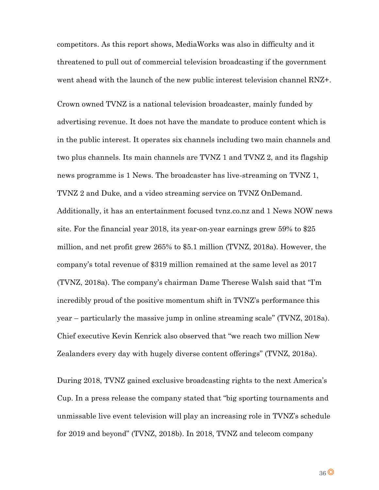competitors. As this report shows, MediaWorks was also in difficulty and it threatened to pull out of commercial television broadcasting if the government went ahead with the launch of the new public interest television channel RNZ+.

Crown owned TVNZ is a national television broadcaster, mainly funded by advertising revenue. It does not have the mandate to produce content which is in the public interest. It operates six channels including two main channels and two plus channels. Its main channels are TVNZ 1 and TVNZ 2, and its flagship news programme is 1 News. The broadcaster has live-streaming on TVNZ 1, TVNZ 2 and Duke, and a video streaming service on TVNZ OnDemand. Additionally, it has an entertainment focused tvnz.co.nz and 1 News NOW news site. For the financial year 2018, its year-on-year earnings grew 59% to \$25 million, and net profit grew 265% to \$5.1 million (TVNZ, 2018a). However, the company's total revenue of \$319 million remained at the same level as 2017 (TVNZ, 2018a). The company's chairman Dame Therese Walsh said that "I'm incredibly proud of the positive momentum shift in TVNZ's performance this year – particularly the massive jump in online streaming scale" (TVNZ, 2018a). Chief executive Kevin Kenrick also observed that "we reach two million New Zealanders every day with hugely diverse content offerings" (TVNZ, 2018a).

During 2018, TVNZ gained exclusive broadcasting rights to the next America's Cup. In a press release the company stated that "big sporting tournaments and unmissable live event television will play an increasing role in TVNZ's schedule for 2019 and beyond" (TVNZ, 2018b). In 2018, TVNZ and telecom company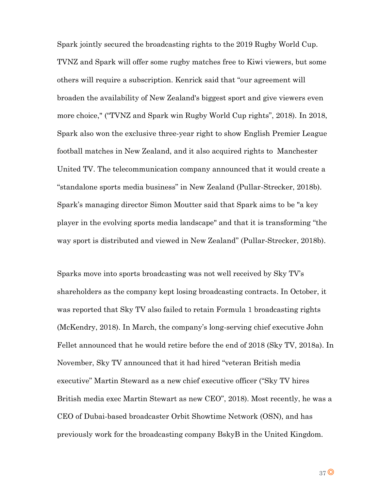Spark jointly secured the broadcasting rights to the 2019 Rugby World Cup. TVNZ and Spark will offer some rugby matches free to Kiwi viewers, but some others will require a subscription. Kenrick said that "our agreement will broaden the availability of New Zealand's biggest sport and give viewers even more choice," ("TVNZ and Spark win Rugby World Cup rights", 2018). In 2018, Spark also won the exclusive three-year right to show English Premier League football matches in New Zealand, and it also acquired rights to Manchester United TV. The telecommunication company announced that it would create a "standalone sports media business" in New Zealand (Pullar-Strecker, 2018b). Spark's managing director Simon Moutter said that Spark aims to be "a key player in the evolving sports media landscape" and that it is transforming "the way sport is distributed and viewed in New Zealand" (Pullar-Strecker, 2018b).

Sparks move into sports broadcasting was not well received by Sky TV's shareholders as the company kept losing broadcasting contracts. In October, it was reported that Sky TV also failed to retain Formula 1 broadcasting rights (McKendry, 2018). In March, the company's long-serving chief executive John Fellet announced that he would retire before the end of 2018 (Sky TV, 2018a). In November, Sky TV announced that it had hired "veteran British media executive" Martin Steward as a new chief executive officer ("Sky TV hires British media exec Martin Stewart as new CEO", 2018). Most recently, he was a CEO of Dubai-based broadcaster Orbit Showtime Network (OSN), and has previously work for the broadcasting company BskyB in the United Kingdom.

 $37$ <sup>O</sup>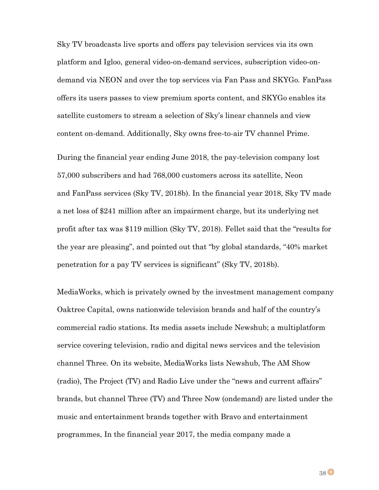Sky TV broadcasts live sports and offers pay television services via its own platform and Igloo, general video-on-demand services, subscription video-ondemand via NEON and over the top services via Fan Pass and SKYGo. FanPass offers its users passes to view premium sports content, and SKYGo enables its satellite customers to stream a selection of Sky's linear channels and view content on-demand. Additionally, Sky owns free-to-air TV channel Prime.

During the financial year ending June 2018, the pay-television company lost 57,000 subscribers and had 768,000 customers across its satellite, Neon and FanPass services (Sky TV, 2018b). In the financial year 2018, Sky TV made a net loss of \$241 million after an impairment charge, but its underlying net profit after tax was \$119 million (Sky TV, 2018). Fellet said that the "results for the year are pleasing", and pointed out that "by global standards, "40% market penetration for a pay TV services is significant" (Sky TV, 2018b).

MediaWorks, which is privately owned by the investment management company Oaktree Capital, owns nationwide television brands and half of the country's commercial radio stations. Its media assets include Newshub; a multiplatform service covering television, radio and digital news services and the television channel Three. On its website, MediaWorks lists Newshub, The AM Show (radio), The Project (TV) and Radio Live under the "news and current affairs" brands, but channel Three (TV) and Three Now (ondemand) are listed under the music and entertainment brands together with Bravo and entertainment programmes, In the financial year 2017, the media company made a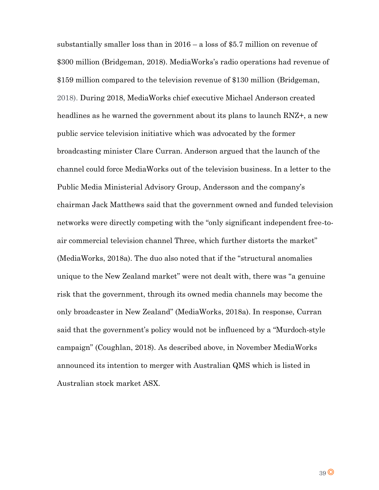substantially smaller loss than in 2016 – a loss of \$5.7 million on revenue of \$300 million (Bridgeman, 2018). MediaWorks's radio operations had revenue of \$159 million compared to the television revenue of \$130 million (Bridgeman, 2018). During 2018, MediaWorks chief executive Michael Anderson created headlines as he warned the government about its plans to launch RNZ+, a new public service television initiative which was advocated by the former broadcasting minister Clare Curran. Anderson argued that the launch of the channel could force MediaWorks out of the television business. In a letter to the Public Media Ministerial Advisory Group, Andersson and the company's chairman Jack Matthews said that the government owned and funded television networks were directly competing with the "only significant independent free-toair commercial television channel Three, which further distorts the market" (MediaWorks, 2018a). The duo also noted that if the "structural anomalies unique to the New Zealand market" were not dealt with, there was "a genuine risk that the government, through its owned media channels may become the only broadcaster in New Zealand" (MediaWorks, 2018a). In response, Curran said that the government's policy would not be influenced by a "Murdoch-style campaign" (Coughlan, 2018). As described above, in November MediaWorks announced its intention to merger with Australian QMS which is listed in Australian stock market ASX.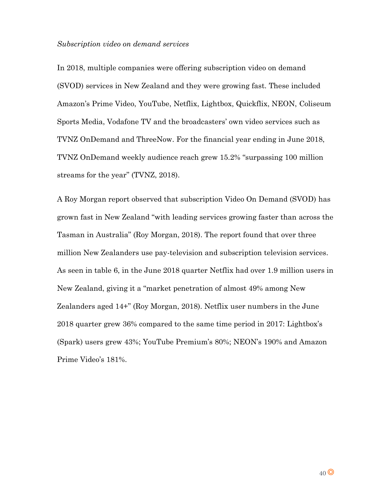#### *Subscription video on demand services*

In 2018, multiple companies were offering subscription video on demand (SVOD) services in New Zealand and they were growing fast. These included Amazon's Prime Video, YouTube, Netflix, Lightbox, Quickflix, NEON, Coliseum Sports Media, Vodafone TV and the broadcasters' own video services such as TVNZ OnDemand and ThreeNow. For the financial year ending in June 2018, TVNZ OnDemand weekly audience reach grew 15.2% "surpassing 100 million streams for the year" (TVNZ, 2018).

A Roy Morgan report observed that subscription Video On Demand (SVOD) has grown fast in New Zealand "with leading services growing faster than across the Tasman in Australia" (Roy Morgan, 2018). The report found that over three million New Zealanders use pay-television and subscription television services. As seen in table 6, in the June 2018 quarter Netflix had over 1.9 million users in New Zealand, giving it a "market penetration of almost 49% among New Zealanders aged 14+" (Roy Morgan, 2018). Netflix user numbers in the June 2018 quarter grew 36% compared to the same time period in 2017: Lightbox's (Spark) users grew 43%; YouTube Premium's 80%; NEON's 190% and Amazon Prime Video's 181%.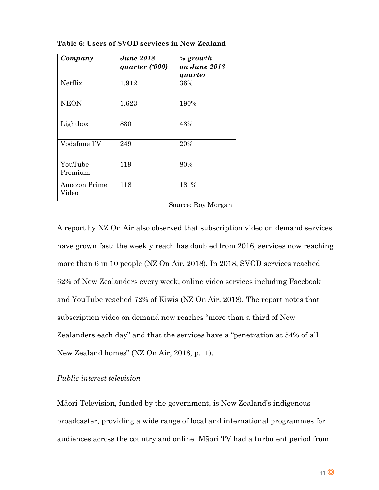| Company                      | <b>June 2018</b><br>quarter ('000) | $%$ growth<br>on June 2018<br>quarter |
|------------------------------|------------------------------------|---------------------------------------|
| <b>Netflix</b>               | 1,912                              | 36%                                   |
| <b>NEON</b>                  | 1,623                              | 190%                                  |
| Lightbox                     | 830                                | 43%                                   |
| Vodafone TV                  | 249                                | 20%                                   |
| YouTube<br>Premium           | 119                                | 80%                                   |
| <b>Amazon Prime</b><br>Video | 118                                | 181%                                  |

**Table 6: Users of SVOD services in New Zealand**

A report by NZ On Air also observed that subscription video on demand services have grown fast: the weekly reach has doubled from 2016, services now reaching more than 6 in 10 people (NZ On Air, 2018). In 2018, SVOD services reached 62% of New Zealanders every week; online video services including Facebook and YouTube reached 72% of Kiwis (NZ On Air, 2018). The report notes that subscription video on demand now reaches "more than a third of New Zealanders each day" and that the services have a "penetration at 54% of all New Zealand homes" (NZ On Air, 2018, p.11).

# *Public interest television*

Māori Television, funded by the government, is New Zealand's indigenous broadcaster, providing a wide range of local and international programmes for audiences across the country and online. Māori TV had a turbulent period from

Source: Roy Morgan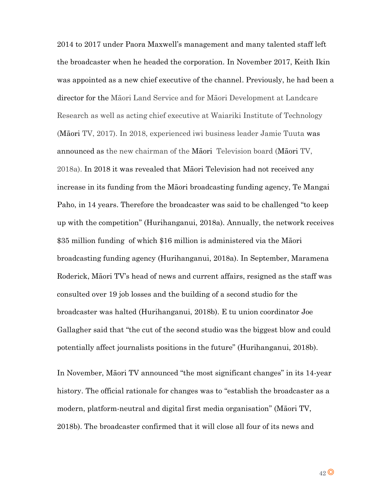2014 to 2017 under Paora Maxwell's management and many talented staff left the broadcaster when he headed the corporation. In November 2017, Keith Ikin was appointed as a new chief executive of the channel. Previously, he had been a director for the Māori Land Service and for Māori Development at Landcare Research as well as acting chief executive at Waiariki Institute of Technology (Māori TV, 2017). In 2018, experienced iwi business leader Jamie Tuuta was announced as the new chairman of the Māori Television board (Māori TV, 2018a). In 2018 it was revealed that Māori Television had not received any increase in its funding from the Māori broadcasting funding agency, Te Mangai Paho, in 14 years. Therefore the broadcaster was said to be challenged "to keep up with the competition" (Hurihanganui, 2018a). Annually, the network receives \$35 million funding of which \$16 million is administered via the Māori broadcasting funding agency (Hurihanganui, 2018a). In September, Maramena Roderick, Māori TV's head of news and current affairs, resigned as the staff was consulted over 19 job losses and the building of a second studio for the broadcaster was halted (Hurihanganui, 2018b). E tu union coordinator Joe Gallagher said that "the cut of the second studio was the biggest blow and could potentially affect journalists positions in the future" (Hurihanganui, 2018b).

In November, Māori TV announced "the most significant changes" in its 14-year history. The official rationale for changes was to "establish the broadcaster as a modern, platform-neutral and digital first media organisation" (Māori TV, 2018b). The broadcaster confirmed that it will close all four of its news and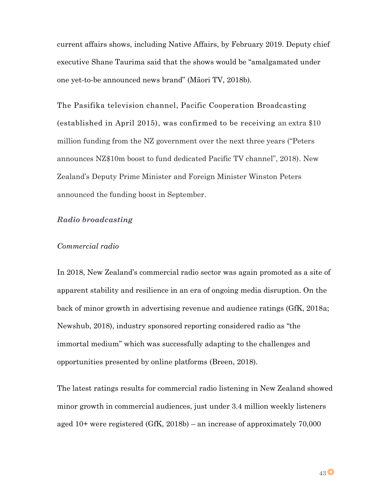current affairs shows, including Native Affairs, by February 2019. Deputy chief executive Shane Taurima said that the shows would be "amalgamated under one yet-to-be announced news brand" (Māori TV, 2018b).

The Pasifika television channel, Pacific Cooperation Broadcasting (established in April 2015), was confirmed to be receiving an extra \$10 million funding from the NZ government over the next three years ("Peters announces NZ\$10m boost to fund dedicated Pacific TV channel", 2018). New Zealand's Deputy Prime Minister and Foreign Minister Winston Peters announced the funding boost in September.

# *Radio broadcasting*

## *Commercial radio*

In 2018, New Zealand's commercial radio sector was again promoted as a site of apparent stability and resilience in an era of ongoing media disruption. On the back of minor growth in advertising revenue and audience ratings (GfK, 2018a; Newshub, 2018), industry sponsored reporting considered radio as "the immortal medium" which was successfully adapting to the challenges and opportunities presented by online platforms (Breen, 2018).

The latest ratings results for commercial radio listening in New Zealand showed minor growth in commercial audiences, just under 3.4 million weekly listeners aged 10+ were registered (GfK, 2018b) – an increase of approximately 70,000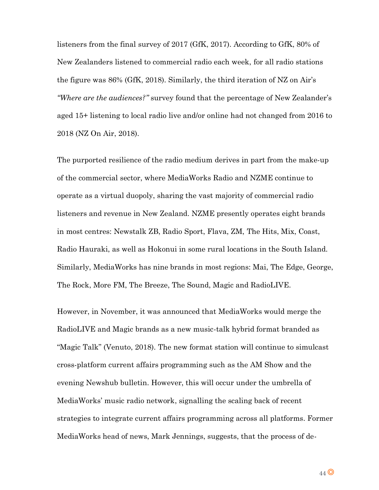listeners from the final survey of 2017 (GfK, 2017). According to GfK, 80% of New Zealanders listened to commercial radio each week, for all radio stations the figure was 86% (GfK, 2018). Similarly, the third iteration of NZ on Air's *"Where are the audiences?"* survey found that the percentage of New Zealander's aged 15+ listening to local radio live and/or online had not changed from 2016 to 2018 (NZ On Air, 2018).

The purported resilience of the radio medium derives in part from the make-up of the commercial sector, where MediaWorks Radio and NZME continue to operate as a virtual duopoly, sharing the vast majority of commercial radio listeners and revenue in New Zealand. NZME presently operates eight brands in most centres: Newstalk ZB, Radio Sport, Flava, ZM, The Hits, Mix, Coast, Radio Hauraki, as well as Hokonui in some rural locations in the South Island. Similarly, MediaWorks has nine brands in most regions: Mai, The Edge, George, The Rock, More FM, The Breeze, The Sound, Magic and RadioLIVE.

However, in November, it was announced that MediaWorks would merge the RadioLIVE and Magic brands as a new music-talk hybrid format branded as "Magic Talk" (Venuto, 2018). The new format station will continue to simulcast cross-platform current affairs programming such as the AM Show and the evening Newshub bulletin. However, this will occur under the umbrella of MediaWorks' music radio network, signalling the scaling back of recent strategies to integrate current affairs programming across all platforms. Former MediaWorks head of news, Mark Jennings, suggests, that the process of de-

44 $\odot$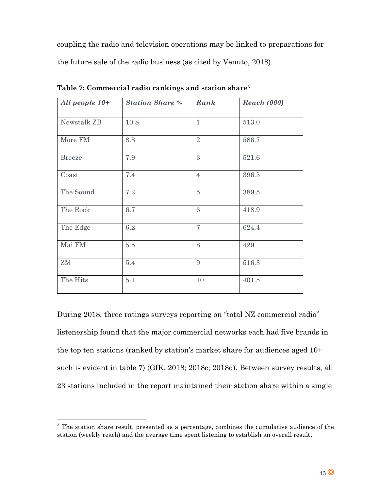coupling the radio and television operations may be linked to preparations for the future sale of the radio business (as cited by Venuto, 2018).

| All people $10+$ | <b>Station Share %</b> | Rank           | <b>Reach (000)</b> |
|------------------|------------------------|----------------|--------------------|
| Newstalk ZB      | 10.8                   | $\mathbf{1}$   | 513.0              |
| More FM          | 8.8                    | $\overline{2}$ | 586.7              |
| <b>Breeze</b>    | 7.9                    | 3              | 521.6              |
| Coast            | 7.4                    | $\overline{4}$ | 396.5              |
| The Sound        | 7.2                    | $\overline{5}$ | 389.5              |
| The Rock         | 6.7                    | 6              | 418.9              |
| The Edge         | 6.2                    | $\overline{7}$ | 624.4              |
| Mai ${\rm FM}$   | $5.5$                  | 8              | 429                |
| ZM               | 5.4                    | 9              | 516.3              |
| The Hits         | 5.1                    | 10             | 401.5              |

**Table 7: Commercial radio rankings and station share<sup>3</sup>**

During 2018, three ratings surveys reporting on "total NZ commercial radio" listenership found that the major commercial networks each had five brands in the top ten stations (ranked by station's market share for audiences aged 10+ such is evident in table 7) (GfK, 2018; 2018c; 2018d). Between survey results, all 23 stations included in the report maintained their station share within a single

 $\overline{a}$ 

<sup>&</sup>lt;sup>3</sup> The station share result, presented as a percentage, combines the cumulative audience of the station (weekly reach) and the average time spent listening to establish an overall result.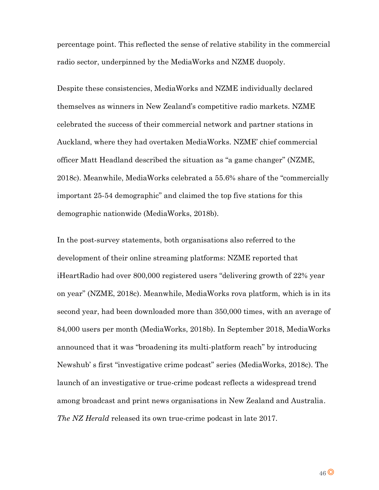percentage point. This reflected the sense of relative stability in the commercial radio sector, underpinned by the MediaWorks and NZME duopoly.

Despite these consistencies, MediaWorks and NZME individually declared themselves as winners in New Zealand's competitive radio markets. NZME celebrated the success of their commercial network and partner stations in Auckland, where they had overtaken MediaWorks. NZME' chief commercial officer Matt Headland described the situation as "a game changer" (NZME, 2018c). Meanwhile, MediaWorks celebrated a 55.6% share of the "commercially important 25-54 demographic" and claimed the top five stations for this demographic nationwide (MediaWorks, 2018b).

In the post-survey statements, both organisations also referred to the development of their online streaming platforms: NZME reported that iHeartRadio had over 800,000 registered users "delivering growth of 22% year on year" (NZME, 2018c). Meanwhile, MediaWorks rova platform, which is in its second year, had been downloaded more than 350,000 times, with an average of 84,000 users per month (MediaWorks, 2018b). In September 2018, MediaWorks announced that it was "broadening its multi-platform reach" by introducing Newshub' s first "investigative crime podcast" series (MediaWorks, 2018c). The launch of an investigative or true-crime podcast reflects a widespread trend among broadcast and print news organisations in New Zealand and Australia. *The NZ Herald* released its own true-crime podcast in late 2017.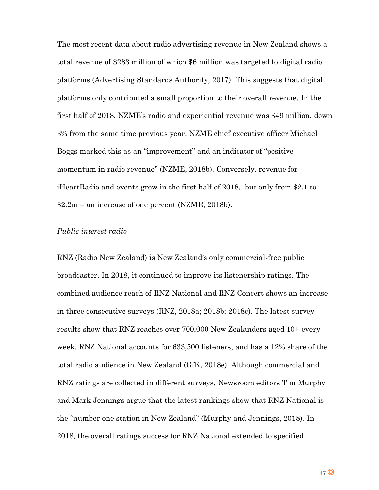The most recent data about radio advertising revenue in New Zealand shows a total revenue of \$283 million of which \$6 million was targeted to digital radio platforms (Advertising Standards Authority, 2017). This suggests that digital platforms only contributed a small proportion to their overall revenue. In the first half of 2018, NZME's radio and experiential revenue was \$49 million, down 3% from the same time previous year. NZME chief executive officer Michael Boggs marked this as an "improvement" and an indicator of "positive momentum in radio revenue" (NZME, 2018b). Conversely, revenue for iHeartRadio and events grew in the first half of 2018, but only from \$2.1 to \$2.2m – an increase of one percent (NZME, 2018b).

# *Public interest radio*

RNZ (Radio New Zealand) is New Zealand's only commercial-free public broadcaster. In 2018, it continued to improve its listenership ratings. The combined audience reach of RNZ National and RNZ Concert shows an increase in three consecutive surveys (RNZ, 2018a; 2018b; 2018c). The latest survey results show that RNZ reaches over 700,000 New Zealanders aged 10+ every week. RNZ National accounts for 633,500 listeners, and has a 12% share of the total radio audience in New Zealand (GfK, 2018e). Although commercial and RNZ ratings are collected in different surveys, Newsroom editors Tim Murphy and Mark Jennings argue that the latest rankings show that RNZ National is the "number one station in New Zealand" (Murphy and Jennings, 2018). In 2018, the overall ratings success for RNZ National extended to specified

 $47$ <sup>O</sup>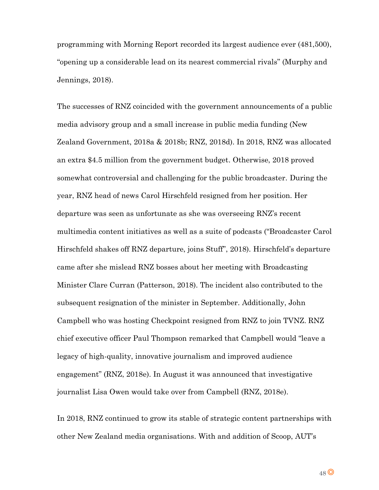programming with Morning Report recorded its largest audience ever (481,500), "opening up a considerable lead on its nearest commercial rivals" (Murphy and Jennings, 2018).

The successes of RNZ coincided with the government announcements of a public media advisory group and a small increase in public media funding (New Zealand Government, 2018a & 2018b; RNZ, 2018d). In 2018, RNZ was allocated an extra \$4.5 million from the government budget. Otherwise, 2018 proved somewhat controversial and challenging for the public broadcaster. During the year, RNZ head of news Carol Hirschfeld resigned from her position. Her departure was seen as unfortunate as she was overseeing RNZ's recent multimedia content initiatives as well as a suite of podcasts ("Broadcaster Carol Hirschfeld shakes off RNZ departure, joins Stuff", 2018). Hirschfeld's departure came after she mislead RNZ bosses about her meeting with Broadcasting Minister Clare Curran (Patterson, 2018). The incident also contributed to the subsequent resignation of the minister in September. Additionally, John Campbell who was hosting Checkpoint resigned from RNZ to join TVNZ. RNZ chief executive officer Paul Thompson remarked that Campbell would "leave a legacy of high-quality, innovative journalism and improved audience engagement" (RNZ, 2018e). In August it was announced that investigative journalist Lisa Owen would take over from Campbell (RNZ, 2018e).

In 2018, RNZ continued to grow its stable of strategic content partnerships with other New Zealand media organisations. With and addition of Scoop, AUT's

48<sup>O</sup>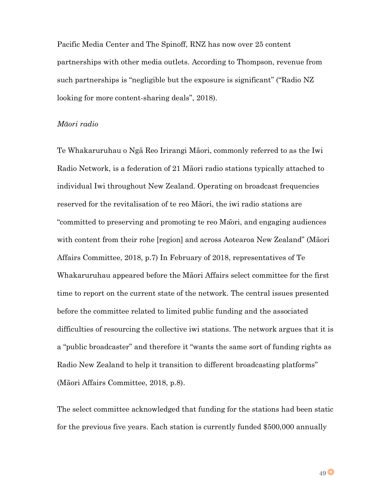Pacific Media Center and The Spinoff, RNZ has now over 25 content partnerships with other media outlets. According to Thompson, revenue from such partnerships is "negligible but the exposure is significant" ("Radio NZ looking for more content-sharing deals", 2018).

# *Māori radio*

Te Whakaruruhau o Ngā Reo Irirangi Māori, commonly referred to as the Iwi Radio Network, is a federation of 21 Māori radio stations typically attached to individual Iwi throughout New Zealand. Operating on broadcast frequencies reserved for the revitalisation of te reo Māori, the iwi radio stations are "committed to preserving and promoting te reo Māori, and engaging audiences with content from their rohe [region] and across Aotearoa New Zealand" (Māori Affairs Committee, 2018, p.7) In February of 2018, representatives of Te Whakaruruhau appeared before the Māori Affairs select committee for the first time to report on the current state of the network. The central issues presented before the committee related to limited public funding and the associated difficulties of resourcing the collective iwi stations. The network argues that it is a "public broadcaster" and therefore it "wants the same sort of funding rights as Radio New Zealand to help it transition to different broadcasting platforms" (Māori Affairs Committee, 2018, p.8).

The select committee acknowledged that funding for the stations had been static for the previous five years. Each station is currently funded \$500,000 annually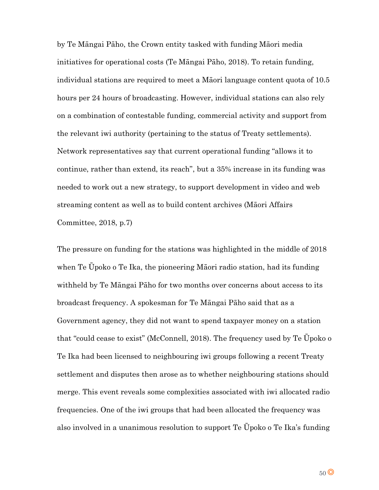by Te Māngai Pāho, the Crown entity tasked with funding Māori media initiatives for operational costs (Te Māngai Pāho, 2018). To retain funding, individual stations are required to meet a Māori language content quota of 10.5 hours per 24 hours of broadcasting. However, individual stations can also rely on a combination of contestable funding, commercial activity and support from the relevant iwi authority (pertaining to the status of Treaty settlements). Network representatives say that current operational funding "allows it to continue, rather than extend, its reach", but a 35% increase in its funding was needed to work out a new strategy, to support development in video and web streaming content as well as to build content archives (Māori Affairs Committee, 2018, p.7)

The pressure on funding for the stations was highlighted in the middle of 2018 when Te Ūpoko o Te Ika, the pioneering Māori radio station, had its funding withheld by Te Māngai Pāho for two months over concerns about access to its broadcast frequency. A spokesman for Te Māngai Pāho said that as a Government agency, they did not want to spend taxpayer money on a station that "could cease to exist" (McConnell, 2018). The frequency used by Te Ūpoko o Te Ika had been licensed to neighbouring iwi groups following a recent Treaty settlement and disputes then arose as to whether neighbouring stations should merge. This event reveals some complexities associated with iwi allocated radio frequencies. One of the iwi groups that had been allocated the frequency was also involved in a unanimous resolution to support Te Ūpoko o Te Ika's funding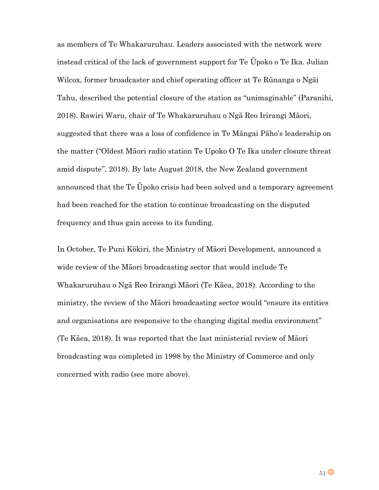as members of Te Whakaruruhau. Leaders associated with the network were instead critical of the lack of government support for Te Ūpoko o Te Ika. Julian Wilcox, former broadcaster and chief operating officer at Te Rūnanga o Ngāi Tahu, described the potential closure of the station as "unimaginable" (Paranihi, 2018). Rawiri Waru, chair of Te Whakaruruhau o Ngā Reo Irirangi Māori, suggested that there was a loss of confidence in Te Māngai Pāho's leadership on the matter ("Oldest Māori radio station Te Upoko O Te Ika under closure threat amid dispute", 2018). By late August 2018, the New Zealand government announced that the Te Ūpoko crisis had been solved and a temporary agreement had been reached for the station to continue broadcasting on the disputed frequency and thus gain access to its funding.

In October, Te Puni Kōkiri, the Ministry of Māori Development, announced a wide review of the Māori broadcasting sector that would include Te Whakaruruhau o Ngā Reo Irirangi Māori (Te Kāea, 2018). According to the ministry, the review of the Māori broadcasting sector would "ensure its entities and organisations are responsive to the changing digital media environment" (Te Kāea, 2018). It was reported that the last ministerial review of Māori broadcasting was completed in 1998 by the Ministry of Commerce and only concerned with radio (see more above).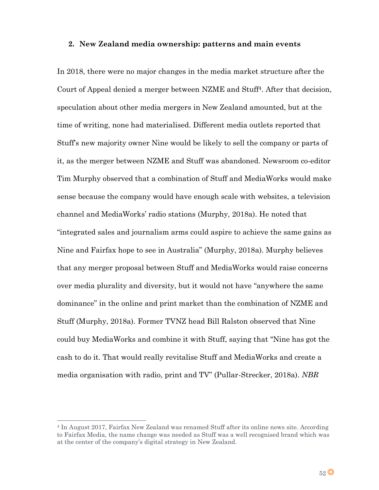#### **2. New Zealand media ownership: patterns and main events**

In 2018, there were no major changes in the media market structure after the Court of Appeal denied a merger between NZME and Stuff4. After that decision, speculation about other media mergers in New Zealand amounted, but at the time of writing, none had materialised. Different media outlets reported that Stuff's new majority owner Nine would be likely to sell the company or parts of it, as the merger between NZME and Stuff was abandoned. Newsroom co-editor Tim Murphy observed that a combination of Stuff and MediaWorks would make sense because the company would have enough scale with websites, a television channel and MediaWorks' radio stations (Murphy, 2018a). He noted that "integrated sales and journalism arms could aspire to achieve the same gains as Nine and Fairfax hope to see in Australia" (Murphy, 2018a). Murphy believes that any merger proposal between Stuff and MediaWorks would raise concerns over media plurality and diversity, but it would not have "anywhere the same dominance" in the online and print market than the combination of NZME and Stuff (Murphy, 2018a). Former TVNZ head Bill Ralston observed that Nine could buy MediaWorks and combine it with Stuff, saying that "Nine has got the cash to do it. That would really revitalise Stuff and MediaWorks and create a media organisation with radio, print and TV" (Pullar-Strecker, 2018a). *NBR* 

 $\overline{a}$ 

<sup>4</sup> In August 2017, Fairfax New Zealand was renamed Stuff after its online news site. According to Fairfax Media, the name change was needed as Stuff was a well recognised brand which was at the center of the company's digital strategy in New Zealand.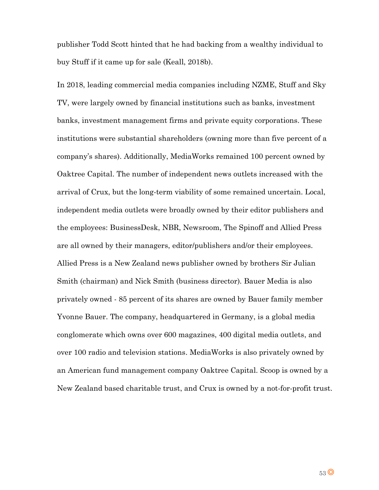publisher Todd Scott hinted that he had backing from a wealthy individual to buy Stuff if it came up for sale (Keall, 2018b).

In 2018, leading commercial media companies including NZME, Stuff and Sky TV, were largely owned by financial institutions such as banks, investment banks, investment management firms and private equity corporations. These institutions were substantial shareholders (owning more than five percent of a company's shares). Additionally, MediaWorks remained 100 percent owned by Oaktree Capital. The number of independent news outlets increased with the arrival of Crux, but the long-term viability of some remained uncertain. Local, independent media outlets were broadly owned by their editor publishers and the employees: BusinessDesk, NBR, Newsroom, The Spinoff and Allied Press are all owned by their managers, editor/publishers and/or their employees. Allied Press is a New Zealand news publisher owned by brothers Sir Julian Smith (chairman) and Nick Smith (business director). Bauer Media is also privately owned - 85 percent of its shares are owned by Bauer family member Yvonne Bauer. The company, headquartered in Germany, is a global media conglomerate which owns over 600 magazines, 400 digital media outlets, and over 100 radio and television stations. MediaWorks is also privately owned by an American fund management company Oaktree Capital. Scoop is owned by a New Zealand based charitable trust, and Crux is owned by a not-for-profit trust.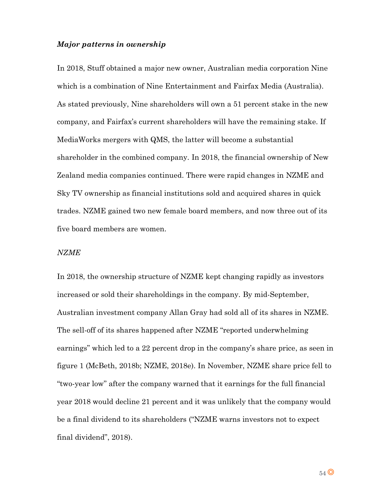# *Major patterns in ownership*

In 2018, Stuff obtained a major new owner, Australian media corporation Nine which is a combination of Nine Entertainment and Fairfax Media (Australia). As stated previously, Nine shareholders will own a 51 percent stake in the new company, and Fairfax's current shareholders will have the remaining stake. If MediaWorks mergers with QMS, the latter will become a substantial shareholder in the combined company. In 2018, the financial ownership of New Zealand media companies continued. There were rapid changes in NZME and Sky TV ownership as financial institutions sold and acquired shares in quick trades. NZME gained two new female board members, and now three out of its five board members are women.

## *NZME*

In 2018, the ownership structure of NZME kept changing rapidly as investors increased or sold their shareholdings in the company. By mid-September, Australian investment company Allan Gray had sold all of its shares in NZME. The sell-off of its shares happened after NZME "reported underwhelming earnings" which led to a 22 percent drop in the company's share price, as seen in figure 1 (McBeth, 2018b; NZME, 2018e). In November, NZME share price fell to "two-year low" after the company warned that it earnings for the full financial year 2018 would decline 21 percent and it was unlikely that the company would be a final dividend to its shareholders ("NZME warns investors not to expect final dividend", 2018).

 $54$ <sup>O</sup>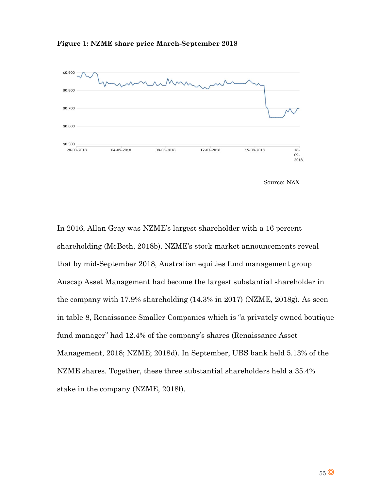





In 2016, Allan Gray was NZME's largest shareholder with a 16 percent shareholding (McBeth, 2018b). NZME's stock market announcements reveal that by mid-September 2018, Australian equities fund management group Auscap Asset Management had become the largest substantial shareholder in the company with 17.9% shareholding (14.3% in 2017) (NZME, 2018g). As seen in table 8, Renaissance Smaller Companies which is "a privately owned boutique fund manager" had 12.4% of the company's shares (Renaissance Asset Management, 2018; NZME; 2018d). In September, UBS bank held 5.13% of the NZME shares. Together, these three substantial shareholders held a 35.4% stake in the company (NZME, 2018f).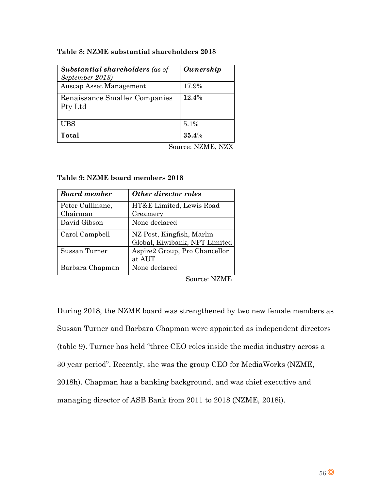# **Table 8: NZME substantial shareholders 2018**

| <b>Substantial shareholders</b> (as of<br>September 2018) | Ownership |
|-----------------------------------------------------------|-----------|
| Auscap Asset Management                                   | 17.9%     |
| Renaissance Smaller Companies<br>Pty Ltd                  | 12.4%     |
| <b>UBS</b>                                                | 5.1%      |
| Total                                                     | 35.4%     |

Source: NZME, NZX

| <b>Board member</b> | Other director roles          |
|---------------------|-------------------------------|
| Peter Cullinane,    | HT&E Limited, Lewis Road      |
| Chairman            | Creamery                      |
| David Gibson        | None declared                 |
| Carol Campbell      | NZ Post, Kingfish, Marlin     |
|                     | Global, Kiwibank, NPT Limited |
| Sussan Turner       | Aspire2 Group, Pro Chancellor |
|                     | at AUT                        |
| Barbara Chapman     | None declared                 |

## **Table 9: NZME board members 2018**

Source: NZME

During 2018, the NZME board was strengthened by two new female members as Sussan Turner and Barbara Chapman were appointed as independent directors (table 9). Turner has held "three CEO roles inside the media industry across a 30 year period". Recently, she was the group CEO for MediaWorks (NZME, 2018h). Chapman has a banking background, and was chief executive and managing director of ASB Bank from 2011 to 2018 (NZME, 2018i).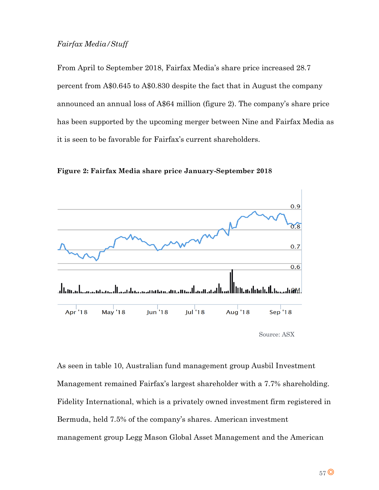# *Fairfax Media/Stuff*

From April to September 2018, Fairfax Media's share price increased 28.7 percent from A\$0.645 to A\$0.830 despite the fact that in August the company announced an annual loss of A\$64 million (figure 2). The company's share price has been supported by the upcoming merger between Nine and Fairfax Media as it is seen to be favorable for Fairfax's current shareholders.

**Figure 2: Fairfax Media share price January-September 2018**



As seen in table 10, Australian fund management group Ausbil Investment Management remained Fairfax's largest shareholder with a 7.7% shareholding. Fidelity International, which is a privately owned investment firm registered in Bermuda, held 7.5% of the company's shares. American investment management group Legg Mason Global Asset Management and the American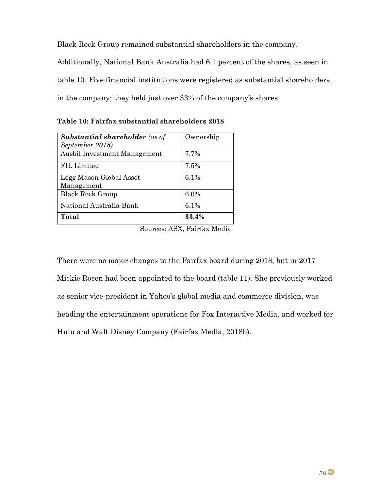Black Rock Group remained substantial shareholders in the company.

Additionally, National Bank Australia had 6.1 percent of the shares, as seen in table 10. Five financial institutions were registered as substantial shareholders in the company; they held just over 33% of the company's shares.

| <b>Substantial shareholder</b> (as of<br>September 2018) | Ownership |
|----------------------------------------------------------|-----------|
| Ausbil Investment Management                             | 7.7%      |
| FIL Limited                                              | 7.5%      |
| Legg Mason Global Asset<br>Management                    | 6.1%      |
| <b>Black Rock Group</b>                                  | $6.0\%$   |
| National Australia Bank                                  | 6.1%      |
| Total                                                    | 33.4%     |

**Table 10: Fairfax substantial shareholders 2018**

Sources: ASX, Fairfax Media

There were no major changes to the Fairfax board during 2018, but in 2017 Mickie Rosen had been appointed to the board (table 11). She previously worked as senior vice-president in Yahoo's global media and commerce division, was heading the entertainment operations for Fox Interactive Media, and worked for Hulu and Walt Disney Company (Fairfax Media, 2018b).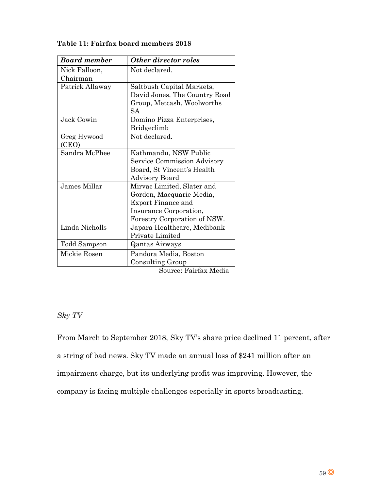| <b>Board member</b> | <b>Other director roles</b>        |
|---------------------|------------------------------------|
| Nick Falloon,       | Not declared.                      |
| Chairman            |                                    |
| Patrick Allaway     | Saltbush Capital Markets,          |
|                     | David Jones, The Country Road      |
|                     | Group, Metcash, Woolworths         |
|                     | SА                                 |
| Jack Cowin          | Domino Pizza Enterprises,          |
|                     | <b>Bridgeclimb</b>                 |
| Greg Hywood         | Not declared.                      |
| (CEO)               |                                    |
| Sandra McPhee       | Kathmandu, NSW Public              |
|                     | <b>Service Commission Advisory</b> |
|                     | Board, St Vincent's Health         |
|                     | Advisory Board                     |
| James Millar        | Mirvac Limited, Slater and         |
|                     | Gordon, Macquarie Media,           |
|                     | <b>Export Finance and</b>          |
|                     | Insurance Corporation,             |
|                     | Forestry Corporation of NSW.       |
| Linda Nicholls      | Japara Healthcare, Medibank        |
|                     | Private Limited                    |
| Todd Sampson        | <b>Qantas Airways</b>              |
| Mickie Rosen        | Pandora Media, Boston              |
|                     | Consulting Group                   |

**Table 11: Fairfax board members 2018**

Source: Fairfax Media

# *Sky TV*

From March to September 2018, Sky TV's share price declined 11 percent, after a string of bad news. Sky TV made an annual loss of \$241 million after an impairment charge, but its underlying profit was improving. However, the company is facing multiple challenges especially in sports broadcasting.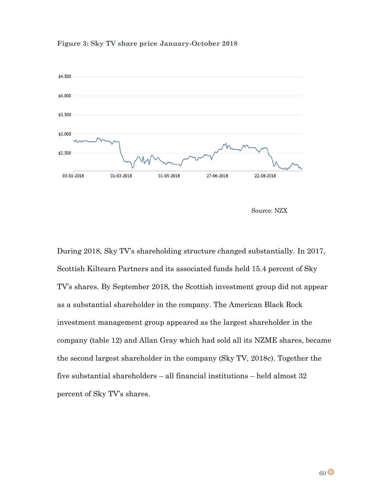

#### **Figure 3: Sky TV share price January-October 2018**

Source: NZX

During 2018, Sky TV's shareholding structure changed substantially. In 2017, Scottish Kiltearn Partners and its associated funds held 15.4 percent of Sky TV's shares. By September 2018, the Scottish investment group did not appear as a substantial shareholder in the company. The American Black Rock investment management group appeared as the largest shareholder in the company (table 12) and Allan Gray which had sold all its NZME shares, became the second largest shareholder in the company (Sky TV, 2018c). Together the five substantial shareholders – all financial institutions – held almost 32 percent of Sky TV's shares.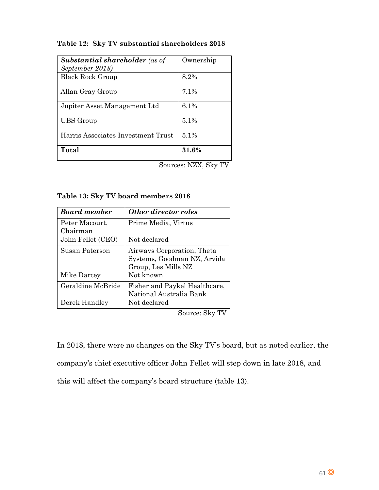# **Table 12: Sky TV substantial shareholders 2018**

| <b>Substantial shareholder</b> (as of | Ownership |
|---------------------------------------|-----------|
| September 2018)                       |           |
| <b>Black Rock Group</b>               | 8.2%      |
| Allan Gray Group                      | 7.1%      |
| Jupiter Asset Management Ltd          | 6.1%      |
| <b>UBS</b> Group                      | $5.1\%$   |
| Harris Associates Investment Trust    | $5.1\%$   |
| Total                                 | 31.6%     |

Sources: NZX, Sky TV

|  |  |  | Table 13: Sky TV board members 2018 |  |
|--|--|--|-------------------------------------|--|
|--|--|--|-------------------------------------|--|

| <b>Board member</b> | <b>Other director roles</b>   |
|---------------------|-------------------------------|
| Peter Macourt,      | Prime Media, Virtus           |
| Chairman            |                               |
| John Fellet (CEO)   | Not declared                  |
| Susan Paterson      | Airways Corporation, Theta    |
|                     | Systems, Goodman NZ, Arvida   |
|                     | Group, Les Mills NZ           |
| Mike Darcey         | Not known                     |
| Geraldine McBride   | Fisher and Paykel Healthcare, |
|                     | National Australia Bank       |
| Derek Handley       | Not declared                  |

Source: Sky TV

In 2018, there were no changes on the Sky TV's board, but as noted earlier, the company's chief executive officer John Fellet will step down in late 2018, and this will affect the company's board structure (table 13).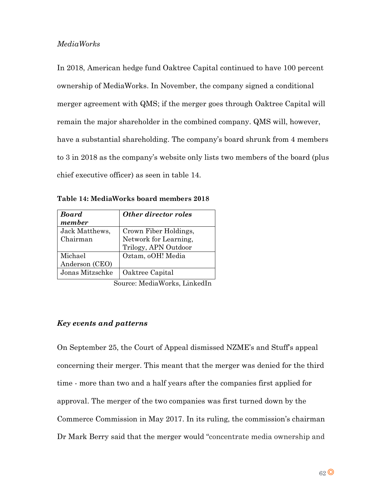# *MediaWorks*

In 2018, American hedge fund Oaktree Capital continued to have 100 percent ownership of MediaWorks. In November, the company signed a conditional merger agreement with QMS; if the merger goes through Oaktree Capital will remain the major shareholder in the combined company. QMS will, however, have a substantial shareholding. The company's board shrunk from 4 members to 3 in 2018 as the company's website only lists two members of the board (plus chief executive officer) as seen in table 14.

| <b>Board</b>    | <b>Other director roles</b> |
|-----------------|-----------------------------|
| member          |                             |
| Jack Matthews,  | Crown Fiber Holdings,       |
| Chairman        | Network for Learning,       |
|                 | Trilogy, APN Outdoor        |
| Michael         | Oztam, oOH! Media           |
| Anderson (CEO)  |                             |
| Jonas Mitzschke | Oaktree Capital             |

**Table 14: MediaWorks board members 2018**

Source: MediaWorks, LinkedIn

# *Key events and patterns*

On September 25, the Court of Appeal dismissed NZME's and Stuff's appeal concerning their merger. This meant that the merger was denied for the third time - more than two and a half years after the companies first applied for approval. The merger of the two companies was first turned down by the Commerce Commission in May 2017. In its ruling, the commission's chairman Dr Mark Berry said that the merger would "concentrate media ownership and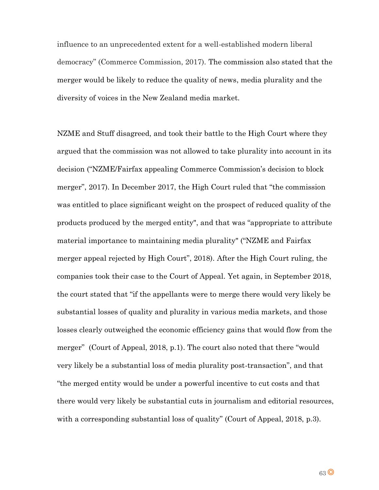influence to an unprecedented extent for a well-established modern liberal democracy" (Commerce Commission, 2017). The commission also stated that the merger would be likely to reduce the quality of news, media plurality and the diversity of voices in the New Zealand media market.

NZME and Stuff disagreed, and took their battle to the High Court where they argued that the commission was not allowed to take plurality into account in its decision ("NZME/Fairfax appealing Commerce Commission's decision to block merger", 2017). In December 2017, the High Court ruled that "the commission was entitled to place significant weight on the prospect of reduced quality of the products produced by the merged entity", and that was "appropriate to attribute material importance to maintaining media plurality" ("NZME and Fairfax merger appeal rejected by High Court", 2018). After the High Court ruling, the companies took their case to the Court of Appeal. Yet again, in September 2018, the court stated that "if the appellants were to merge there would very likely be substantial losses of quality and plurality in various media markets, and those losses clearly outweighed the economic efficiency gains that would flow from the merger" (Court of Appeal, 2018, p.1). The court also noted that there "would very likely be a substantial loss of media plurality post-transaction", and that "the merged entity would be under a powerful incentive to cut costs and that there would very likely be substantial cuts in journalism and editorial resources, with a corresponding substantial loss of quality" (Court of Appeal, 2018, p.3).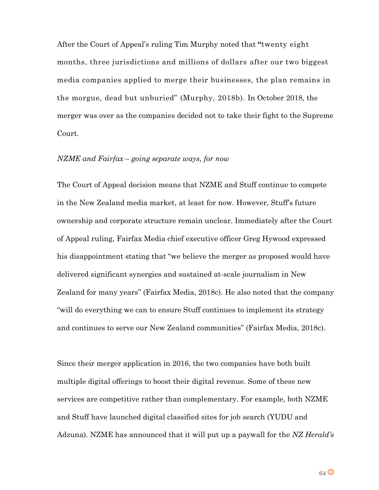After the Court of Appeal's ruling Tim Murphy noted that **"**twenty eight months, three jurisdictions and millions of dollars after our two biggest media companies applied to merge their businesses, the plan remains in the morgue, dead but unburied" (Murphy, 2018b). In October 2018, the merger was over as the companies decided not to take their fight to the Supreme Court.

## *NZME and Fairfax – going separate ways, for now*

The Court of Appeal decision means that NZME and Stuff continue to compete in the New Zealand media market, at least for now. However, Stuff's future ownership and corporate structure remain unclear. Immediately after the Court of Appeal ruling, Fairfax Media chief executive officer Greg Hywood expressed his disappointment stating that "we believe the merger as proposed would have delivered significant synergies and sustained at-scale journalism in New Zealand for many years" (Fairfax Media, 2018c). He also noted that the company "will do everything we can to ensure Stuff continues to implement its strategy and continues to serve our New Zealand communities" (Fairfax Media, 2018c).

Since their merger application in 2016, the two companies have both built multiple digital offerings to boost their digital revenue. Some of these new services are competitive rather than complementary. For example, both NZME and Stuff have launched digital classified sites for job search (YUDU and Adzuna). NZME has announced that it will put up a paywall for the *NZ Herald's*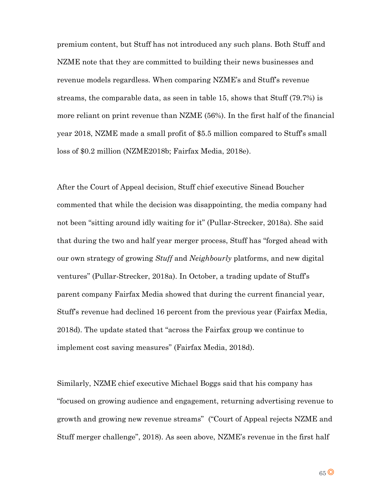premium content, but Stuff has not introduced any such plans. Both Stuff and NZME note that they are committed to building their news businesses and revenue models regardless. When comparing NZME's and Stuff's revenue streams, the comparable data, as seen in table 15, shows that Stuff (79.7%) is more reliant on print revenue than NZME (56%). In the first half of the financial year 2018, NZME made a small profit of \$5.5 million compared to Stuff's small loss of \$0.2 million (NZME2018b; Fairfax Media, 2018e).

After the Court of Appeal decision, Stuff chief executive Sinead Boucher commented that while the decision was disappointing, the media company had not been "sitting around idly waiting for it" (Pullar-Strecker, 2018a). She said that during the two and half year merger process, Stuff has "forged ahead with our own strategy of growing *Stuff* and *Neighbourly* platforms, and new digital ventures" (Pullar-Strecker, 2018a). In October, a trading update of Stuff's parent company Fairfax Media showed that during the current financial year, Stuff's revenue had declined 16 percent from the previous year (Fairfax Media, 2018d). The update stated that "across the Fairfax group we continue to implement cost saving measures" (Fairfax Media, 2018d).

Similarly, NZME chief executive Michael Boggs said that his company has "focused on growing audience and engagement, returning advertising revenue to growth and growing new revenue streams" ("Court of Appeal rejects NZME and Stuff merger challenge", 2018). As seen above, NZME's revenue in the first half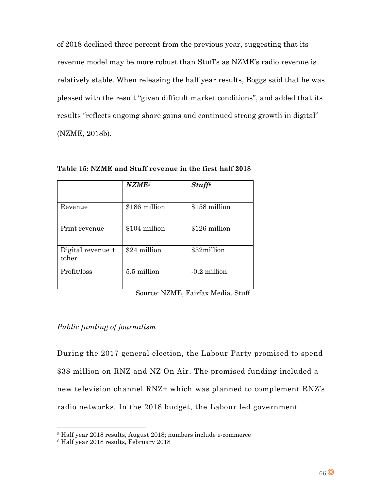of 2018 declined three percent from the previous year, suggesting that its revenue model may be more robust than Stuff's as NZME's radio revenue is relatively stable. When releasing the half year results, Boggs said that he was pleased with the result "given difficult market conditions", and added that its results "reflects ongoing share gains and continued strong growth in digital" (NZME, 2018b).

|                            | NZME <sup>5</sup> | $Stuff^{\epsilon}$ |
|----------------------------|-------------------|--------------------|
| Revenue                    | \$186 million     | \$158 million      |
| Print revenue              | \$104 million     | \$126 million      |
| Digital revenue +<br>other | \$24 million      | \$32million        |
| Profit/loss                | 5.5 million       | $-0.2$ million     |

**Table 15: NZME and Stuff revenue in the first half 2018** 

Source: NZME, Fairfax Media, Stuff

# *Public funding of journalism*

During the 2017 general election, the Labour Party promised to spend \$38 million on RNZ and NZ On Air. The promised funding included a new television channel RNZ+ which was planned to complement RNZ's radio networks. In the 2018 budget, the Labour led government

 $\overline{a}$ 

<sup>5</sup> Half year 2018 results, August 2018; numbers include e-commerce

<sup>6</sup> Half year 2018 results, February 2018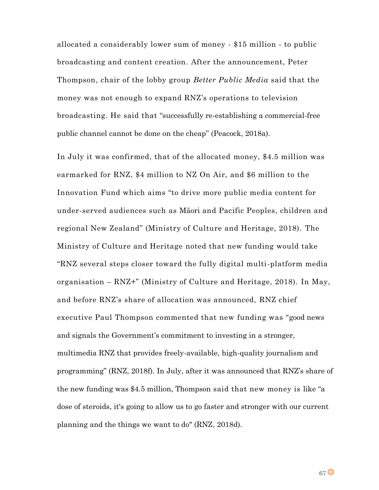allocated a considerably lower sum of money - \$15 million - to public broadcasting and content creation. After the announcement, Peter Thompson, chair of the lobby group *Better Public Media* said that the money was not enough to expand RNZ's operations to television broadcasting. He said that "successfully re-establishing a commercial-free public channel cannot be done on the cheap" (Peacock, 2018a).

In July it was confirmed, that of the allocated money, \$4.5 million was earmarked for RNZ, \$4 million to NZ On Air, and \$6 million to the Innovation Fund which aims "to drive more public media content for under-served audiences such as Māori and Pacific Peoples, children and regional New Zealand" (Ministry of Culture and Heritage, 2018). The Ministry of Culture and Heritage noted that new funding would take "RNZ several steps closer toward the fully digital multi-platform media organisation – RNZ+" (Ministry of Culture and Heritage, 2018). In May, and before RNZ's share of allocation was announced, RNZ chief executive Paul Thompson commented that new funding was "good news and signals the Government's commitment to investing in a stronger, multimedia RNZ that provides freely-available, high-quality journalism and programming" (RNZ, 2018f). In July, after it was announced that RNZ's share of the new funding was \$4.5 million, Thompson said that new money is like "a dose of steroids, it's going to allow us to go faster and stronger with our current planning and the things we want to do" (RNZ, 2018d).

 $67$ <sup>O</sup>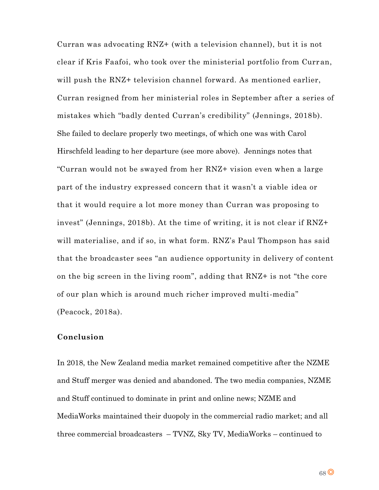Curran was advocating RNZ+ (with a television channel), but it is not clear if Kris Faafoi, who took over the ministerial portfolio from Curr an, will push the RNZ+ television channel forward. As mentioned earlier, Curran resigned from her ministerial roles in September after a series of mistakes which "badly dented Curran's credibility" (Jennings, 2018b). She failed to declare properly two meetings, of which one was with Carol Hirschfeld leading to her departure (see more above). Jennings notes that "Curran would not be swayed from her RNZ+ vision even when a large part of the industry expressed concern that it wasn't a viable idea or that it would require a lot more money than Curran was proposing to invest" (Jennings, 2018b). At the time of writing, it is not clear if RNZ+ will materialise, and if so, in what form. RNZ's Paul Thompson has said that the broadcaster sees "an audience opportunity in delivery of content on the big screen in the living room", adding that RNZ+ is not "the core of our plan which is around much richer improved multi-media" (Peacock, 2018a).

# **Conclusion**

In 2018, the New Zealand media market remained competitive after the NZME and Stuff merger was denied and abandoned. The two media companies, NZME and Stuff continued to dominate in print and online news; NZME and MediaWorks maintained their duopoly in the commercial radio market; and all three commercial broadcasters – TVNZ, Sky TV, MediaWorks – continued to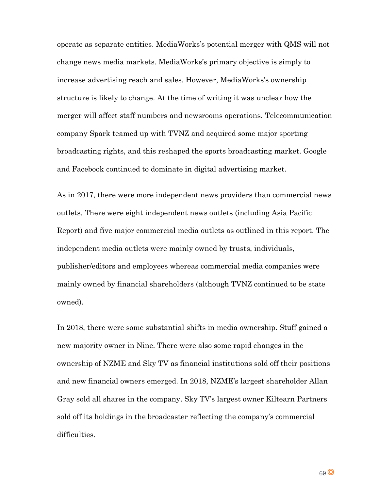operate as separate entities. MediaWorks's potential merger with QMS will not change news media markets. MediaWorks's primary objective is simply to increase advertising reach and sales. However, MediaWorks's ownership structure is likely to change. At the time of writing it was unclear how the merger will affect staff numbers and newsrooms operations. Telecommunication company Spark teamed up with TVNZ and acquired some major sporting broadcasting rights, and this reshaped the sports broadcasting market. Google and Facebook continued to dominate in digital advertising market.

As in 2017, there were more independent news providers than commercial news outlets. There were eight independent news outlets (including Asia Pacific Report) and five major commercial media outlets as outlined in this report. The independent media outlets were mainly owned by trusts, individuals, publisher/editors and employees whereas commercial media companies were mainly owned by financial shareholders (although TVNZ continued to be state owned).

In 2018, there were some substantial shifts in media ownership. Stuff gained a new majority owner in Nine. There were also some rapid changes in the ownership of NZME and Sky TV as financial institutions sold off their positions and new financial owners emerged. In 2018, NZME's largest shareholder Allan Gray sold all shares in the company. Sky TV's largest owner Kiltearn Partners sold off its holdings in the broadcaster reflecting the company's commercial difficulties.

69<sup>O</sup>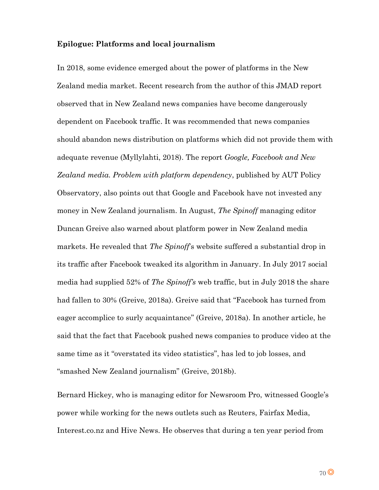# **Epilogue: Platforms and local journalism**

In 2018, some evidence emerged about the power of platforms in the New Zealand media market. Recent research from the author of this JMAD report observed that in New Zealand news companies have become dangerously dependent on Facebook traffic. It was recommended that news companies should abandon news distribution on platforms which did not provide them with adequate revenue (Myllylahti, 2018). The report *Google, Facebook and New Zealand media. Problem with platform dependency*, published by AUT Policy Observatory, also points out that Google and Facebook have not invested any money in New Zealand journalism. In August, *The Spinoff* managing editor Duncan Greive also warned about platform power in New Zealand media markets. He revealed that *The Spinoff*'s website suffered a substantial drop in its traffic after Facebook tweaked its algorithm in January. In July 2017 social media had supplied 52% of *The Spinoff's* web traffic, but in July 2018 the share had fallen to 30% (Greive, 2018a). Greive said that "Facebook has turned from eager accomplice to surly acquaintance" (Greive, 2018a). In another article, he said that the fact that Facebook pushed news companies to produce video at the same time as it "overstated its video statistics", has led to job losses, and "smashed New Zealand journalism" (Greive, 2018b).

Bernard Hickey, who is managing editor for Newsroom Pro, witnessed Google's power while working for the news outlets such as Reuters, Fairfax Media, Interest.co.nz and Hive News. He observes that during a ten year period from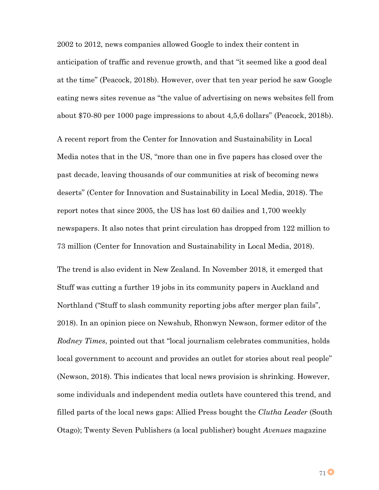2002 to 2012, news companies allowed Google to index their content in anticipation of traffic and revenue growth, and that "it seemed like a good deal at the time" (Peacock, 2018b). However, over that ten year period he saw Google eating news sites revenue as "the value of advertising on news websites fell from about \$70-80 per 1000 page impressions to about 4,5,6 dollars" (Peacock, 2018b).

A recent report from the Center for Innovation and Sustainability in Local Media notes that in the US, "more than one in five papers has closed over the past decade, leaving thousands of our communities at risk of becoming news deserts" (Center for Innovation and Sustainability in Local Media, 2018). The report notes that since 2005, the US has lost 60 dailies and 1,700 weekly newspapers. It also notes that print circulation has dropped from 122 million to 73 million (Center for Innovation and Sustainability in Local Media, 2018).

The trend is also evident in New Zealand. In November 2018, it emerged that Stuff was cutting a further 19 jobs in its community papers in Auckland and Northland ("Stuff to slash community reporting jobs after merger plan fails", 2018). In an opinion piece on Newshub, Rhonwyn Newson, former editor of the *Rodney Times*, pointed out that "local journalism celebrates communities, holds local government to account and provides an outlet for stories about real people" (Newson, 2018). This indicates that local news provision is shrinking. However, some individuals and independent media outlets have countered this trend, and filled parts of the local news gaps: Allied Press bought the *Clutha Leader* (South Otago); Twenty Seven Publishers (a local publisher) bought *Avenues* magazine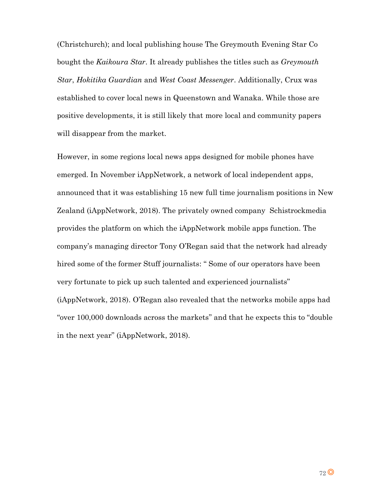(Christchurch); and local publishing house The Greymouth Evening Star Co bought the *Kaikoura Star*. It already publishes the titles such as *Greymouth Star*, *Hokitika Guardian* and *West Coast Messenger*. Additionally, Crux was established to cover local news in Queenstown and Wanaka. While those are positive developments, it is still likely that more local and community papers will disappear from the market.

However, in some regions local news apps designed for mobile phones have emerged. In November iAppNetwork, a network of local independent apps, announced that it was establishing 15 new full time journalism positions in New Zealand (iAppNetwork, 2018). The privately owned company Schistrockmedia provides the platform on which the iAppNetwork mobile apps function. The company's managing director Tony O'Regan said that the network had already hired some of the former Stuff journalists: " Some of our operators have been very fortunate to pick up such talented and experienced journalists" (iAppNetwork, 2018). O'Regan also revealed that the networks mobile apps had "over 100,000 downloads across the markets" and that he expects this to "double in the next year" (iAppNetwork, 2018).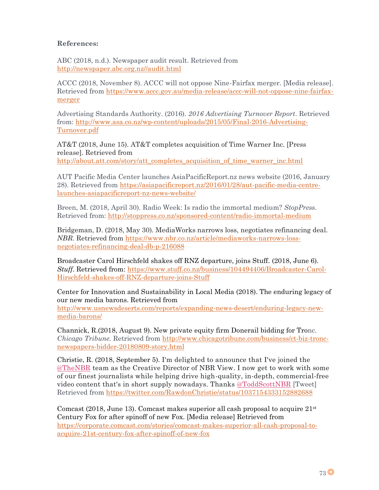## **References:**

ABC (2018, n.d.). Newspaper audit result. Retrieved from [http://newspaper.abc.org.nz//audit.html](http://newspaper.abc.org.nz/audit.html)

ACCC (2018, November 8). ACCC will not oppose Nine-Fairfax merger. [Media release]. Retrieved from [https://www.accc.gov.au/media-release/accc-will-not-oppose-nine-fairfax](https://www.accc.gov.au/media-release/accc-will-not-oppose-nine-fairfax-merger)[merger](https://www.accc.gov.au/media-release/accc-will-not-oppose-nine-fairfax-merger)

Advertising Standards Authority. (2016). *2016 Advertising Turnover Report*. Retrieved from: [http://www.asa.co.nz/wp-content/uploads/2015/05/Final-2016-Advertising-](http://www.asa.co.nz/wp-content/uploads/2015/05/Final-2016-Advertising-Turnover.pdf)[Turnover.pdf](http://www.asa.co.nz/wp-content/uploads/2015/05/Final-2016-Advertising-Turnover.pdf)

AT&T (2018, June 15). AT&T completes acquisition of Time Warner Inc. [Press release]. Retrieved from

[http://about.att.com/story/att\\_completes\\_acquisition\\_of\\_time\\_warner\\_inc.html](http://about.att.com/story/att_completes_acquisition_of_time_warner_inc.html)

AUT Pacific Media Center launches AsiaPacificReport.nz news website (2016, January 28). Retrieved from [https://asiapacificreport.nz/2016/01/28/aut-pacific-media-centre](https://asiapacificreport.nz/2016/01/28/aut-pacific-media-centre-launches-asiapacificreport-nz-news-website/)[launches-asiapacificreport-nz-news-website/](https://asiapacificreport.nz/2016/01/28/aut-pacific-media-centre-launches-asiapacificreport-nz-news-website/)

Breen, M. (2018, April 30). Radio Week: Is radio the immortal medium? *StopPress*. Retrieved from:<http://stoppress.co.nz/sponsored-content/radio-immortal-medium>

Bridgeman, D. (2018, May 30). MediaWorks narrows loss, negotiates refinancing deal. *NBR.* Retrieved from [https://www.nbr.co.nz/article/mediaworks-narrows-loss](https://www.nbr.co.nz/article/mediaworks-narrows-loss-negotiates-refinancing-deal-db-p-216088)[negotiates-refinancing-deal-db-p-216088](https://www.nbr.co.nz/article/mediaworks-narrows-loss-negotiates-refinancing-deal-db-p-216088)

Broadcaster Carol Hirschfeld shakes off RNZ departure, joins Stuff. (2018, June 6). *Stuff*. Retrieved from: [https://www.stuff.co.nz/business/104494406/Broadcaster-Carol-](https://www.stuff.co.nz/business/104494406/Broadcaster-Carol-Hirschfeld-shakes-off-RNZ-departure-joins-Stuff)[Hirschfeld-shakes-off-RNZ-departure-joins-Stuff](https://www.stuff.co.nz/business/104494406/Broadcaster-Carol-Hirschfeld-shakes-off-RNZ-departure-joins-Stuff)

Center for Innovation and Sustainability in Local Media (2018). The enduring legacy of our new media barons. Retrieved from

[http://www.usnewsdeserts.com/reports/expanding-news-desert/enduring-legacy-new](http://www.usnewsdeserts.com/reports/expanding-news-desert/enduring-legacy-new-media-barons/)[media-barons/](http://www.usnewsdeserts.com/reports/expanding-news-desert/enduring-legacy-new-media-barons/)

Channick, R.(2018, August 9). New private equity firm Donerail bidding for Tronc. *Chicago Tribune.* Retrieved from [http://www.chicagotribune.com/business/ct-biz-tronc](http://www.chicagotribune.com/business/ct-biz-tronc-newspapers-bidder-20180809-story.html)[newspapers-bidder-20180809-story.html](http://www.chicagotribune.com/business/ct-biz-tronc-newspapers-bidder-20180809-story.html)

Christie, R. (2018, September 5). I'm delighted to announce that I've joined the [@TheNBR](https://twitter.com/TheNBR) team as the Creative Director of NBR View. I now get to work with some of our finest journalists while helping drive high-quality, in-depth, commercial-free video content that's in short supply nowadays. Thanks [@ToddScottNBR](https://twitter.com/ToddScottNBR) [Tweet] Retrieved from<https://twitter.com/RawdonChristie/status/1037154333152882688>

Comcast (2018, June 13). Comcast makes superior all cash proposal to acquire  $21<sup>st</sup>$ Century Fox for after spinoff of new Fox. [Media release] Retrieved from [https://corporate.comcast.com/stories/comcast-makes-superior-all-cash-proposal-to](https://corporate.comcast.com/stories/comcast-makes-superior-all-cash-proposal-to-acquire-21st-century-fox-after-spinoff-of-new-fox)[acquire-21st-century-fox-after-spinoff-of-new-fox](https://corporate.comcast.com/stories/comcast-makes-superior-all-cash-proposal-to-acquire-21st-century-fox-after-spinoff-of-new-fox)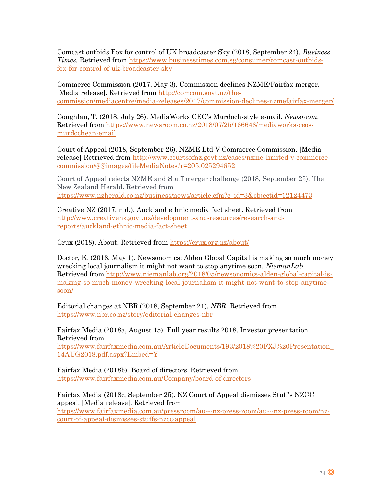Comcast outbids Fox for control of UK broadcaster Sky (2018, September 24). *Business Times.* Retrieved from [https://www.businesstimes.com.sg/consumer/comcast-outbids](https://www.businesstimes.com.sg/consumer/comcast-outbids-fox-for-control-of-uk-broadcaster-sky)[fox-for-control-of-uk-broadcaster-sky](https://www.businesstimes.com.sg/consumer/comcast-outbids-fox-for-control-of-uk-broadcaster-sky)

Commerce Commission (2017, May 3). Commission declines NZME/Fairfax merger. [Media release]. Retrieved from [http://comcom.govt.nz/the](http://comcom.govt.nz/the-commission/mediacentre/media-releases/2017/commission-declines-nzmefairfax-merger/)[commission/mediacentre/media-releases/2017/commission-declines-nzmefairfax-merger/](http://comcom.govt.nz/the-commission/mediacentre/media-releases/2017/commission-declines-nzmefairfax-merger/)

Coughlan, T. (2018, July 26). MediaWorks CEO's Murdoch-style e-mail. *Newsroom.* Retrieved from [https://www.newsroom.co.nz/2018/07/25/166648/mediaworks-ceos](https://www.newsroom.co.nz/2018/07/25/166648/mediaworks-ceos-murdochean-email)[murdochean-email](https://www.newsroom.co.nz/2018/07/25/166648/mediaworks-ceos-murdochean-email)

Court of Appeal (2018, September 26). NZME Ltd V Commerce Commission. [Media release] Retrieved from [http://www.courtsofnz.govt.nz/cases/nzme-limited-v-commerce](http://www.courtsofnz.govt.nz/cases/nzme-limited-v-commerce-commission/@@images/fileMediaNotes?r=205.025294652)[commission/@@images/fileMediaNotes?r=205.025294652](http://www.courtsofnz.govt.nz/cases/nzme-limited-v-commerce-commission/@@images/fileMediaNotes?r=205.025294652)

Court of Appeal rejects NZME and Stuff merger challenge (2018, September 25). The New Zealand Herald. Retrieved from [https://www.nzherald.co.nz/business/news/article.cfm?c\\_id=3&objectid=12124473](https://www.nzherald.co.nz/business/news/article.cfm?c_id=3&objectid=12124473)

Creative NZ (2017, n.d.). Auckland ethnic media fact sheet. Retrieved from [http://www.creativenz.govt.nz/development-and-resources/research-and](http://www.creativenz.govt.nz/development-and-resources/research-and-reports/auckland-ethnic-media-fact-sheet)[reports/auckland-ethnic-media-fact-sheet](http://www.creativenz.govt.nz/development-and-resources/research-and-reports/auckland-ethnic-media-fact-sheet)

Crux (2018). About. Retrieved from<https://crux.org.nz/about/>

Doctor, K. (2018, May 1). Newsonomics: Alden Global Capital is making so much money wrecking local journalism it might not want to stop anytime soon. *NiemanLab.* Retrieved from [http://www.niemanlab.org/2018/05/newsonomics-alden-global-capital-is](http://www.niemanlab.org/2018/05/newsonomics-alden-global-capital-is-making-so-much-money-wrecking-local-journalism-it-might-not-want-to-stop-anytime-soon/)[making-so-much-money-wrecking-local-journalism-it-might-not-want-to-stop-anytime](http://www.niemanlab.org/2018/05/newsonomics-alden-global-capital-is-making-so-much-money-wrecking-local-journalism-it-might-not-want-to-stop-anytime-soon/)[soon/](http://www.niemanlab.org/2018/05/newsonomics-alden-global-capital-is-making-so-much-money-wrecking-local-journalism-it-might-not-want-to-stop-anytime-soon/)

Editorial changes at NBR (2018, September 21). *NBR*. Retrieved from <https://www.nbr.co.nz/story/editorial-changes-nbr>

Fairfax Media (2018a, August 15). Full year results 2018. Investor presentation. Retrieved from [https://www.fairfaxmedia.com.au/ArticleDocuments/193/2018%20FXJ%20Presentation\\_](https://www.fairfaxmedia.com.au/ArticleDocuments/193/2018%20FXJ%20Presentation_14AUG2018.pdf.aspx?Embed=Y)

[14AUG2018.pdf.aspx?Embed=Y](https://www.fairfaxmedia.com.au/ArticleDocuments/193/2018%20FXJ%20Presentation_14AUG2018.pdf.aspx?Embed=Y)

Fairfax Media (2018b). Board of directors. Retrieved from <https://www.fairfaxmedia.com.au/Company/board-of-directors>

Fairfax Media (2018c, September 25). NZ Court of Appeal dismisses Stuff's NZCC appeal. [Media release]. Retrieved from [https://www.fairfaxmedia.com.au/pressroom/au---nz-press-room/au---nz-press-room/nz](https://www.fairfaxmedia.com.au/pressroom/au---nz-press-room/au---nz-press-room/nz-court-of-appeal-dismisses-stuffs-nzcc-appeal)[court-of-appeal-dismisses-stuffs-nzcc-appeal](https://www.fairfaxmedia.com.au/pressroom/au---nz-press-room/au---nz-press-room/nz-court-of-appeal-dismisses-stuffs-nzcc-appeal)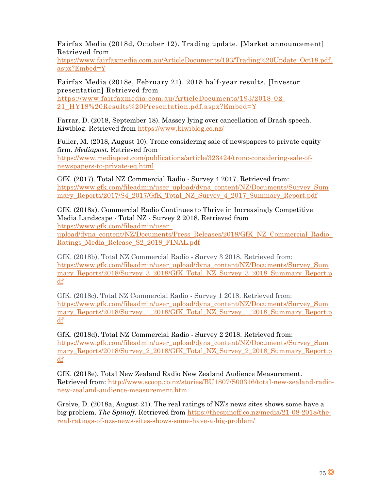Fairfax Media (2018d, October 12). Trading update. [Market announcement] Retrieved from

[https://www.fairfaxmedia.com.au/ArticleDocuments/193/Trading%20Update\\_Oct18.pdf.](https://www.fairfaxmedia.com.au/ArticleDocuments/193/Trading%20Update_Oct18.pdf.aspx?Embed=Y) [aspx?Embed=Y](https://www.fairfaxmedia.com.au/ArticleDocuments/193/Trading%20Update_Oct18.pdf.aspx?Embed=Y)

Fairfax Media (2018e, February 21). 2018 half-year results. [Investor presentation] Retrieved from [https://www.fairfaxmedia.com.au/ArticleDocuments/193/2018-02-](https://www.fairfaxmedia.com.au/ArticleDocuments/193/2018-02-21_HY18%20Results%20Presentation.pdf.aspx?Embed=Y)

21 HY18%20Results%20Presentation.pdf.aspx?Embed=Y

Farrar, D. (2018, September 18). Massey lying over cancellation of Brash speech. Kiwiblog. Retrieved from<https://www.kiwiblog.co.nz/>

Fuller, M. (2018, August 10). Tronc considering sale of newspapers to private equity firm. *Mediapost.* Retrieved from [https://www.mediapost.com/publications/article/323424/tronc-considering-sale-of](https://www.mediapost.com/publications/article/323424/tronc-considering-sale-of-newspapers-to-private-eq.html)[newspapers-to-private-eq.html](https://www.mediapost.com/publications/article/323424/tronc-considering-sale-of-newspapers-to-private-eq.html)

GfK. (2017). Total NZ Commercial Radio - Survey 4 2017. Retrieved from: [https://www.gfk.com/fileadmin/user\\_upload/dyna\\_content/NZ/Documents/Survey\\_Sum](https://www.gfk.com/fileadmin/user_upload/dyna_content/NZ/Documents/Survey_Summary_Reports/2017/S4_2017/GfK_Total_NZ_Survey_4_2017_Summary_Report.pdf) [mary\\_Reports/2017/S4\\_2017/GfK\\_Total\\_NZ\\_Survey\\_4\\_2017\\_Summary\\_Report.pdf](https://www.gfk.com/fileadmin/user_upload/dyna_content/NZ/Documents/Survey_Summary_Reports/2017/S4_2017/GfK_Total_NZ_Survey_4_2017_Summary_Report.pdf)

GfK. (2018a). Commercial Radio Continues to Thrive in Increasingly Competitive Media Landscape - Total NZ - Survey 2 2018. Retrieved from [https://www.gfk.com/fileadmin/user\\_](https://www.gfk.com/fileadmin/user_%20upload/dyna_content/NZ/Documents/Press_Releases/2018/GfK_NZ_Commercial_Radio_Ratings_Media_Release_S2_2018_FINAL.pdf)  [upload/dyna\\_content/NZ/Documents/Press\\_Releases/2018/GfK\\_NZ\\_Commercial\\_Radio\\_](https://www.gfk.com/fileadmin/user_%20upload/dyna_content/NZ/Documents/Press_Releases/2018/GfK_NZ_Commercial_Radio_Ratings_Media_Release_S2_2018_FINAL.pdf) [Ratings\\_Media\\_Release\\_S2\\_2018\\_FINAL.pdf](https://www.gfk.com/fileadmin/user_%20upload/dyna_content/NZ/Documents/Press_Releases/2018/GfK_NZ_Commercial_Radio_Ratings_Media_Release_S2_2018_FINAL.pdf)

GfK. (2018b). Total NZ Commercial Radio - Survey 3 2018. Retrieved from: [https://www.gfk.com/fileadmin/user\\_upload/dyna\\_content/NZ/Documents/Survey\\_Sum](https://www.gfk.com/fileadmin/user_upload/dyna_content/NZ/Documents/Survey_Summary_Reports/2018/Survey_3_2018/GfK_Total_NZ_Survey_3_2018_Summary_Report.pdf) mary Reports/2018/Survey 3\_2018/GfK\_Total\_NZ\_Survey\_3\_2018\_Summary\_Report.p [df](https://www.gfk.com/fileadmin/user_upload/dyna_content/NZ/Documents/Survey_Summary_Reports/2018/Survey_3_2018/GfK_Total_NZ_Survey_3_2018_Summary_Report.pdf)

GfK. (2018c). Total NZ Commercial Radio - Survey 1 2018. Retrieved from: [https://www.gfk.com/fileadmin/user\\_upload/dyna\\_content/NZ/Documents/Survey\\_Sum](https://www.gfk.com/fileadmin/user_upload/dyna_content/NZ/Documents/Survey_Summary_Reports/2018/Survey_1_2018/GfK_Total_NZ_Survey_1_2018_Summary_Report.pdf) mary Reports/2018/Survey 1\_2018/GfK\_Total\_NZ\_Survey\_1\_2018\_Summary\_Report.p [df](https://www.gfk.com/fileadmin/user_upload/dyna_content/NZ/Documents/Survey_Summary_Reports/2018/Survey_1_2018/GfK_Total_NZ_Survey_1_2018_Summary_Report.pdf)

GfK. (2018d). Total NZ Commercial Radio - Survey 2 2018. Retrieved from: [https://www.gfk.com/fileadmin/user\\_upload/dyna\\_content/NZ/Documents/Survey\\_Sum](https://www.gfk.com/fileadmin/user_upload/dyna_content/NZ/Documents/Survey_Summary_Reports/2018/Survey_2_2018/GfK_Total_NZ_Survey_2_2018_Summary_Report.pdf) mary Reports/2018/Survey 2\_2018/GfK\_Total\_NZ\_Survey\_2\_2018\_Summary\_Report.p [df](https://www.gfk.com/fileadmin/user_upload/dyna_content/NZ/Documents/Survey_Summary_Reports/2018/Survey_2_2018/GfK_Total_NZ_Survey_2_2018_Summary_Report.pdf)

GfK. (2018e). Total New Zealand Radio New Zealand Audience Measurement. Retrieved from: [http://www.scoop.co.nz/stories/BU1807/S00316/total-new-zealand-radio](http://www.scoop.co.nz/stories/BU1807/S00316/total-new-zealand-radio-new-zealand-audience-measurement.htm)[new-zealand-audience-measurement.htm](http://www.scoop.co.nz/stories/BU1807/S00316/total-new-zealand-radio-new-zealand-audience-measurement.htm)

Greive, D. (2018a, August 21). The real ratings of NZ's news sites shows some have a big problem. *The Spinoff.* Retrieved from [https://thespinoff.co.nz/media/21-08-2018/the](https://thespinoff.co.nz/media/21-08-2018/the-real-ratings-of-nzs-news-sites-shows-some-have-a-big-problem/)[real-ratings-of-nzs-news-sites-shows-some-have-a-big-problem/](https://thespinoff.co.nz/media/21-08-2018/the-real-ratings-of-nzs-news-sites-shows-some-have-a-big-problem/)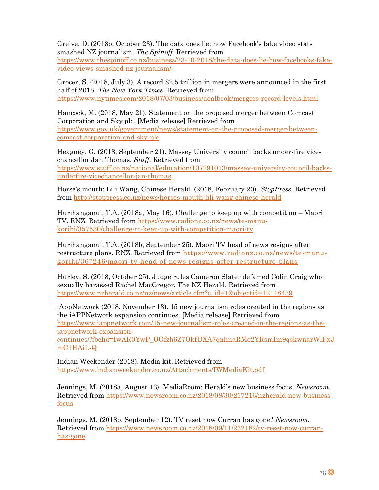Greive, D. (2018b, October 23). The data does lie: how Facebook's fake video stats smashed NZ journalism. *The Spinoff.* Retrieved from

[https://www.thespinoff.co.nz/business/23-10-2018/the-data-does-lie-how-facebooks-fake](https://www.thespinoff.co.nz/business/23-10-2018/the-data-does-lie-how-facebooks-fake-video-views-smashed-nz-journalism/)[video-views-smashed-nz-journalism/](https://www.thespinoff.co.nz/business/23-10-2018/the-data-does-lie-how-facebooks-fake-video-views-smashed-nz-journalism/)

Grocer, S. (2018, July 3). A record \$2.5 trillion in mergers were announced in the first half of 2018. *The New York Times*. Retrieved from <https://www.nytimes.com/2018/07/03/business/dealbook/mergers-record-levels.html>

Hancock, M. (2018, May 21). Statement on the proposed merger between Comcast Corporation and Sky plc. [Media release] Retrieved from [https://www.gov.uk/government/news/statement-on-the-proposed-merger-between](https://www.gov.uk/government/news/statement-on-the-proposed-merger-between-comcast-corporation-and-sky-plc)[comcast-corporation-and-sky-plc](https://www.gov.uk/government/news/statement-on-the-proposed-merger-between-comcast-corporation-and-sky-plc)

Heagney, G. (2018, September 21). Massey University council backs under-fire vicechancellor Jan Thomas. *Stuff.* Retrieved from [https://www.stuff.co.nz/national/education/107291013/massey-university-council-backs](https://www.stuff.co.nz/national/education/107291013/massey-university-council-backs-underfire-vicechancellor-jan-thomas)[underfire-vicechancellor-jan-thomas](https://www.stuff.co.nz/national/education/107291013/massey-university-council-backs-underfire-vicechancellor-jan-thomas)

Horse's mouth: Lili Wang, Chinese Herald. (2018, February 20). *StopPress.* Retrieved from<http://stoppress.co.nz/news/horses-mouth-lili-wang-chinese-herald>

Hurihanganui, T.A. (2018a, May 16). Challenge to keep up with competition – Maori TV. RNZ. Retrieved from [https://www.radionz.co.nz/news/te-manu](https://www.radionz.co.nz/news/te-manu-korihi/357530/challenge-to-keep-up-with-competition-maori-tv)[korihi/357530/challenge-to-keep-up-with-competition-maori-tv](https://www.radionz.co.nz/news/te-manu-korihi/357530/challenge-to-keep-up-with-competition-maori-tv)

Hurihanganui, T.A. (2018b, September 25). Maori TV head of news resigns after restructure plans. RNZ. Retrieved from [https://www.radionz.co.nz/news/te-manu](https://www.radionz.co.nz/news/te-manu-korihi/367246/maori-tv-head-of-news-resigns-after-restructure-plans)[korihi/367246/maori-tv-head-of-news-resigns-after-restructure-plans](https://www.radionz.co.nz/news/te-manu-korihi/367246/maori-tv-head-of-news-resigns-after-restructure-plans)

Hurley, S. (2018, October 25). Judge rules Cameron Slater defamed Colin Craig who sexually harassed Rachel MacGregor. The NZ Herald. Retrieved from [https://www.nzherald.co.nz/nz/news/article.cfm?c\\_id=1&objectid=12148439](https://www.nzherald.co.nz/nz/news/article.cfm?c_id=1&objectid=12148439)

iAppNetwork (2018, November 13). 15 new journalism roles created in the regions as the iAPPNetwork expansion continues. [Media release] Retrieved from [https://www.iappnetwork.com/15-new-journalism-roles-created-in-the-regions-as-the](https://www.iappnetwork.com/15-new-journalism-roles-created-in-the-regions-as-the-iappnetwork-expansion-continues/?fbclid=IwAR0YwP_OOfzh6Z7OkfUXA7qnhnaRMo2YRsmIm9qskwnarWlFxJmC1HAiL-Q)[iappnetwork-expansion-](https://www.iappnetwork.com/15-new-journalism-roles-created-in-the-regions-as-the-iappnetwork-expansion-continues/?fbclid=IwAR0YwP_OOfzh6Z7OkfUXA7qnhnaRMo2YRsmIm9qskwnarWlFxJmC1HAiL-Q)

[continues/?fbclid=IwAR0YwP\\_OOfzh6Z7OkfUXA7qnhnaRMo2YRsmIm9qskwnarWlFxJ](https://www.iappnetwork.com/15-new-journalism-roles-created-in-the-regions-as-the-iappnetwork-expansion-continues/?fbclid=IwAR0YwP_OOfzh6Z7OkfUXA7qnhnaRMo2YRsmIm9qskwnarWlFxJmC1HAiL-Q) [mC1HAiL-Q](https://www.iappnetwork.com/15-new-journalism-roles-created-in-the-regions-as-the-iappnetwork-expansion-continues/?fbclid=IwAR0YwP_OOfzh6Z7OkfUXA7qnhnaRMo2YRsmIm9qskwnarWlFxJmC1HAiL-Q)

Indian Weekender (2018). Media kit. Retrieved from <https://www.indianweekender.co.nz/Attachments/IWMediaKit.pdf>

Jennings, M. (2018a, August 13). MediaRoom: Herald's new business focus. *Newsroom.* Retrieved from [https://www.newsroom.co.nz/2018/08/30/217216/nzherald-new-business](https://www.newsroom.co.nz/2018/08/30/217216/nzherald-new-business-focus)[focus](https://www.newsroom.co.nz/2018/08/30/217216/nzherald-new-business-focus)

Jennings, M. (2018b, September 12). TV reset now Curran has gone? *Newsroom.* Retrieved from [https://www.newsroom.co.nz/2018/09/11/232182/tv-reset-now-curran](https://www.newsroom.co.nz/2018/09/11/232182/tv-reset-now-curran-has-gone)[has-gone](https://www.newsroom.co.nz/2018/09/11/232182/tv-reset-now-curran-has-gone)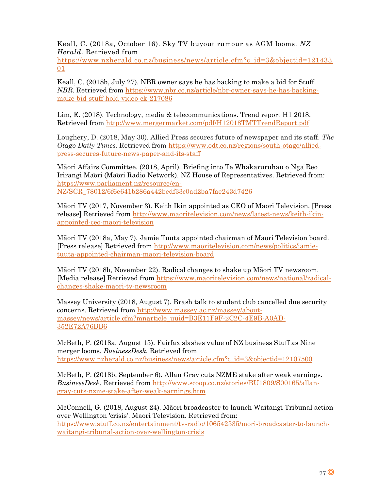Keall, C. (2018a, October 16). Sky TV buyout rumour as AGM looms. *NZ Herald*. Retrieved from

[https://www.nzherald.co.nz/business/news/article.cfm?c\\_id=3&objectid=121433](https://www.nzherald.co.nz/business/news/article.cfm?c_id=3&objectid=12143301) [01](https://www.nzherald.co.nz/business/news/article.cfm?c_id=3&objectid=12143301)

Keall, C. (2018b, July 27). NBR owner says he has backing to make a bid for Stuff. *NBR.* Retrieved from [https://www.nbr.co.nz/article/nbr-owner-says-he-has-backing](https://www.nbr.co.nz/article/nbr-owner-says-he-has-backing-make-bid-stuff-hold-video-ck-217086)[make-bid-stuff-hold-video-ck-217086](https://www.nbr.co.nz/article/nbr-owner-says-he-has-backing-make-bid-stuff-hold-video-ck-217086)

Lim, E. (2018). Technology, media & telecommunications. Trend report H1 2018. Retrieved from<http://www.mergermarket.com/pdf/H12018TMTTrendReport.pdf>

Loughery, D. (2018, May 30). Allied Press secures future of newspaper and its staff. *The Otago Daily Times.* Retrieved from [https://www.odt.co.nz/regions/south-otago/allied](https://www.odt.co.nz/regions/south-otago/allied-press-secures-future-news-paper-and-its-staff)[press-secures-future-news-paper-and-its-staff](https://www.odt.co.nz/regions/south-otago/allied-press-secures-future-news-paper-and-its-staff)

Māori Affairs Committee. (2018, April). Briefing into Te Whakaruruhau o NgāReo Irirangi Māori (Māori Radio Network). NZ House of Representatives. Retrieved from: [https://www.parliament.nz/resource/en-](https://www.parliament.nz/resource/en-NZ/SCR_78012/6f6e641b286a442bedf33c0ad2ba7fae243d7426)[NZ/SCR\\_78012/6f6e641b286a442bedf33c0ad2ba7fae243d7426](https://www.parliament.nz/resource/en-NZ/SCR_78012/6f6e641b286a442bedf33c0ad2ba7fae243d7426)

Māori TV (2017, November 3). Keith Ikin appointed as CEO of Maori Television. [Press release] Retrieved from [http://www.maoritelevision.com/news/latest-news/keith-ikin](http://www.maoritelevision.com/news/latest-news/keith-ikin-appointed-ceo-maori-television)[appointed-ceo-maori-television](http://www.maoritelevision.com/news/latest-news/keith-ikin-appointed-ceo-maori-television)

Māori TV (2018a, May 7). Jamie Tuuta appointed chairman of Maori Television board. [Press release] Retrieved from [http://www.maoritelevision.com/news/politics/jamie](http://www.maoritelevision.com/news/politics/jamie-tuuta-appointed-chairman-maori-television-board)[tuuta-appointed-chairman-maori-television-board](http://www.maoritelevision.com/news/politics/jamie-tuuta-appointed-chairman-maori-television-board)

Māori TV (2018b, November 22). Radical changes to shake up Māori TV newsroom. [Media release] Retrieved from [https://www.maoritelevision.com/news/national/radical](https://www.maoritelevision.com/news/national/radical-changes-shake-maori-tv-newsroom)[changes-shake-maori-tv-newsroom](https://www.maoritelevision.com/news/national/radical-changes-shake-maori-tv-newsroom)

Massey University (2018, August 7). Brash talk to student club cancelled due security concerns. Retrieved from [http://www.massey.ac.nz/massey/about](http://www.massey.ac.nz/massey/about-massey/news/article.cfm?mnarticle_uuid=B3E11F9F-2C2C-4E9B-A0AD-352E72A76BB6)[massey/news/article.cfm?mnarticle\\_uuid=B3E11F9F-2C2C-4E9B-A0AD-](http://www.massey.ac.nz/massey/about-massey/news/article.cfm?mnarticle_uuid=B3E11F9F-2C2C-4E9B-A0AD-352E72A76BB6)[352E72A76BB6](http://www.massey.ac.nz/massey/about-massey/news/article.cfm?mnarticle_uuid=B3E11F9F-2C2C-4E9B-A0AD-352E72A76BB6)

McBeth, P. (2018a, August 15). Fairfax slashes value of NZ business Stuff as Nine merger looms. *BusinessDesk.* Retrieved from [https://www.nzherald.co.nz/business/news/article.cfm?c\\_id=3&objectid=12107500](https://www.nzherald.co.nz/business/news/article.cfm?c_id=3&objectid=12107500)

McBeth, P. (2018b, September 6). Allan Gray cuts NZME stake after weak earnings. *BusinessDesk.* Retrieved from [http://www.scoop.co.nz/stories/BU1809/S00165/allan](http://www.scoop.co.nz/stories/BU1809/S00165/allan-gray-cuts-nzme-stake-after-weak-earnings.htm)[gray-cuts-nzme-stake-after-weak-earnings.htm](http://www.scoop.co.nz/stories/BU1809/S00165/allan-gray-cuts-nzme-stake-after-weak-earnings.htm)

McConnell, G. (2018, August 24). Māori broadcaster to launch Waitangi Tribunal action over Wellington 'crisis'. Maori Television. Retrieved from: [https://www.stuff.co.nz/entertainment/tv-radio/106542535/mori-broadcaster-to-launch](https://www.stuff.co.nz/entertainment/tv-radio/106542535/mori-broadcaster-to-launch-waitangi-tribunal-action-over-wellington-crisis)[waitangi-tribunal-action-over-wellington-crisis](https://www.stuff.co.nz/entertainment/tv-radio/106542535/mori-broadcaster-to-launch-waitangi-tribunal-action-over-wellington-crisis)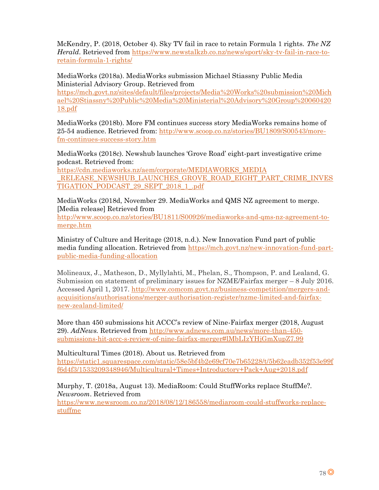McKendry, P. (2018, October 4). Sky TV fail in race to retain Formula 1 rights. *The NZ Herald.* Retrieved from [https://www.newstalkzb.co.nz/news/sport/sky-tv-fail-in-race-to](https://www.newstalkzb.co.nz/news/sport/sky-tv-fail-in-race-to-retain-formula-1-rights/)[retain-formula-1-rights/](https://www.newstalkzb.co.nz/news/sport/sky-tv-fail-in-race-to-retain-formula-1-rights/)

MediaWorks (2018a). MediaWorks submission Michael Stiassny Public Media Ministerial Advisory Group. Retrieved from

[https://mch.govt.nz/sites/default/files/projects/Media%20Works%20submission%20Mich](https://mch.govt.nz/sites/default/files/projects/Media%20Works%20submission%20Michael%20Stiassny%20Public%20Media%20Ministerial%20Advisory%20Group%2006042018.pdf) [ael%20Stiassny%20Public%20Media%20Ministerial%20Advisory%20Group%20060420](https://mch.govt.nz/sites/default/files/projects/Media%20Works%20submission%20Michael%20Stiassny%20Public%20Media%20Ministerial%20Advisory%20Group%2006042018.pdf) [18.pdf](https://mch.govt.nz/sites/default/files/projects/Media%20Works%20submission%20Michael%20Stiassny%20Public%20Media%20Ministerial%20Advisory%20Group%2006042018.pdf)

MediaWorks (2018b). More FM continues success story MediaWorks remains home of 25-54 audience. Retrieved from: [http://www.scoop.co.nz/stories/BU1809/S00543/more](http://www.scoop.co.nz/stories/BU1809/S00543/more-fm-continues-success-story.htm)[fm-continues-success-story.htm](http://www.scoop.co.nz/stories/BU1809/S00543/more-fm-continues-success-story.htm)

MediaWorks (2018c). Newshub launches 'Grove Road' eight-part investigative crime podcast. Retrieved from:

[https://cdn.mediaworks.nz/aem/corporate/MEDIAWORKS\\_MEDIA](https://cdn.mediaworks.nz/aem/corporate/MEDIAWORKS_MEDIA%20_RELEASE_NEWSHUB_LAUNCHES_GROVE_ROAD_EIGHT_PART_CRIME_INVESTIGATION_PODCAST_29_SEPT_2018_1_.pdf)  RELEASE\_NEWSHUB\_LAUNCHES\_GROVE\_ROAD\_EIGHT\_PART\_CRIME\_INVES [TIGATION\\_PODCAST\\_29\\_SEPT\\_2018\\_1\\_.pdf](https://cdn.mediaworks.nz/aem/corporate/MEDIAWORKS_MEDIA%20_RELEASE_NEWSHUB_LAUNCHES_GROVE_ROAD_EIGHT_PART_CRIME_INVESTIGATION_PODCAST_29_SEPT_2018_1_.pdf)

MediaWorks (2018d, November 29. MediaWorks and QMS NZ agreement to merge. [Media release] Retrieved from

[http://www.scoop.co.nz/stories/BU1811/S00926/mediaworks-and-qms-nz-agreement-to](http://www.scoop.co.nz/stories/BU1811/S00926/mediaworks-and-qms-nz-agreement-to-merge.htm)[merge.htm](http://www.scoop.co.nz/stories/BU1811/S00926/mediaworks-and-qms-nz-agreement-to-merge.htm)

Ministry of Culture and Heritage (2018, n.d.). New Innovation Fund part of public media funding allocation. Retrieved from [https://mch.govt.nz/new-innovation-fund-part](https://mch.govt.nz/new-innovation-fund-part-public-media-funding-allocation)[public-media-funding-allocation](https://mch.govt.nz/new-innovation-fund-part-public-media-funding-allocation)

Molineaux, J., Matheson, D., Myllylahti, M., Phelan, S., Thompson, P. and Lealand, G. Submission on statement of preliminary issues for NZME/Fairfax merger – 8 July 2016. Accessed April 1, 2017. [http://www.comcom.govt.nz/business-competition/mergers-and](http://www.comcom.govt.nz/business-competition/mergers-and-acquisitions/authorisations/merger-authorisation-register/nzme-limited-and-fairfax-new-zealand-limited/)[acquisitions/authorisations/merger-authorisation-register/nzme-limited-and-fairfax](http://www.comcom.govt.nz/business-competition/mergers-and-acquisitions/authorisations/merger-authorisation-register/nzme-limited-and-fairfax-new-zealand-limited/)[new-zealand-limited/](http://www.comcom.govt.nz/business-competition/mergers-and-acquisitions/authorisations/merger-authorisation-register/nzme-limited-and-fairfax-new-zealand-limited/)

More than 450 submissions hit ACCC's review of Nine-Fairfax merger (2018, August 29). *AdNews.* Retrieved from [http://www.adnews.com.au/news/more-than-450](http://www.adnews.com.au/news/more-than-450-submissions-hit-accc-s-review-of-nine-fairfax-merger#lMbLIzYHjGmXupZ7.99) [submissions-hit-accc-s-review-of-nine-fairfax-merger#lMbLIzYHjGmXupZ7.99](http://www.adnews.com.au/news/more-than-450-submissions-hit-accc-s-review-of-nine-fairfax-merger#lMbLIzYHjGmXupZ7.99)

Multicultural Times (2018). About us. Retrieved from [https://static1.squarespace.com/static/58e5bf4b2e69cf70e7b65228/t/5b62eadb352f53e99f](https://static1.squarespace.com/static/58e5bf4b2e69cf70e7b65228/t/5b62eadb352f53e99ff6d4f3/1533209348946/Multicultural+Times+Introductory+Pack+Aug+2018.pdf) [f6d4f3/1533209348946/Multicultural+Times+Introductory+Pack+Aug+2018.pdf](https://static1.squarespace.com/static/58e5bf4b2e69cf70e7b65228/t/5b62eadb352f53e99ff6d4f3/1533209348946/Multicultural+Times+Introductory+Pack+Aug+2018.pdf)

Murphy, T. (2018a, August 13). MediaRoom: Could StuffWorks replace StuffMe?. *Newsroom*. Retrieved from

[https://www.newsroom.co.nz/2018/08/12/186558/mediaroom-could-stuffworks-replace](https://www.newsroom.co.nz/2018/08/12/186558/mediaroom-could-stuffworks-replace-stuffme)[stuffme](https://www.newsroom.co.nz/2018/08/12/186558/mediaroom-could-stuffworks-replace-stuffme)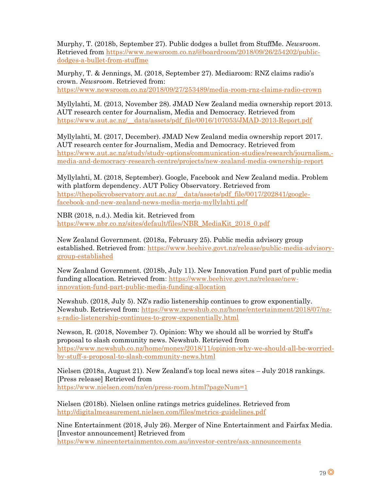Murphy, T. (2018b, September 27). Public dodges a bullet from StuffMe. *Newsroom.* Retrieved from [https://www.newsroom.co.nz/@boardroom/2018/09/26/254202/public](https://www.newsroom.co.nz/@boardroom/2018/09/26/254202/public-dodges-a-bullet-from-stuffme)[dodges-a-bullet-from-stuffme](https://www.newsroom.co.nz/@boardroom/2018/09/26/254202/public-dodges-a-bullet-from-stuffme)

Murphy, T. & Jennings, M. (2018, September 27). Mediaroom: RNZ claims radio's crown. *Newsroom*. Retrieved from: <https://www.newsroom.co.nz/2018/09/27/253489/media-room-rnz-claims-radio-crown>

Myllylahti, M. (2013, November 28). JMAD New Zealand media ownership report 2013. AUT research center for Journalism, Media and Democracy. Retrieved from [https://www.aut.ac.nz/\\_\\_data/assets/pdf\\_file/0016/107053/JMAD-2013-Report.pdf](https://www.aut.ac.nz/__data/assets/pdf_file/0016/107053/JMAD-2013-Report.pdf)

Myllylahti, M. (2017, December). JMAD New Zealand media ownership report 2017. AUT research center for Journalism, Media and Democracy. Retrieved from [https://www.aut.ac.nz/study/study-options/communication-studies/research/journalism,](https://www.aut.ac.nz/study/study-options/communication-studies/research/journalism,-media-and-democracy-research-centre/projects/new-zealand-media-ownership-report) [media-and-democracy-research-centre/projects/new-zealand-media-ownership-report](https://www.aut.ac.nz/study/study-options/communication-studies/research/journalism,-media-and-democracy-research-centre/projects/new-zealand-media-ownership-report)

Myllylahti, M. (2018, September). Google, Facebook and New Zealand media. Problem with platform dependency. AUT Policy Observatory. Retrieved from [https://thepolicyobservatory.aut.ac.nz/\\_\\_data/assets/pdf\\_file/0017/202841/google](https://thepolicyobservatory.aut.ac.nz/__data/assets/pdf_file/0017/202841/google-facebook-and-new-zealand-news-media-merja-myllylahti.pdf)[facebook-and-new-zealand-news-media-merja-myllylahti.pdf](https://thepolicyobservatory.aut.ac.nz/__data/assets/pdf_file/0017/202841/google-facebook-and-new-zealand-news-media-merja-myllylahti.pdf)

NBR (2018, n.d.). Media kit. Retrieved from [https://www.nbr.co.nz/sites/default/files/NBR\\_MediaKit\\_2018\\_0.pdf](https://www.nbr.co.nz/sites/default/files/NBR_MediaKit_2018_0.pdf)

New Zealand Government. (2018a, February 25). Public media advisory group established. Retrieved from: [https://www.beehive.govt.nz/release/public-media-advisory](https://www.beehive.govt.nz/release/public-media-advisory-group-established)[group-established](https://www.beehive.govt.nz/release/public-media-advisory-group-established)

New Zealand Government. (2018b, July 11). New Innovation Fund part of public media funding allocation. Retrieved from: [https://www.beehive.govt.nz/release/new](https://www.beehive.govt.nz/release/new-innovation-fund-part-public-media-funding-allocation)[innovation-fund-part-public-media-funding-allocation](https://www.beehive.govt.nz/release/new-innovation-fund-part-public-media-funding-allocation)

Newshub. (2018, July 5). NZ's radio listenership continues to grow exponentially. Newshub. Retrieved from: [https://www.newshub.co.nz/home/entertainment/2018/07/nz](https://www.newshub.co.nz/home/entertainment/2018/07/nz-s-radio-listenership-continues-to-grow-exponentially.html)[s-radio-listenership-continues-to-grow-exponentially.html](https://www.newshub.co.nz/home/entertainment/2018/07/nz-s-radio-listenership-continues-to-grow-exponentially.html)

Newson, R. (2018, November 7). Opinion: Why we should all be worried by Stuff's proposal to slash community news. Newshub. Retrieved from [https://www.newshub.co.nz/home/money/2018/11/opinion-why-we-should-all-be-worried](https://www.newshub.co.nz/home/money/2018/11/opinion-why-we-should-all-be-worried-by-stuff-s-proposal-to-slash-community-news.html)[by-stuff-s-proposal-to-slash-community-news.html](https://www.newshub.co.nz/home/money/2018/11/opinion-why-we-should-all-be-worried-by-stuff-s-proposal-to-slash-community-news.html)

Nielsen (2018a, August 21). New Zealand's top local news sites – July 2018 rankings. [Press release] Retrieved from <https://www.nielsen.com/nz/en/press-room.html?pageNum=1>

Nielsen (2018b). Nielsen online ratings metrics guidelines. Retrieved from <http://digitalmeasurement.nielsen.com/files/metrics-guidelines.pdf>

Nine Entertainment (2018, July 26). Merger of Nine Entertainment and Fairfax Media. [Investor announcement] Retrieved from <https://www.nineentertainmentco.com.au/investor-centre/asx-announcements>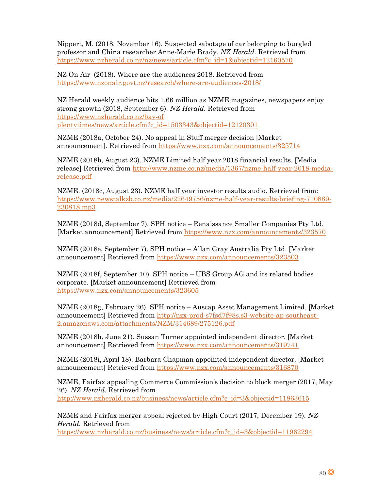Nippert, M. (2018, November 16). Suspected sabotage of car belonging to burgled professor and China researcher Anne-Marie Brady. *NZ Herald.* Retrieved from [https://www.nzherald.co.nz/nz/news/article.cfm?c\\_id=1&objectid=12160570](https://www.nzherald.co.nz/nz/news/article.cfm?c_id=1&objectid=12160570)

NZ On Air (2018). Where are the audiences 2018. Retrieved from <https://www.nzonair.govt.nz/research/where-are-audiences-2018/>

NZ Herald weekly audience hits 1.66 million as NZME magazines, newspapers enjoy strong growth (2018, September 6). *NZ Herald.* Retrieved from [https://www.nzherald.co.nz/bay-of](https://www.nzherald.co.nz/bay-of%20plentytimes/news/article.cfm?c_id=1503343&objectid=12120301)  [plentytimes/news/article.cfm?c\\_id=1503343&objectid=12120301](https://www.nzherald.co.nz/bay-of%20plentytimes/news/article.cfm?c_id=1503343&objectid=12120301)

NZME (2018a, October 24). No appeal in Stuff merger decision [Market announcement]. Retrieved from<https://www.nzx.com/announcements/325714>

NZME (2018b, August 23). NZME Limited half year 2018 financial results. [Media release] Retrieved from [http://www.nzme.co.nz/media/1367/nzme-half-year-2018-media](http://www.nzme.co.nz/media/1367/nzme-half-year-2018-media-release.pdf)[release.pdf](http://www.nzme.co.nz/media/1367/nzme-half-year-2018-media-release.pdf)

NZME. (2018c, August 23). NZME half year investor results audio. Retrieved from: [https://www.newstalkzb.co.nz/media/22649756/nzme-half-year-results-briefing-710889-](https://www.newstalkzb.co.nz/media/22649756/nzme-half-year-results-briefing-710889-230818.mp3) [230818.mp3](https://www.newstalkzb.co.nz/media/22649756/nzme-half-year-results-briefing-710889-230818.mp3)

NZME (2018d, September 7). SPH notice – Renaissance Smaller Companies Pty Ltd. [Market announcement] Retrieved from<https://www.nzx.com/announcements/323570>

NZME (2018e, September 7). SPH notice – Allan Gray Australia Pty Ltd. [Market announcement] Retrieved from<https://www.nzx.com/announcements/323503>

NZME (2018f, September 10). SPH notice – UBS Group AG and its related bodies corporate. [Market announcement] Retrieved from <https://www.nzx.com/announcements/323605>

NZME (2018g, February 26). SPH notice – Auscap Asset Management Limited. [Market announcement] Retrieved from [http://nzx-prod-s7fsd7f98s.s3-website-ap-southeast-](http://nzx-prod-s7fsd7f98s.s3-website-ap-southeast-2.amazonaws.com/attachments/NZM/314689/275126.pdf)[2.amazonaws.com/attachments/NZM/314689/275126.pdf](http://nzx-prod-s7fsd7f98s.s3-website-ap-southeast-2.amazonaws.com/attachments/NZM/314689/275126.pdf)

NZME (2018h, June 21). Sussan Turner appointed independent director. [Market announcement] Retrieved from<https://www.nzx.com/announcements/319741>

NZME (2018i, April 18). Barbara Chapman appointed independent director. [Market announcement] Retrieved from<https://www.nzx.com/announcements/316870>

NZME, Fairfax appealing Commerce Commission's decision to block merger (2017, May 26). *NZ Herald.* Retrieved from [http://www.nzherald.co.nz/business/news/article.cfm?c\\_id=3&objectid=11863615](http://www.nzherald.co.nz/business/news/article.cfm?c_id=3&objectid=11863615)

NZME and Fairfax merger appeal rejected by High Court (2017, December 19). *NZ Herald.* Retrieved from [https://www.nzherald.co.nz/business/news/article.cfm?c\\_id=3&objectid=11962294](https://www.nzherald.co.nz/business/news/article.cfm?c_id=3&objectid=11962294)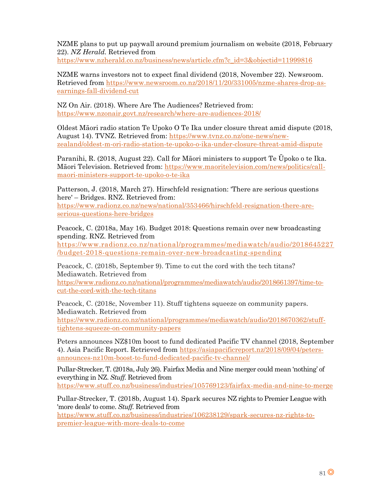NZME plans to put up paywall around premium journalism on website (2018, February 22). *NZ Herald.* Retrieved from [https://www.nzherald.co.nz/business/news/article.cfm?c\\_id=3&objectid=11999816](https://www.nzherald.co.nz/business/news/article.cfm?c_id=3&objectid=11999816)

NZME warns investors not to expect final dividend (2018, November 22). Newsroom. Retrieved from [https://www.newsroom.co.nz/2018/11/20/331005/nzme-shares-drop-as](https://www.newsroom.co.nz/2018/11/20/331005/nzme-shares-drop-as-earnings-fall-dividend-cut)[earnings-fall-dividend-cut](https://www.newsroom.co.nz/2018/11/20/331005/nzme-shares-drop-as-earnings-fall-dividend-cut)

NZ On Air. (2018). Where Are The Audiences? Retrieved from: <https://www.nzonair.govt.nz/research/where-are-audiences-2018/>

Oldest Māori radio station Te Upoko O Te Ika under closure threat amid dispute (2018, August 14). TVNZ. Retrieved from: [https://www.tvnz.co.nz/one-news/new](https://www.tvnz.co.nz/one-news/new-zealand/oldest-m-ori-radio-station-te-upoko-o-ika-under-closure-threat-amid-dispute)[zealand/oldest-m-ori-radio-station-te-upoko-o-ika-under-closure-threat-amid-dispute](https://www.tvnz.co.nz/one-news/new-zealand/oldest-m-ori-radio-station-te-upoko-o-ika-under-closure-threat-amid-dispute)

Paranihi, R. (2018, August 22). Call for Māori ministers to support Te Ūpoko o te Ika. Māori Television. Retrieved from: [https://www.maoritelevision.com/news/politics/call](https://www.maoritelevision.com/news/politics/call-maori-ministers-support-te-upoko-o-te-ika)[maori-ministers-support-te-upoko-o-te-ika](https://www.maoritelevision.com/news/politics/call-maori-ministers-support-te-upoko-o-te-ika)

Patterson, J. (2018, March 27). Hirschfeld resignation: 'There are serious questions here' – Bridges. RNZ. Retrieved from:

[https://www.radionz.co.nz/news/national/353466/hirschfeld-resignation-there-are](https://www.radionz.co.nz/news/national/353466/hirschfeld-resignation-there-are-serious-questions-here-bridges)[serious-questions-here-bridges](https://www.radionz.co.nz/news/national/353466/hirschfeld-resignation-there-are-serious-questions-here-bridges)

Peacock, C. (2018a, May 16). Budget 2018: Questions remain over new broadcasting spending. RNZ. Retrieved from [https://www.radionz.co.nz/national/programmes/mediawatch/audio/2018645227](https://www.radionz.co.nz/national/programmes/mediawatch/audio/2018645227/budget-2018-questions-remain-over-new-broadcasting-spending)

[/budget-2018-questions-remain-over-new-broadcasting-spending](https://www.radionz.co.nz/national/programmes/mediawatch/audio/2018645227/budget-2018-questions-remain-over-new-broadcasting-spending) Peacock, C. (2018b, September 9). Time to cut the cord with the tech titans?

Mediawatch. Retrieved from [https://www.radionz.co.nz/national/programmes/mediawatch/audio/2018661397/time-to](https://www.radionz.co.nz/national/programmes/mediawatch/audio/2018661397/time-to-cut-the-cord-with-the-tech-titans)[cut-the-cord-with-the-tech-titans](https://www.radionz.co.nz/national/programmes/mediawatch/audio/2018661397/time-to-cut-the-cord-with-the-tech-titans)

Peacock, C. (2018c, November 11). Stuff tightens squeeze on community papers. Mediawatch. Retrieved from [https://www.radionz.co.nz/national/programmes/mediawatch/audio/2018670362/stuff](https://www.radionz.co.nz/national/programmes/mediawatch/audio/2018670362/stuff-tightens-squeeze-on-community-papers)[tightens-squeeze-on-community-papers](https://www.radionz.co.nz/national/programmes/mediawatch/audio/2018670362/stuff-tightens-squeeze-on-community-papers)

Peters announces NZ\$10m boost to fund dedicated Pacific TV channel (2018, September 4). Asia Pacific Report. Retrieved from [https://asiapacificreport.nz/2018/09/04/peters](https://asiapacificreport.nz/2018/09/04/peters-announces-nz10m-boost-to-fund-dedicated-pacific-tv-channel/)[announces-nz10m-boost-to-fund-dedicated-pacific-tv-channel/](https://asiapacificreport.nz/2018/09/04/peters-announces-nz10m-boost-to-fund-dedicated-pacific-tv-channel/)

Pullar-Strecker, T. (2018a, July 26). Fairfax Media and Nine merger could mean 'nothing' of everything in NZ. *Stuff.* Retrieved from <https://www.stuff.co.nz/business/industries/105769123/fairfax-media-and-nine-to-merge>

Pullar-Strecker, T. (2018b, August 14). Spark secures NZ rights to Premier League with 'more deals' to come. *Stuff.* Retrieved from [https://www.stuff.co.nz/business/industries/106238129/spark-secures-nz-rights-to](https://www.stuff.co.nz/business/industries/106238129/spark-secures-nz-rights-to-premier-league-with-more-deals-to-come)[premier-league-with-more-deals-to-come](https://www.stuff.co.nz/business/industries/106238129/spark-secures-nz-rights-to-premier-league-with-more-deals-to-come)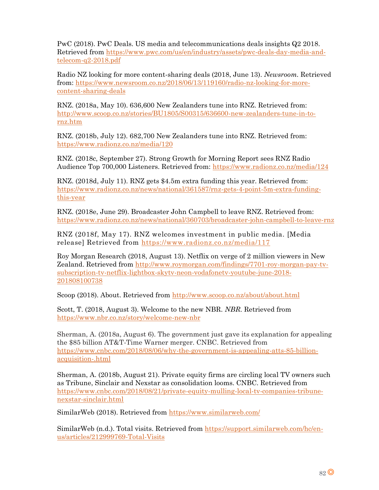PwC (2018). PwC Deals. US media and telecommunications deals insights Q2 2018. Retrieved from [https://www.pwc.com/us/en/industry/assets/pwc-deals-day-media-and](https://www.pwc.com/us/en/industry/assets/pwc-deals-day-media-and-telecom-q2-2018.pdf)[telecom-q2-2018.pdf](https://www.pwc.com/us/en/industry/assets/pwc-deals-day-media-and-telecom-q2-2018.pdf)

Radio NZ looking for more content-sharing deals (2018, June 13). *Newsroom.* Retrieved from: [https://www.newsroom.co.nz/2018/06/13/119160/radio-nz-looking-for-more](https://www.newsroom.co.nz/2018/06/13/119160/radio-nz-looking-for-more-content-sharing-deals)[content-sharing-deals](https://www.newsroom.co.nz/2018/06/13/119160/radio-nz-looking-for-more-content-sharing-deals)

RNZ. (2018a, May 10). 636,600 New Zealanders tune into RNZ. Retrieved from: [http://www.scoop.co.nz/stories/BU1805/S00315/636600-new-zealanders-tune-in-to](http://www.scoop.co.nz/stories/BU1805/S00315/636600-new-zealanders-tune-in-to-rnz.htm)[rnz.htm](http://www.scoop.co.nz/stories/BU1805/S00315/636600-new-zealanders-tune-in-to-rnz.htm)

RNZ. (2018b, July 12). 682,700 New Zealanders tune into RNZ. Retrieved from: <https://www.radionz.co.nz/media/120>

RNZ. (2018c, September 27). Strong Growth for Morning Report sees RNZ Radio Audience Top 700,000 Listeners. Retrieved from:<https://www.radionz.co.nz/media/124>

RNZ. (2018d, July 11). RNZ gets \$4.5m extra funding this year. Retrieved from: [https://www.radionz.co.nz/news/national/361587/rnz-gets-4-point-5m-extra-funding](https://www.radionz.co.nz/news/national/361587/rnz-gets-4-point-5m-extra-funding-this-year)[this-year](https://www.radionz.co.nz/news/national/361587/rnz-gets-4-point-5m-extra-funding-this-year)

RNZ. (2018e, June 29). Broadcaster John Campbell to leave RNZ. Retrieved from: <https://www.radionz.co.nz/news/national/360703/broadcaster-john-campbell-to-leave-rnz>

RNZ (2018f, May 17). RNZ welcomes investment in public media. [Media release] Retrieved from<https://www.radionz.co.nz/media/117>

Roy Morgan Research (2018, August 13). Netflix on verge of 2 million viewers in New Zealand. Retrieved from [http://www.roymorgan.com/findings/7701-roy-morgan-pay-tv](http://www.roymorgan.com/findings/7701-roy-morgan-pay-tv-subscription-tv-netflix-lightbox-skytv-neon-vodafonetv-youtube-june-2018-201808100738)[subscription-tv-netflix-lightbox-skytv-neon-vodafonetv-youtube-june-2018-](http://www.roymorgan.com/findings/7701-roy-morgan-pay-tv-subscription-tv-netflix-lightbox-skytv-neon-vodafonetv-youtube-june-2018-201808100738) [201808100738](http://www.roymorgan.com/findings/7701-roy-morgan-pay-tv-subscription-tv-netflix-lightbox-skytv-neon-vodafonetv-youtube-june-2018-201808100738)

Scoop (2018). About. Retrieved from<http://www.scoop.co.nz/about/about.html>

Scott, T. (2018, August 3). Welcome to the new NBR. *NBR.* Retrieved from <https://www.nbr.co.nz/story/welcome-new-nbr>

Sherman, A. (2018a, August 6). The government just gave its explanation for appealing the \$85 billion AT&T-Time Warner merger. CNBC. Retrieved from [https://www.cnbc.com/2018/08/06/why-the-government-is-appealing-atts-85-billion](https://www.cnbc.com/2018/08/06/why-the-government-is-appealing-atts-85-billion-acquisition-.html)[acquisition-.html](https://www.cnbc.com/2018/08/06/why-the-government-is-appealing-atts-85-billion-acquisition-.html)

Sherman, A. (2018b, August 21). Private equity firms are circling local TV owners such as Tribune, Sinclair and Nexstar as consolidation looms. CNBC. Retrieved from [https://www.cnbc.com/2018/08/21/private-equity-mulling-local-tv-companies-tribune](https://www.cnbc.com/2018/08/21/private-equity-mulling-local-tv-companies-tribune-nexstar-sinclair.html)[nexstar-sinclair.html](https://www.cnbc.com/2018/08/21/private-equity-mulling-local-tv-companies-tribune-nexstar-sinclair.html)

SimilarWeb (2018). Retrieved from<https://www.similarweb.com/>

SimilarWeb (n.d.). Total visits. Retrieved from [https://support.similarweb.com/hc/en](https://support.similarweb.com/hc/en-us/articles/212999769-Total-Visits)[us/articles/212999769-Total-Visits](https://support.similarweb.com/hc/en-us/articles/212999769-Total-Visits)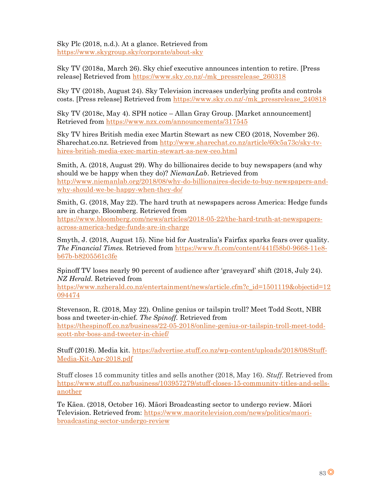Sky Plc (2018, n.d.). At a glance. Retrieved from <https://www.skygroup.sky/corporate/about-sky>

Sky TV (2018a, March 26). Sky chief executive announces intention to retire. [Press release] Retrieved from [https://www.sky.co.nz/-/mk\\_pressrelease\\_260318](https://www.sky.co.nz/-/mk_pressrelease_260318)

Sky TV (2018b, August 24). Sky Television increases underlying profits and controls costs. [Press release] Retrieved from [https://www.sky.co.nz/-/mk\\_pressrelease\\_240818](https://www.sky.co.nz/-/mk_pressrelease_240818)

Sky TV (2018c, May 4). SPH notice – Allan Gray Group. [Market announcement] Retrieved from<https://www.nzx.com/announcements/317545>

Sky TV hires British media exec Martin Stewart as new CEO (2018, November 26). Sharechat.co.nz. Retrieved from [http://www.sharechat.co.nz/article/60c5a73c/sky-tv](http://www.sharechat.co.nz/article/60c5a73c/sky-tv-hires-british-media-exec-martin-stewart-as-new-ceo.html)[hires-british-media-exec-martin-stewart-as-new-ceo.html](http://www.sharechat.co.nz/article/60c5a73c/sky-tv-hires-british-media-exec-martin-stewart-as-new-ceo.html)

Smith, A. (2018, August 29). Why do billionaires decide to buy newspapers (and why should we be happy when they do)? *NiemanLab*. Retrieved from [http://www.niemanlab.org/2018/08/why-do-billionaires-decide-to-buy-newspapers-and](http://www.niemanlab.org/2018/08/why-do-billionaires-decide-to-buy-newspapers-and-why-should-we-be-happy-when-they-do/)[why-should-we-be-happy-when-they-do/](http://www.niemanlab.org/2018/08/why-do-billionaires-decide-to-buy-newspapers-and-why-should-we-be-happy-when-they-do/)

Smith, G. (2018, May 22). The hard truth at newspapers across America: Hedge funds are in charge. Bloomberg. Retrieved from

[https://www.bloomberg.com/news/articles/2018-05-22/the-hard-truth-at-newspapers](https://www.bloomberg.com/news/articles/2018-05-22/the-hard-truth-at-newspapers-across-america-hedge-funds-are-in-charge)[across-america-hedge-funds-are-in-charge](https://www.bloomberg.com/news/articles/2018-05-22/the-hard-truth-at-newspapers-across-america-hedge-funds-are-in-charge)

Smyth, J. (2018, August 15). Nine bid for Australia's Fairfax sparks fears over quality. *The Financial Times.* Retrieved from [https://www.ft.com/content/441f58b0-9668-11e8](https://www.ft.com/content/441f58b0-9668-11e8-b67b-b8205561c3fe) [b67b-b8205561c3fe](https://www.ft.com/content/441f58b0-9668-11e8-b67b-b8205561c3fe)

Spinoff TV loses nearly 90 percent of audience after 'graveyard' shift (2018, July 24). *NZ Herald.* Retrieved from

[https://www.nzherald.co.nz/entertainment/news/article.cfm?c\\_id=1501119&objectid=12](https://www.nzherald.co.nz/entertainment/news/article.cfm?c_id=1501119&objectid=12094474) [094474](https://www.nzherald.co.nz/entertainment/news/article.cfm?c_id=1501119&objectid=12094474)

Stevenson, R. (2018, May 22). Online genius or tailspin troll? Meet Todd Scott, NBR boss and tweeter-in-chief. *The Spinoff.* Retrieved from [https://thespinoff.co.nz/business/22-05-2018/online-genius-or-tailspin-troll-meet-todd](https://thespinoff.co.nz/business/22-05-2018/online-genius-or-tailspin-troll-meet-todd-scott-nbr-boss-and-tweeter-in-chief/)[scott-nbr-boss-and-tweeter-in-chief/](https://thespinoff.co.nz/business/22-05-2018/online-genius-or-tailspin-troll-meet-todd-scott-nbr-boss-and-tweeter-in-chief/)

Stuff (2018). Media kit. [https://advertise.stuff.co.nz/wp-content/uploads/2018/08/Stuff-](https://advertise.stuff.co.nz/wp-content/uploads/2018/08/Stuff-Media-Kit-Apr-2018.pdf)[Media-Kit-Apr-2018.pdf](https://advertise.stuff.co.nz/wp-content/uploads/2018/08/Stuff-Media-Kit-Apr-2018.pdf)

Stuff closes 15 community titles and sells another (2018, May 16). *Stuff.* Retrieved from [https://www.stuff.co.nz/business/103957279/stuff-closes-15-community-titles-and-sells](https://www.stuff.co.nz/business/103957279/stuff-closes-15-community-titles-and-sells-another)[another](https://www.stuff.co.nz/business/103957279/stuff-closes-15-community-titles-and-sells-another)

Te Kāea. (2018, October 16). Māori Broadcasting sector to undergo review. Māori Television. Retrieved from: [https://www.maoritelevision.com/news/politics/maori](https://www.maoritelevision.com/news/politics/maori-broadcasting-sector-undergo-review)[broadcasting-sector-undergo-review](https://www.maoritelevision.com/news/politics/maori-broadcasting-sector-undergo-review)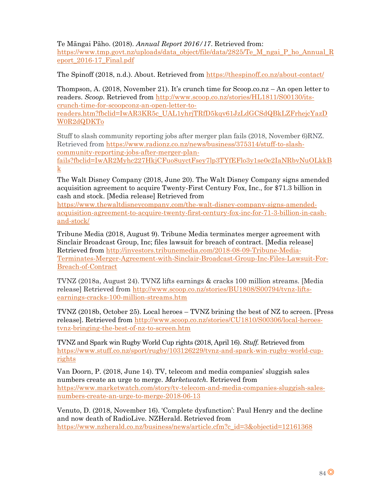Te Māngai Pāho. (2018). *Annual Report 2016/17*. Retrieved from: [https://www.tmp.govt.nz/uploads/data\\_object/file/data/2825/Te\\_M\\_ngai\\_P\\_ho\\_Annual\\_R](https://www.tmp.govt.nz/uploads/data_object/file/data/2825/Te_M_ngai_P_ho_Annual_Report_2016-17_Final.pdf) [eport\\_2016-17\\_Final.pdf](https://www.tmp.govt.nz/uploads/data_object/file/data/2825/Te_M_ngai_P_ho_Annual_Report_2016-17_Final.pdf)

The Spinoff (2018, n.d.). About. Retrieved from<https://thespinoff.co.nz/about-contact/>

Thompson, A. (2018, November 21). It's crunch time for Scoop.co.nz – An open letter to readers. *Scoop.* Retrieved from [http://www.scoop.co.nz/stories/HL1811/S00130/its](http://www.scoop.co.nz/stories/HL1811/S00130/its-crunch-time-for-scoopconz-an-open-letter-to-readers.htm?fbclid=IwAR3KR5c_UAL1yhrjTRfD5kqv61JzLdGCSdQBkLZFrhejcYazDW0R2dQDKTo)[crunch-time-for-scoopconz-an-open-letter-to-](http://www.scoop.co.nz/stories/HL1811/S00130/its-crunch-time-for-scoopconz-an-open-letter-to-readers.htm?fbclid=IwAR3KR5c_UAL1yhrjTRfD5kqv61JzLdGCSdQBkLZFrhejcYazDW0R2dQDKTo)

[readers.htm?fbclid=IwAR3KR5c\\_UAL1yhrjTRfD5kqv61JzLdGCSdQBkLZFrhejcYazD](http://www.scoop.co.nz/stories/HL1811/S00130/its-crunch-time-for-scoopconz-an-open-letter-to-readers.htm?fbclid=IwAR3KR5c_UAL1yhrjTRfD5kqv61JzLdGCSdQBkLZFrhejcYazDW0R2dQDKTo) [W0R2dQDKTo](http://www.scoop.co.nz/stories/HL1811/S00130/its-crunch-time-for-scoopconz-an-open-letter-to-readers.htm?fbclid=IwAR3KR5c_UAL1yhrjTRfD5kqv61JzLdGCSdQBkLZFrhejcYazDW0R2dQDKTo)

Stuff to slash community reporting jobs after merger plan fails (2018, November 6)RNZ. Retrieved from [https://www.radionz.co.nz/news/business/375314/stuff-to-slash](https://www.radionz.co.nz/news/business/375314/stuff-to-slash-community-reporting-jobs-after-merger-plan-fails?fbclid=IwAR2Myhc227HkjCFuo8uyctFsey7lp3TYfEFlo3y1se0e2IaNRbvNuOLkkBk)[community-reporting-jobs-after-merger-plan-](https://www.radionz.co.nz/news/business/375314/stuff-to-slash-community-reporting-jobs-after-merger-plan-fails?fbclid=IwAR2Myhc227HkjCFuo8uyctFsey7lp3TYfEFlo3y1se0e2IaNRbvNuOLkkBk)

[fails?fbclid=IwAR2Myhc227HkjCFuo8uyctFsey7lp3TYfEFlo3y1se0e2IaNRbvNuOLkkB](https://www.radionz.co.nz/news/business/375314/stuff-to-slash-community-reporting-jobs-after-merger-plan-fails?fbclid=IwAR2Myhc227HkjCFuo8uyctFsey7lp3TYfEFlo3y1se0e2IaNRbvNuOLkkBk) [k](https://www.radionz.co.nz/news/business/375314/stuff-to-slash-community-reporting-jobs-after-merger-plan-fails?fbclid=IwAR2Myhc227HkjCFuo8uyctFsey7lp3TYfEFlo3y1se0e2IaNRbvNuOLkkBk)

The Walt Disney Company (2018, June 20). The Walt Disney Company signs amended acquisition agreement to acquire Twenty-First Century Fox, Inc., for \$71.3 billion in cash and stock. [Media release] Retrieved from

[https://www.thewaltdisneycompany.com/the-walt-disney-company-signs-amended](https://www.thewaltdisneycompany.com/the-walt-disney-company-signs-amended-acquisition-agreement-to-acquire-twenty-first-century-fox-inc-for-71-3-billion-in-cash-and-stock/)[acquisition-agreement-to-acquire-twenty-first-century-fox-inc-for-71-3-billion-in-cash](https://www.thewaltdisneycompany.com/the-walt-disney-company-signs-amended-acquisition-agreement-to-acquire-twenty-first-century-fox-inc-for-71-3-billion-in-cash-and-stock/)[and-stock/](https://www.thewaltdisneycompany.com/the-walt-disney-company-signs-amended-acquisition-agreement-to-acquire-twenty-first-century-fox-inc-for-71-3-billion-in-cash-and-stock/)

Tribune Media (2018, August 9). Tribune Media terminates merger agreement with Sinclair Broadcast Group, Inc; files lawsuit for breach of contract. [Media release] Retrieved from [http://investors.tribunemedia.com/2018-08-09-Tribune-Media-](http://investors.tribunemedia.com/2018-08-09-Tribune-Media-Terminates-Merger-Agreement-with-Sinclair-Broadcast-Group-Inc-Files-Lawsuit-For-Breach-of-Contract)[Terminates-Merger-Agreement-with-Sinclair-Broadcast-Group-Inc-Files-Lawsuit-For-](http://investors.tribunemedia.com/2018-08-09-Tribune-Media-Terminates-Merger-Agreement-with-Sinclair-Broadcast-Group-Inc-Files-Lawsuit-For-Breach-of-Contract)[Breach-of-Contract](http://investors.tribunemedia.com/2018-08-09-Tribune-Media-Terminates-Merger-Agreement-with-Sinclair-Broadcast-Group-Inc-Files-Lawsuit-For-Breach-of-Contract)

TVNZ (2018a, August 24). TVNZ lifts earnings & cracks 100 million streams. [Media release] Retrieved from [http://www.scoop.co.nz/stories/BU1808/S00794/tvnz-lifts](http://www.scoop.co.nz/stories/BU1808/S00794/tvnz-lifts-earnings-cracks-100-million-streams.htm)[earnings-cracks-100-million-streams.htm](http://www.scoop.co.nz/stories/BU1808/S00794/tvnz-lifts-earnings-cracks-100-million-streams.htm)

TVNZ (2018b, October 25). Local heroes – TVNZ brining the best of NZ to screen. [Press release]. Retrieved from [http://www.scoop.co.nz/stories/CU1810/S00306/local-heroes](http://www.scoop.co.nz/stories/CU1810/S00306/local-heroes-tvnz-bringing-the-best-of-nz-to-screen.htm)[tvnz-bringing-the-best-of-nz-to-screen.htm](http://www.scoop.co.nz/stories/CU1810/S00306/local-heroes-tvnz-bringing-the-best-of-nz-to-screen.htm)

TVNZ and Spark win Rugby World Cup rights (2018, April 16). *Stuff.* Retrieved from [https://www.stuff.co.nz/sport/rugby/103126229/tvnz-and-spark-win-rugby-world-cup](https://www.stuff.co.nz/sport/rugby/103126229/tvnz-and-spark-win-rugby-world-cup-rights)[rights](https://www.stuff.co.nz/sport/rugby/103126229/tvnz-and-spark-win-rugby-world-cup-rights)

Van Doorn, P. (2018, June 14). TV, telecom and media companies' sluggish sales numbers create an urge to merge. *Marketwatch.* Retrieved from [https://www.marketwatch.com/story/tv-telecom-and-media-companies-sluggish-sales](https://www.marketwatch.com/story/tv-telecom-and-media-companies-sluggish-sales-numbers-create-an-urge-to-merge-2018-06-13)[numbers-create-an-urge-to-merge-2018-06-13](https://www.marketwatch.com/story/tv-telecom-and-media-companies-sluggish-sales-numbers-create-an-urge-to-merge-2018-06-13)

Venuto, D. (2018, November 16). 'Complete dysfunction': Paul Henry and the decline and now death of RadioLive. NZHerald. Retrieved from [https://www.nzherald.co.nz/business/news/article.cfm?c\\_id=3&objectid=12161368](https://www.nzherald.co.nz/business/news/article.cfm?c_id=3&objectid=12161368)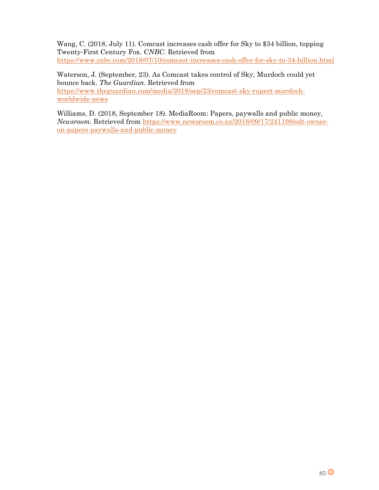Wang, C. (2018, July 11). Comcast increases cash offer for Sky to \$34 billion, topping Twenty-First Century Fox. *CNBC.* Retrieved from <https://www.cnbc.com/2018/07/10/comcast-increases-cash-offer-for-sky-to-34-billion.html>

Waterson, J. (September, 23). As Comcast takes control of Sky, Murdoch could yet bounce back. *The Guardian.* Retrieved from [https://www.theguardian.com/media/2018/sep/23/comcast-sky-rupert-murdoch](https://www.theguardian.com/media/2018/sep/23/comcast-sky-rupert-murdoch-worldwide-news)[worldwide-news](https://www.theguardian.com/media/2018/sep/23/comcast-sky-rupert-murdoch-worldwide-news)

Williams, D. (2018, September 18). MediaRoom: Papers, paywalls and public money, *Newsroom.* Retrieved from [https://www.newsroom.co.nz/2018/09/17/241198/odt-owner](https://www.newsroom.co.nz/2018/09/17/241198/odt-owner-on-papers-paywalls-and-public-money)[on-papers-paywalls-and-public-money](https://www.newsroom.co.nz/2018/09/17/241198/odt-owner-on-papers-paywalls-and-public-money)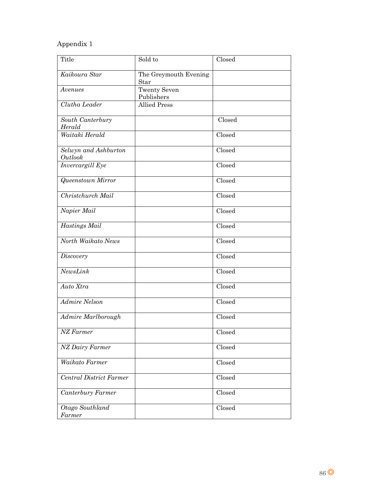## Appendix 1

| <b>Title</b>                    | Sold to                           | Closed |
|---------------------------------|-----------------------------------|--------|
| Kaikoura Star                   | The Greymouth Evening<br>Star     |        |
| Avenues                         | <b>Twenty Seven</b><br>Publishers |        |
| Clutha Leader                   | <b>Allied Press</b>               |        |
| South Canterbury<br>Herald      |                                   | Closed |
| Waitaki Herald                  |                                   | Closed |
| Selwyn and Ashburton<br>Outlook |                                   | Closed |
| Invercargill Eye                |                                   | Closed |
| <b>Queenstown Mirror</b>        |                                   | Closed |
| Christchurch Mail               |                                   | Closed |
| Napier Mail                     |                                   | Closed |
| Hastings Mail                   |                                   | Closed |
| North Waikato News              |                                   | Closed |
| Discovery                       |                                   | Closed |
| NewsLink                        |                                   | Closed |
| Auto Xtra                       |                                   | Closed |
| Admire Nelson                   |                                   | Closed |
| Admire Marlborough              |                                   | Closed |
| $\overline{NZ}$ Farmer          |                                   | Closed |
| NZ Dairy Farmer                 |                                   | Closed |
| Waikato Farmer                  |                                   | Closed |
| Central District Farmer         |                                   | Closed |
| Canterbury Farmer               |                                   | Closed |
| Otago Southland<br>Farmer       |                                   | Closed |